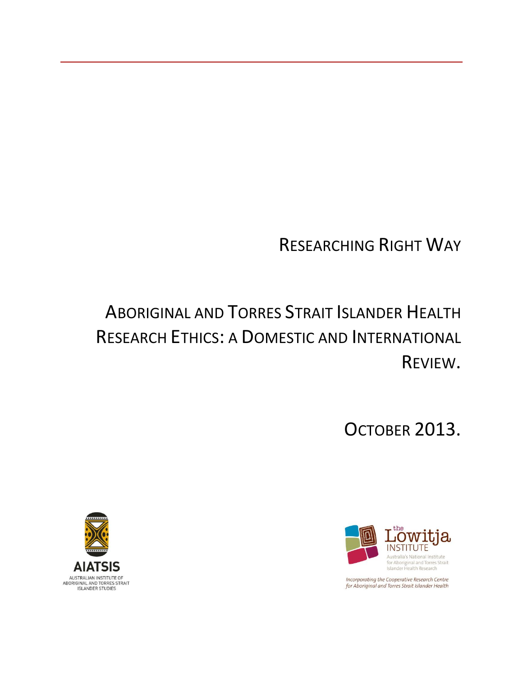# RESEARCHING RIGHT WAY

# ABORIGINAL AND TORRES STRAIT ISLANDER HEALTH RESEARCH ETHICS: A DOMESTIC AND INTERNATIONAL REVIEW.

OCTOBER 2013.



Incorporating the Cooperative Research Centre for Aboriginal and Torres Strait Islander Health

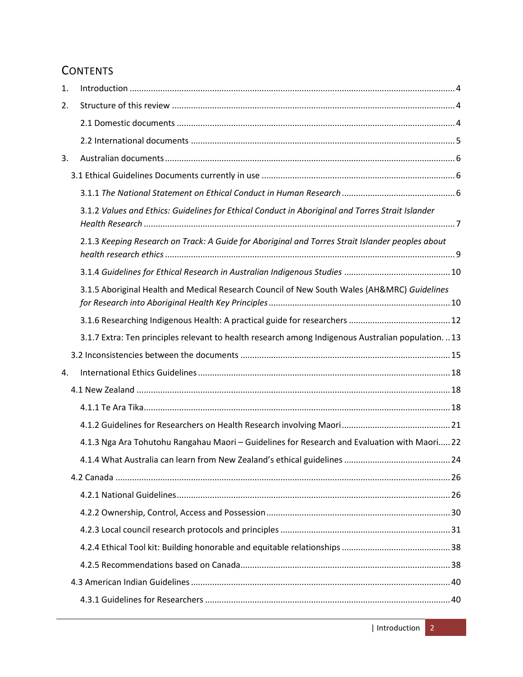# **CONTENTS**

| 1. |                                                                                                    |  |
|----|----------------------------------------------------------------------------------------------------|--|
| 2. |                                                                                                    |  |
|    |                                                                                                    |  |
|    |                                                                                                    |  |
| 3. |                                                                                                    |  |
|    |                                                                                                    |  |
|    |                                                                                                    |  |
|    | 3.1.2 Values and Ethics: Guidelines for Ethical Conduct in Aboriginal and Torres Strait Islander   |  |
|    | 2.1.3 Keeping Research on Track: A Guide for Aboriginal and Torres Strait Islander peoples about   |  |
|    |                                                                                                    |  |
|    | 3.1.5 Aboriginal Health and Medical Research Council of New South Wales (AH&MRC) Guidelines        |  |
|    |                                                                                                    |  |
|    | 3.1.7 Extra: Ten principles relevant to health research among Indigenous Australian population. 13 |  |
|    |                                                                                                    |  |
|    |                                                                                                    |  |
| 4. |                                                                                                    |  |
|    |                                                                                                    |  |
|    |                                                                                                    |  |
|    |                                                                                                    |  |
|    | 4.1.3 Nga Ara Tohutohu Rangahau Maori - Guidelines for Research and Evaluation with Maori 22       |  |
|    |                                                                                                    |  |
|    |                                                                                                    |  |
|    |                                                                                                    |  |
|    |                                                                                                    |  |
|    |                                                                                                    |  |
|    |                                                                                                    |  |
|    |                                                                                                    |  |
|    |                                                                                                    |  |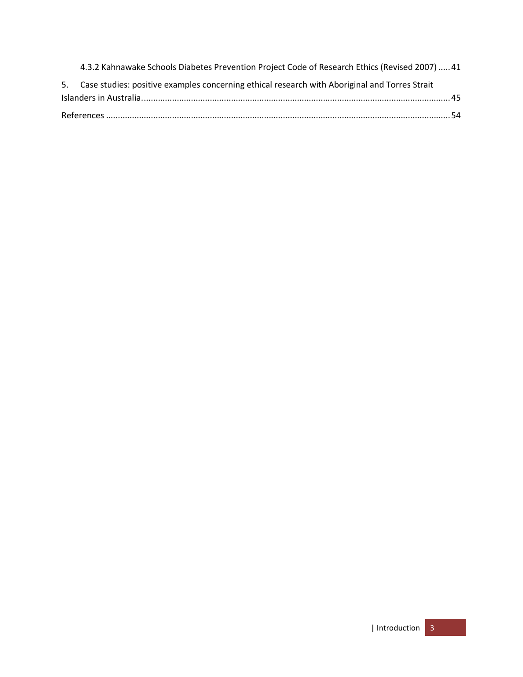| 5. Case studies: positive examples concerning ethical research with Aboriginal and Torres Strait |  |
|--------------------------------------------------------------------------------------------------|--|
| 4.3.2 Kahnawake Schools Diabetes Prevention Project Code of Research Ethics (Revised 2007)  41   |  |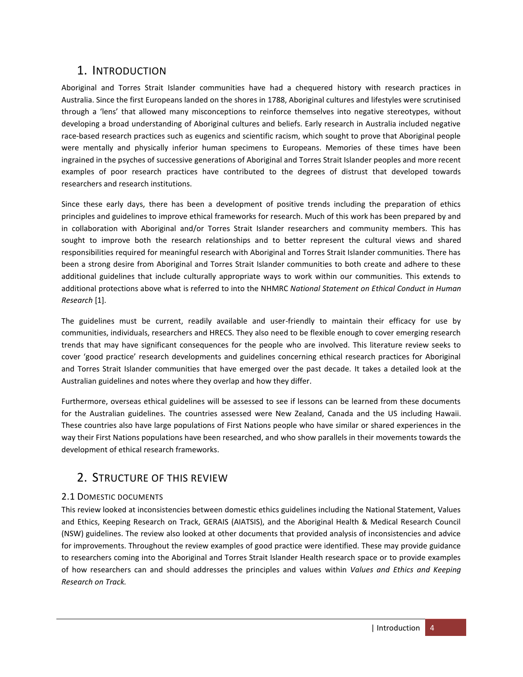# <span id="page-3-0"></span>1. INTRODUCTION

Aboriginal and Torres Strait Islander communities have had a chequered history with research practices in Australia. Since the first Europeans landed on the shores in 1788, Aboriginal cultures and lifestyles were scrutinised through a 'lens' that allowed many misconceptions to reinforce themselves into negative stereotypes, without developing a broad understanding of Aboriginal cultures and beliefs. Early research in Australia included negative race-based research practices such as eugenics and scientific racism, which sought to prove that Aboriginal people were mentally and physically inferior human specimens to Europeans. Memories of these times have been ingrained in the psyches of successive generations of Aboriginal and Torres Strait Islander peoples and more recent examples of poor research practices have contributed to the degrees of distrust that developed towards researchers and research institutions.

Since these early days, there has been a development of positive trends including the preparation of ethics principles and guidelines to improve ethical frameworks for research. Much of this work has been prepared by and in collaboration with Aboriginal and/or Torres Strait Islander researchers and community members. This has sought to improve both the research relationships and to better represent the cultural views and shared responsibilities required for meaningful research with Aboriginal and Torres Strait Islander communities. There has been a strong desire from Aboriginal and Torres Strait Islander communities to both create and adhere to these additional guidelines that include culturally appropriate ways to work within our communities. This extends to additional protections above what is referred to into the NHMRC *National Statement on Ethical Conduct in Human Research* [\[1\]](#page-53-1).

The guidelines must be current, readily available and user-friendly to maintain their efficacy for use by communities, individuals, researchers and HRECS. They also need to be flexible enough to cover emerging research trends that may have significant consequences for the people who are involved. This literature review seeks to cover 'good practice' research developments and guidelines concerning ethical research practices for Aboriginal and Torres Strait Islander communities that have emerged over the past decade. It takes a detailed look at the Australian guidelines and notes where they overlap and how they differ.

Furthermore, overseas ethical guidelines will be assessed to see if lessons can be learned from these documents for the Australian guidelines. The countries assessed were New Zealand, Canada and the US including Hawaii. These countries also have large populations of First Nations people who have similar or shared experiences in the way their First Nations populations have been researched, and who show parallels in their movements towards the development of ethical research frameworks.

# <span id="page-3-1"></span>2. STRUCTURE OF THIS REVIEW

# <span id="page-3-2"></span>2.1 DOMESTIC DOCUMENTS

This review looked at inconsistencies between domestic ethics guidelines including the National Statement, Values and Ethics, Keeping Research on Track, GERAIS (AIATSIS), and the Aboriginal Health & Medical Research Council (NSW) guidelines. The review also looked at other documents that provided analysis of inconsistencies and advice for improvements. Throughout the review examples of good practice were identified. These may provide guidance to researchers coming into the Aboriginal and Torres Strait Islander Health research space or to provide examples of how researchers can and should addresses the principles and values within *Values and Ethics and Keeping Research on Track.*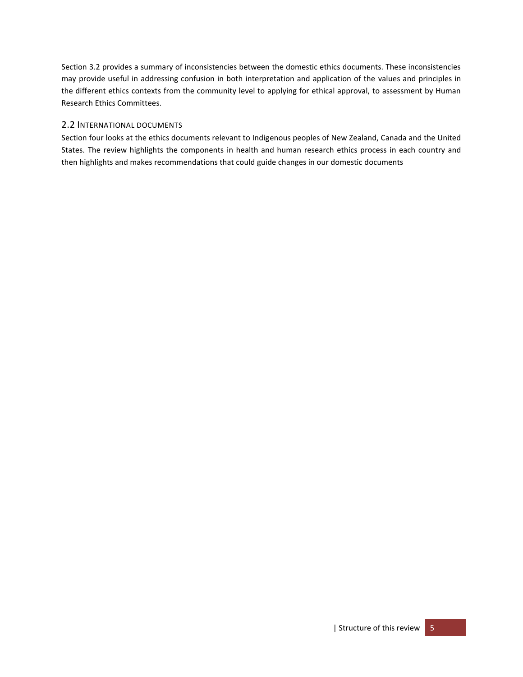Section 3.2 provides a summary of inconsistencies between the domestic ethics documents. These inconsistencies may provide useful in addressing confusion in both interpretation and application of the values and principles in the different ethics contexts from the community level to applying for ethical approval, to assessment by Human Research Ethics Committees.

## <span id="page-4-0"></span>2.2 INTERNATIONAL DOCUMENTS

Section four looks at the ethics documents relevant to Indigenous peoples of New Zealand, Canada and the United States. The review highlights the components in health and human research ethics process in each country and then highlights and makes recommendations that could guide changes in our domestic documents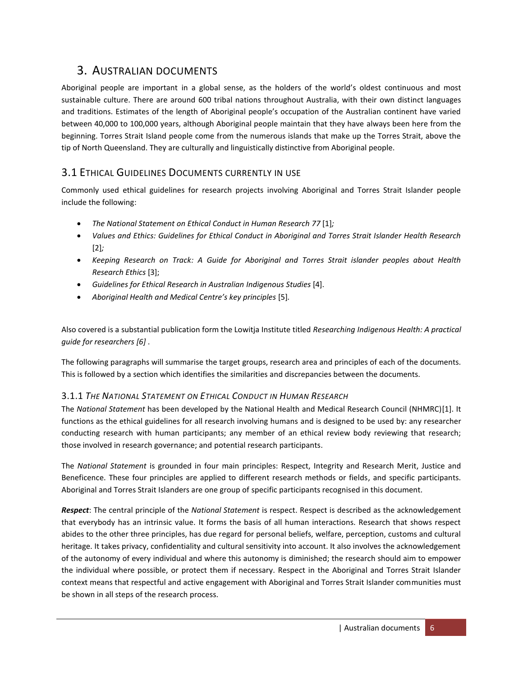# <span id="page-5-0"></span>3. AUSTRALIAN DOCUMENTS

Aboriginal people are important in a global sense, as the holders of the world's oldest continuous and most sustainable culture. There are around 600 tribal nations throughout Australia, with their own distinct languages and traditions. Estimates of the length of Aboriginal people's occupation of the Australian continent have varied between 40,000 to 100,000 years, although Aboriginal people maintain that they have always been here from the beginning. Torres Strait Island people come from the numerous islands that make up the Torres Strait, above the tip of North Queensland. They are culturally and linguistically distinctive from Aboriginal people.

# <span id="page-5-1"></span>3.1 ETHICAL GUIDELINES DOCUMENTS CURRENTLY IN USE

Commonly used ethical guidelines for research projects involving Aboriginal and Torres Strait Islander people include the following:

- *The National Statement on Ethical Conduct in Human Research 77* [\[1\]](#page-53-1)*;*
- *Values and Ethics: Guidelines for Ethical Conduct in Aboriginal and Torres Strait Islander Health Research* [\[2\]](#page-53-2)*;*
- *Keeping Research on Track: A Guide for Aboriginal and Torres Strait islander peoples about Health Research Ethics* [\[3\]](#page-53-3);
- *Guidelines for Ethical Research in Australian Indigenous Studies* [\[4\]](#page-53-4).
- *Aboriginal Health and Medical Centre's key principles* [\[5\]](#page-53-5)*.*

Also covered is a substantial publication form the Lowitja Institute titled *Researching Indigenous Health: A practical guide for researchers [\[6\]](#page-53-6)* .

The following paragraphs will summarise the target groups, research area and principles of each of the documents. This is followed by a section which identifies the similarities and discrepancies between the documents.

## <span id="page-5-2"></span>3.1.1 *THE NATIONAL STATEMENT ON ETHICAL CONDUCT IN HUMAN RESEARCH*

The *National Statement* has been developed by the National Health and Medical Research Council (NHMRC)[\[1\]](#page-53-1). It functions as the ethical guidelines for all research involving humans and is designed to be used by: any researcher conducting research with human participants; any member of an ethical review body reviewing that research; those involved in research governance; and potential research participants.

The *National Statement* is grounded in four main principles: Respect, Integrity and Research Merit, Justice and Beneficence. These four principles are applied to different research methods or fields, and specific participants. Aboriginal and Torres Strait Islanders are one group of specific participants recognised in this document.

*Respect*: The central principle of the *National Statement* is respect. Respect is described as the acknowledgement that everybody has an intrinsic value. It forms the basis of all human interactions. Research that shows respect abides to the other three principles, has due regard for personal beliefs, welfare, perception, customs and cultural heritage. It takes privacy, confidentiality and cultural sensitivity into account. It also involves the acknowledgement of the autonomy of every individual and where this autonomy is diminished; the research should aim to empower the individual where possible, or protect them if necessary. Respect in the Aboriginal and Torres Strait Islander context means that respectful and active engagement with Aboriginal and Torres Strait Islander communities must be shown in all steps of the research process.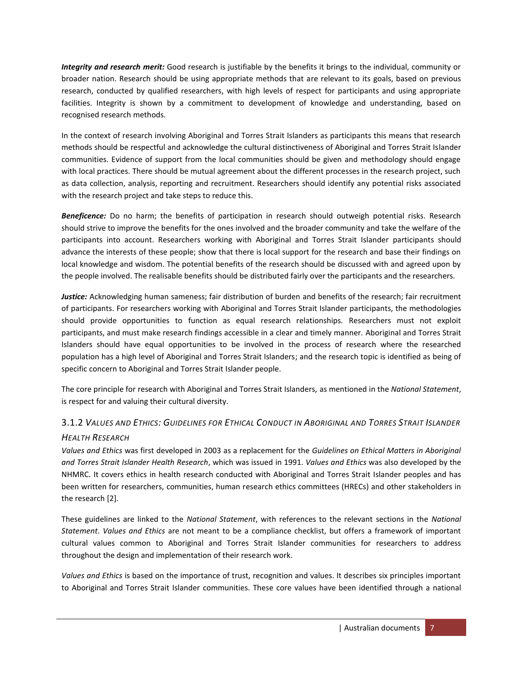*Integrity and research merit:* Good research is justifiable by the benefits it brings to the individual, community or broader nation. Research should be using appropriate methods that are relevant to its goals, based on previous research, conducted by qualified researchers, with high levels of respect for participants and using appropriate facilities. Integrity is shown by a commitment to development of knowledge and understanding, based on recognised research methods.

In the context of research involving Aboriginal and Torres Strait Islanders as participants this means that research methods should be respectful and acknowledge the cultural distinctiveness of Aboriginal and Torres Strait Islander communities. Evidence of support from the local communities should be given and methodology should engage with local practices. There should be mutual agreement about the different processes in the research project, such as data collection, analysis, reporting and recruitment. Researchers should identify any potential risks associated with the research project and take steps to reduce this.

*Beneficence:* Do no harm; the benefits of participation in research should outweigh potential risks. Research should strive to improve the benefits for the ones involved and the broader community and take the welfare of the participants into account. Researchers working with Aboriginal and Torres Strait Islander participants should advance the interests of these people; show that there is local support for the research and base their findings on local knowledge and wisdom. The potential benefits of the research should be discussed with and agreed upon by the people involved. The realisable benefits should be distributed fairly over the participants and the researchers.

*Justice:* Acknowledging human sameness; fair distribution of burden and benefits of the research; fair recruitment of participants. For researchers working with Aboriginal and Torres Strait Islander participants, the methodologies should provide opportunities to function as equal research relationships. Researchers must not exploit participants, and must make research findings accessible in a clear and timely manner. Aboriginal and Torres Strait Islanders should have equal opportunities to be involved in the process of research where the researched population has a high level of Aboriginal and Torres Strait Islanders; and the research topic is identified as being of specific concern to Aboriginal and Torres Strait Islander people.

The core principle for research with Aboriginal and Torres Strait Islanders, as mentioned in the *National Statement*, is respect for and valuing their cultural diversity.

# <span id="page-6-0"></span>3.1.2 VALUES AND ETHICS: GUIDELINES FOR ETHICAL CONDUCT IN ABORIGINAL AND TORRES STRAIT ISLANDER *HEALTH RESEARCH*

*Values and Ethics* was first developed in 2003 as a replacement for the *Guidelines on Ethical Matters in Aboriginal and Torres Strait Islander Health Research*, which was issued in 1991. *Values and Ethics* was also developed by the NHMRC. It covers ethics in health research conducted with Aboriginal and Torres Strait Islander peoples and has been written for researchers, communities, human research ethics committees (HRECs) and other stakeholders in the research [\[2\]](#page-53-2).

These guidelines are linked to the *National Statement*, with references to the relevant sections in the *National Statement*. *Values and Ethics* are not meant to be a compliance checklist, but offers a framework of important cultural values common to Aboriginal and Torres Strait Islander communities for researchers to address throughout the design and implementation of their research work.

*Values and Ethics* is based on the importance of trust, recognition and values. It describes six principles important to Aboriginal and Torres Strait Islander communities. These core values have been identified through a national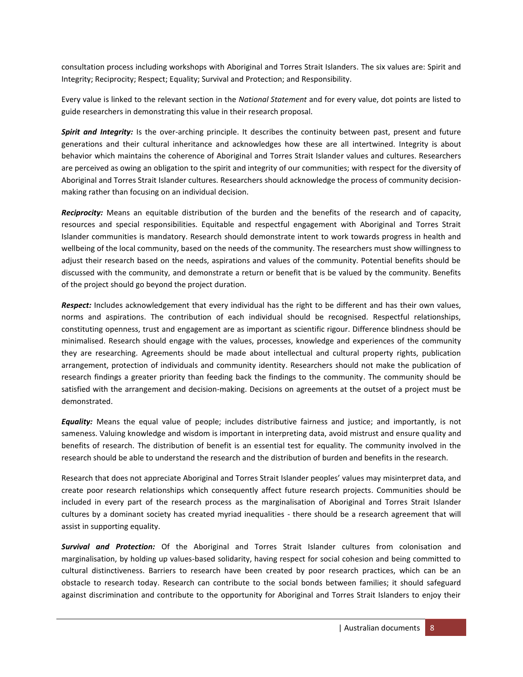consultation process including workshops with Aboriginal and Torres Strait Islanders. The six values are: Spirit and Integrity; Reciprocity; Respect; Equality; Survival and Protection; and Responsibility.

Every value is linked to the relevant section in the *National Statement* and for every value, dot points are listed to guide researchers in demonstrating this value in their research proposal.

*Spirit and Integrity:* Is the over-arching principle. It describes the continuity between past, present and future generations and their cultural inheritance and acknowledges how these are all intertwined. Integrity is about behavior which maintains the coherence of Aboriginal and Torres Strait Islander values and cultures. Researchers are perceived as owing an obligation to the spirit and integrity of our communities; with respect for the diversity of Aboriginal and Torres Strait Islander cultures. Researchers should acknowledge the process of community decisionmaking rather than focusing on an individual decision.

*Reciprocity:* Means an equitable distribution of the burden and the benefits of the research and of capacity, resources and special responsibilities. Equitable and respectful engagement with Aboriginal and Torres Strait Islander communities is mandatory. Research should demonstrate intent to work towards progress in health and wellbeing of the local community, based on the needs of the community. The researchers must show willingness to adjust their research based on the needs, aspirations and values of the community. Potential benefits should be discussed with the community, and demonstrate a return or benefit that is be valued by the community. Benefits of the project should go beyond the project duration.

*Respect:* Includes acknowledgement that every individual has the right to be different and has their own values, norms and aspirations. The contribution of each individual should be recognised. Respectful relationships, constituting openness, trust and engagement are as important as scientific rigour. Difference blindness should be minimalised. Research should engage with the values, processes, knowledge and experiences of the community they are researching. Agreements should be made about intellectual and cultural property rights, publication arrangement, protection of individuals and community identity. Researchers should not make the publication of research findings a greater priority than feeding back the findings to the community. The community should be satisfied with the arrangement and decision-making. Decisions on agreements at the outset of a project must be demonstrated.

*Equality:* Means the equal value of people; includes distributive fairness and justice; and importantly, is not sameness. Valuing knowledge and wisdom is important in interpreting data, avoid mistrust and ensure quality and benefits of research. The distribution of benefit is an essential test for equality. The community involved in the research should be able to understand the research and the distribution of burden and benefits in the research.

Research that does not appreciate Aboriginal and Torres Strait Islander peoples' values may misinterpret data, and create poor research relationships which consequently affect future research projects. Communities should be included in every part of the research process as the marginalisation of Aboriginal and Torres Strait Islander cultures by a dominant society has created myriad inequalities - there should be a research agreement that will assist in supporting equality.

*Survival and Protection:* Of the Aboriginal and Torres Strait Islander cultures from colonisation and marginalisation, by holding up values-based solidarity, having respect for social cohesion and being committed to cultural distinctiveness. Barriers to research have been created by poor research practices, which can be an obstacle to research today. Research can contribute to the social bonds between families; it should safeguard against discrimination and contribute to the opportunity for Aboriginal and Torres Strait Islanders to enjoy their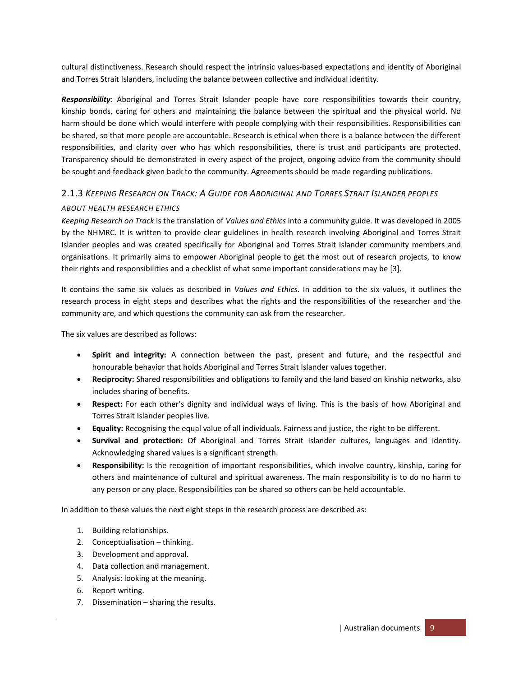cultural distinctiveness. Research should respect the intrinsic values-based expectations and identity of Aboriginal and Torres Strait Islanders, including the balance between collective and individual identity.

*Responsibility*: Aboriginal and Torres Strait Islander people have core responsibilities towards their country, kinship bonds, caring for others and maintaining the balance between the spiritual and the physical world. No harm should be done which would interfere with people complying with their responsibilities. Responsibilities can be shared, so that more people are accountable. Research is ethical when there is a balance between the different responsibilities, and clarity over who has which responsibilities, there is trust and participants are protected. Transparency should be demonstrated in every aspect of the project, ongoing advice from the community should be sought and feedback given back to the community. Agreements should be made regarding publications.

# <span id="page-8-0"></span>2.1.3 *KEEPING RESEARCH ON TRACK: A GUIDE FOR ABORIGINAL AND TORRES STRAIT ISLANDER PEOPLES ABOUT HEALTH RESEARCH ETHICS*

*Keeping Research on Track* is the translation of *Values and Ethics* into a community guide. It was developed in 2005 by the NHMRC. It is written to provide clear guidelines in health research involving Aboriginal and Torres Strait Islander peoples and was created specifically for Aboriginal and Torres Strait Islander community members and organisations. It primarily aims to empower Aboriginal people to get the most out of research projects, to know their rights and responsibilities and a checklist of what some important considerations may be [\[3\]](#page-53-3).

It contains the same six values as described in *Values and Ethics*. In addition to the six values, it outlines the research process in eight steps and describes what the rights and the responsibilities of the researcher and the community are, and which questions the community can ask from the researcher.

The six values are described as follows:

- **Spirit and integrity:** A connection between the past, present and future, and the respectful and honourable behavior that holds Aboriginal and Torres Strait Islander values together.
- **Reciprocity:** Shared responsibilities and obligations to family and the land based on kinship networks, also includes sharing of benefits.
- **Respect:** For each other's dignity and individual ways of living. This is the basis of how Aboriginal and Torres Strait Islander peoples live.
- **Equality:** Recognising the equal value of all individuals. Fairness and justice, the right to be different.
- **Survival and protection:** Of Aboriginal and Torres Strait Islander cultures, languages and identity. Acknowledging shared values is a significant strength.
- **Responsibility:** Is the recognition of important responsibilities, which involve country, kinship, caring for others and maintenance of cultural and spiritual awareness. The main responsibility is to do no harm to any person or any place. Responsibilities can be shared so others can be held accountable.

In addition to these values the next eight steps in the research process are described as:

- 1. Building relationships.
- 2. Conceptualisation thinking.
- 3. Development and approval.
- 4. Data collection and management.
- 5. Analysis: looking at the meaning.
- 6. Report writing.
- 7. Dissemination sharing the results.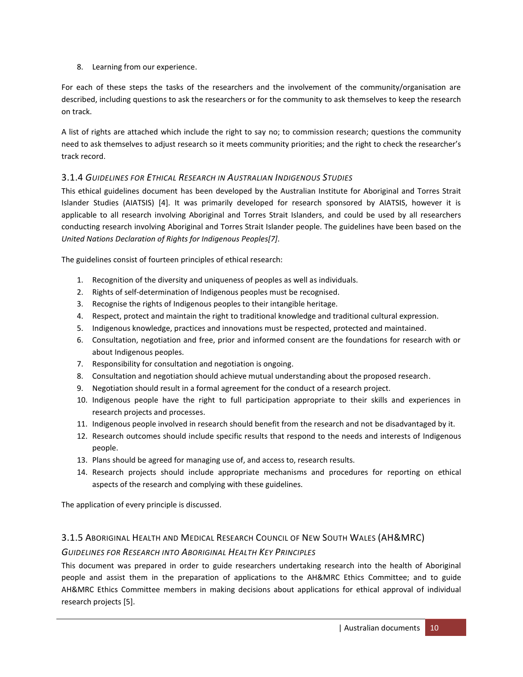## 8. Learning from our experience.

For each of these steps the tasks of the researchers and the involvement of the community/organisation are described, including questions to ask the researchers or for the community to ask themselves to keep the research on track.

A list of rights are attached which include the right to say no; to commission research; questions the community need to ask themselves to adjust research so it meets community priorities; and the right to check the researcher's track record.

## <span id="page-9-0"></span>3.1.4 *GUIDELINES FOR ETHICAL RESEARCH IN AUSTRALIAN INDIGENOUS STUDIES*

This ethical guidelines document has been developed by the Australian Institute for Aboriginal and Torres Strait Islander Studies (AIATSIS) [\[4\]](#page-53-4). It was primarily developed for research sponsored by AIATSIS, however it is applicable to all research involving Aboriginal and Torres Strait Islanders, and could be used by all researchers conducting research involving Aboriginal and Torres Strait Islander people. The guidelines have been based on the *United Nations Declaration of Rights for Indigenous Peoples[\[7\]](#page-53-7)*.

The guidelines consist of fourteen principles of ethical research:

- 1. Recognition of the diversity and uniqueness of peoples as well as individuals.
- 2. Rights of self-determination of Indigenous peoples must be recognised.
- 3. Recognise the rights of Indigenous peoples to their intangible heritage.
- 4. Respect, protect and maintain the right to traditional knowledge and traditional cultural expression.
- 5. Indigenous knowledge, practices and innovations must be respected, protected and maintained.
- 6. Consultation, negotiation and free, prior and informed consent are the foundations for research with or about Indigenous peoples.
- 7. Responsibility for consultation and negotiation is ongoing.
- 8. Consultation and negotiation should achieve mutual understanding about the proposed research.
- 9. Negotiation should result in a formal agreement for the conduct of a research project.
- 10. Indigenous people have the right to full participation appropriate to their skills and experiences in research projects and processes.
- 11. Indigenous people involved in research should benefit from the research and not be disadvantaged by it.
- 12. Research outcomes should include specific results that respond to the needs and interests of Indigenous people.
- 13. Plans should be agreed for managing use of, and access to, research results.
- 14. Research projects should include appropriate mechanisms and procedures for reporting on ethical aspects of the research and complying with these guidelines.

The application of every principle is discussed.

# <span id="page-9-1"></span>3.1.5 ABORIGINAL HEALTH AND MEDICAL RESEARCH COUNCIL OF NEW SOUTH WALES (AH&MRC)

# *GUIDELINES FOR RESEARCH INTO ABORIGINAL HEALTH KEY PRINCIPLES*

This document was prepared in order to guide researchers undertaking research into the health of Aboriginal people and assist them in the preparation of applications to the AH&MRC Ethics Committee; and to guide AH&MRC Ethics Committee members in making decisions about applications for ethical approval of individual research projects [\[5\]](#page-53-5).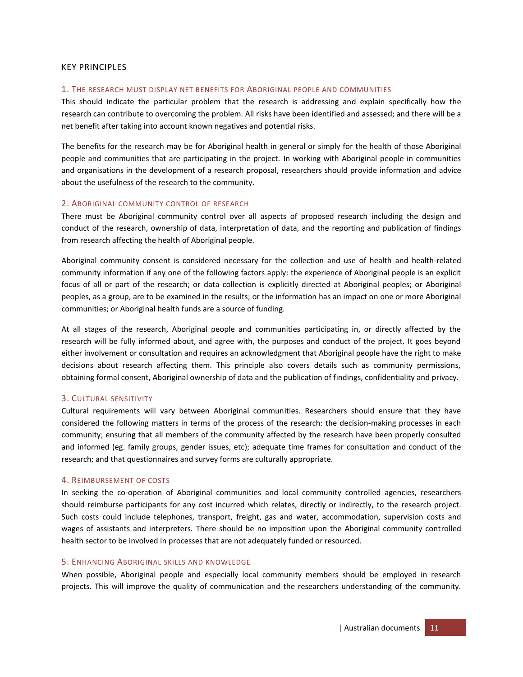#### KEY PRINCIPLES

#### 1. THE RESEARCH MUST DISPLAY NET BENEFITS FOR ABORIGINAL PEOPLE AND COMMUNITIES

This should indicate the particular problem that the research is addressing and explain specifically how the research can contribute to overcoming the problem. All risks have been identified and assessed; and there will be a net benefit after taking into account known negatives and potential risks.

The benefits for the research may be for Aboriginal health in general or simply for the health of those Aboriginal people and communities that are participating in the project. In working with Aboriginal people in communities and organisations in the development of a research proposal, researchers should provide information and advice about the usefulness of the research to the community.

#### 2. ABORIGINAL COMMUNITY CONTROL OF RESEARCH

There must be Aboriginal community control over all aspects of proposed research including the design and conduct of the research, ownership of data, interpretation of data, and the reporting and publication of findings from research affecting the health of Aboriginal people.

Aboriginal community consent is considered necessary for the collection and use of health and health-related community information if any one of the following factors apply: the experience of Aboriginal people is an explicit focus of all or part of the research; or data collection is explicitly directed at Aboriginal peoples; or Aboriginal peoples, as a group, are to be examined in the results; or the information has an impact on one or more Aboriginal communities; or Aboriginal health funds are a source of funding.

At all stages of the research, Aboriginal people and communities participating in, or directly affected by the research will be fully informed about, and agree with, the purposes and conduct of the project. It goes beyond either involvement or consultation and requires an acknowledgment that Aboriginal people have the right to make decisions about research affecting them. This principle also covers details such as community permissions, obtaining formal consent, Aboriginal ownership of data and the publication of findings, confidentiality and privacy.

#### 3. CULTURAL SENSITIVITY

Cultural requirements will vary between Aboriginal communities. Researchers should ensure that they have considered the following matters in terms of the process of the research: the decision-making processes in each community; ensuring that all members of the community affected by the research have been properly consulted and informed (eg. family groups, gender issues, etc); adequate time frames for consultation and conduct of the research; and that questionnaires and survey forms are culturally appropriate.

#### 4. REIMBURSEMENT OF COSTS

In seeking the co-operation of Aboriginal communities and local community controlled agencies, researchers should reimburse participants for any cost incurred which relates, directly or indirectly, to the research project. Such costs could include telephones, transport, freight, gas and water, accommodation, supervision costs and wages of assistants and interpreters. There should be no imposition upon the Aboriginal community controlled health sector to be involved in processes that are not adequately funded or resourced.

#### 5. ENHANCING ABORIGINAL SKILLS AND KNOWLEDGE

When possible, Aboriginal people and especially local community members should be employed in research projects. This will improve the quality of communication and the researchers understanding of the community.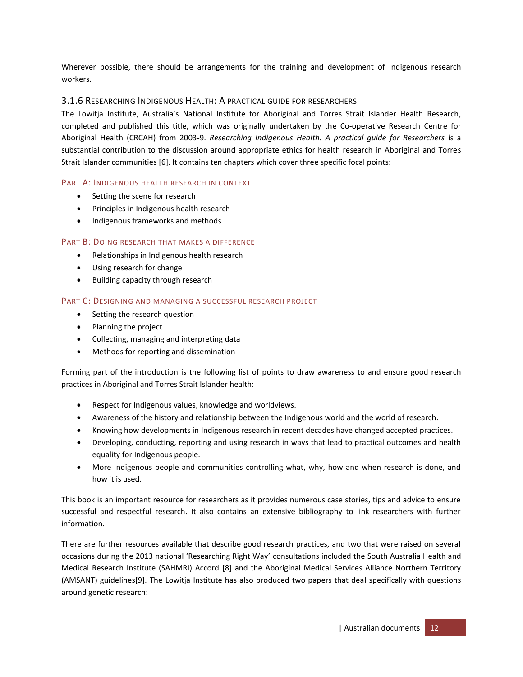Wherever possible, there should be arrangements for the training and development of Indigenous research workers.

## <span id="page-11-0"></span>3.1.6 RESEARCHING INDIGENOUS HEALTH: A PRACTICAL GUIDE FOR RESEARCHERS

The Lowitja Institute, Australia's National Institute for Aboriginal and Torres Strait Islander Health Research, completed and published this title, which was originally undertaken by the Co-operative Research Centre for Aboriginal Health (CRCAH) from 2003-9. *Researching Indigenous Health: A practical guide for Researchers* is a substantial contribution to the discussion around appropriate ethics for health research in Aboriginal and Torres Strait Islander communities [\[6\]](#page-53-6). It contains ten chapters which cover three specific focal points:

#### PART A: INDIGENOUS HEALTH RESEARCH IN CONTEXT

- Setting the scene for research
- Principles in Indigenous health research
- Indigenous frameworks and methods

#### PART B: DOING RESEARCH THAT MAKES A DIFFERENCE

- Relationships in Indigenous health research
- Using research for change
- Building capacity through research

#### PART C: DESIGNING AND MANAGING A SUCCESSFUL RESEARCH PROJECT

- Setting the research question
- Planning the project
- Collecting, managing and interpreting data
- Methods for reporting and dissemination

Forming part of the introduction is the following list of points to draw awareness to and ensure good research practices in Aboriginal and Torres Strait Islander health:

- Respect for Indigenous values, knowledge and worldviews.
- Awareness of the history and relationship between the Indigenous world and the world of research.
- Knowing how developments in Indigenous research in recent decades have changed accepted practices.
- Developing, conducting, reporting and using research in ways that lead to practical outcomes and health equality for Indigenous people.
- More Indigenous people and communities controlling what, why, how and when research is done, and how it is used.

This book is an important resource for researchers as it provides numerous case stories, tips and advice to ensure successful and respectful research. It also contains an extensive bibliography to link researchers with further information.

There are further resources available that describe good research practices, and two that were raised on several occasions during the 2013 national 'Researching Right Way' consultations included the South Australia Health and Medical Research Institute (SAHMRI) Accord [\[8\]](#page-53-8) and the Aboriginal Medical Services Alliance Northern Territory (AMSANT) guidelines[\[9\]](#page-53-9). The Lowitja Institute has also produced two papers that deal specifically with questions around genetic research: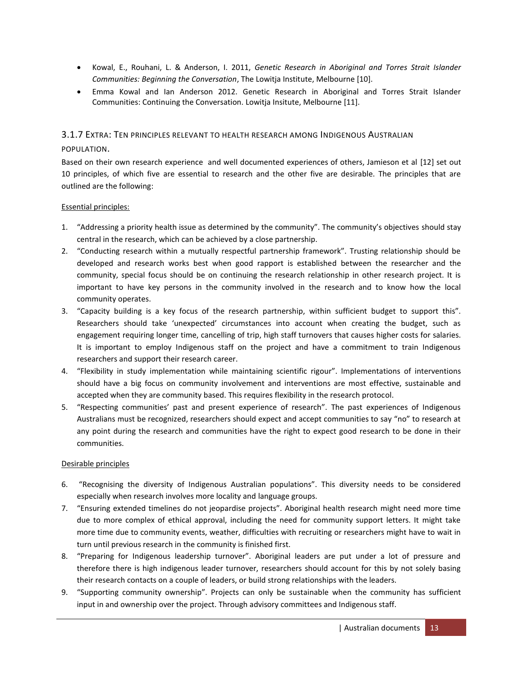- Kowal, E., Rouhani, L. & Anderson, I. 2011, *Genetic Research in Aboriginal and Torres Strait Islander Communities: Beginning the Conversation*, The Lowitja Institute, Melbourne [\[10\]](#page-53-10).
- Emma Kowal and Ian Anderson 2012. Genetic Research in Aboriginal and Torres Strait Islander Communities: Continuing the Conversation. Lowitja Insitute, Melbourne [\[11\]](#page-53-11).

#### <span id="page-12-0"></span>3.1.7 EXTRA: TEN PRINCIPLES RELEVANT TO HEALTH RESEARCH AMONG INDIGENOUS AUSTRALIAN

#### POPULATION.

Based on their own research experience and well documented experiences of others, Jamieson et al [\[12\]](#page-53-12) set out 10 principles, of which five are essential to research and the other five are desirable. The principles that are outlined are the following:

#### Essential principles:

- 1. "Addressing a priority health issue as determined by the community". The community's objectives should stay central in the research, which can be achieved by a close partnership.
- 2. "Conducting research within a mutually respectful partnership framework". Trusting relationship should be developed and research works best when good rapport is established between the researcher and the community, special focus should be on continuing the research relationship in other research project. It is important to have key persons in the community involved in the research and to know how the local community operates.
- 3. "Capacity building is a key focus of the research partnership, within sufficient budget to support this". Researchers should take 'unexpected' circumstances into account when creating the budget, such as engagement requiring longer time, cancelling of trip, high staff turnovers that causes higher costs for salaries. It is important to employ Indigenous staff on the project and have a commitment to train Indigenous researchers and support their research career.
- 4. "Flexibility in study implementation while maintaining scientific rigour". Implementations of interventions should have a big focus on community involvement and interventions are most effective, sustainable and accepted when they are community based. This requires flexibility in the research protocol.
- 5. "Respecting communities' past and present experience of research". The past experiences of Indigenous Australians must be recognized, researchers should expect and accept communities to say "no" to research at any point during the research and communities have the right to expect good research to be done in their communities.

#### Desirable principles

- 6. "Recognising the diversity of Indigenous Australian populations". This diversity needs to be considered especially when research involves more locality and language groups.
- 7. "Ensuring extended timelines do not jeopardise projects". Aboriginal health research might need more time due to more complex of ethical approval, including the need for community support letters. It might take more time due to community events, weather, difficulties with recruiting or researchers might have to wait in turn until previous research in the community is finished first.
- 8. "Preparing for Indigenous leadership turnover". Aboriginal leaders are put under a lot of pressure and therefore there is high indigenous leader turnover, researchers should account for this by not solely basing their research contacts on a couple of leaders, or build strong relationships with the leaders.
- 9. "Supporting community ownership". Projects can only be sustainable when the community has sufficient input in and ownership over the project. Through advisory committees and Indigenous staff.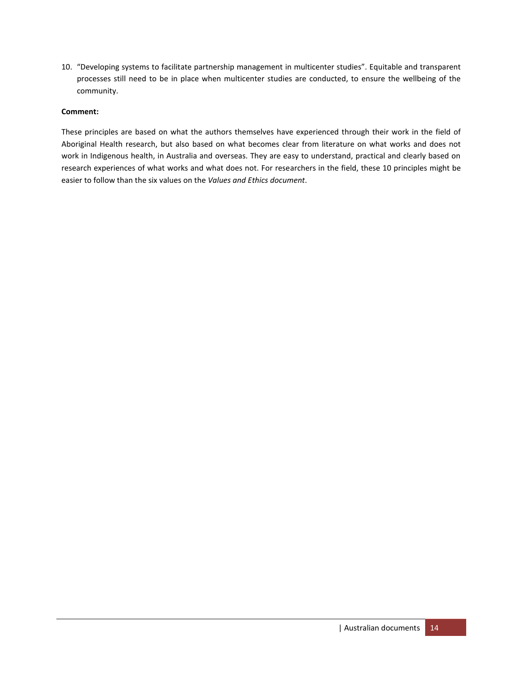10. "Developing systems to facilitate partnership management in multicenter studies". Equitable and transparent processes still need to be in place when multicenter studies are conducted, to ensure the wellbeing of the community.

#### **Comment:**

These principles are based on what the authors themselves have experienced through their work in the field of Aboriginal Health research, but also based on what becomes clear from literature on what works and does not work in Indigenous health, in Australia and overseas. They are easy to understand, practical and clearly based on research experiences of what works and what does not. For researchers in the field, these 10 principles might be easier to follow than the six values on the *Values and Ethics document*.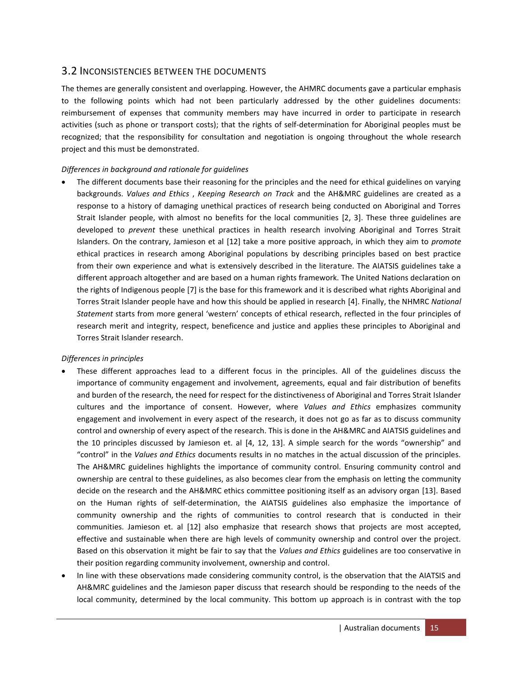## <span id="page-14-0"></span>3.2 INCONSISTENCIES BETWEEN THE DOCUMENTS

The themes are generally consistent and overlapping. However, the AHMRC documents gave a particular emphasis to the following points which had not been particularly addressed by the other guidelines documents: reimbursement of expenses that community members may have incurred in order to participate in research activities (such as phone or transport costs); that the rights of self-determination for Aboriginal peoples must be recognized; that the responsibility for consultation and negotiation is ongoing throughout the whole research project and this must be demonstrated.

#### *Differences in background and rationale for guidelines*

 The different documents base their reasoning for the principles and the need for ethical guidelines on varying backgrounds. *Values and Ethics* , *Keeping Research on Track* and the AH&MRC guidelines are created as a response to a history of damaging unethical practices of research being conducted on Aboriginal and Torres Strait Islander people, with almost no benefits for the local communities [\[2,](#page-53-2) [3\]](#page-53-3). These three guidelines are developed to *prevent* these unethical practices in health research involving Aboriginal and Torres Strait Islanders. On the contrary, Jamieson et al [\[12\]](#page-53-12) take a more positive approach, in which they aim to *promote* ethical practices in research among Aboriginal populations by describing principles based on best practice from their own experience and what is extensively described in the literature. The AIATSIS guidelines take a different approach altogether and are based on a human rights framework. The United Nations declaration on the rights of Indigenous people [\[7\]](#page-53-7) is the base for this framework and it is described what rights Aboriginal and Torres Strait Islander people have and how this should be applied in research [\[4\]](#page-53-4). Finally, the NHMRC *National Statement* starts from more general 'western' concepts of ethical research, reflected in the four principles of research merit and integrity, respect, beneficence and justice and applies these principles to Aboriginal and Torres Strait Islander research.

#### *Differences in principles*

- These different approaches lead to a different focus in the principles. All of the guidelines discuss the importance of community engagement and involvement, agreements, equal and fair distribution of benefits and burden of the research, the need for respect for the distinctiveness of Aboriginal and Torres Strait Islander cultures and the importance of consent. However, where *Values and Ethics* emphasizes community engagement and involvement in every aspect of the research, it does not go as far as to discuss community control and ownership of every aspect of the research. This is done in the AH&MRC and AIATSIS guidelines and the 10 principles discussed by Jamieson et. al [\[4,](#page-53-4) [12,](#page-53-12) [13\]](#page-53-13). A simple search for the words "ownership" and "control" in the *Values and Ethics* documents results in no matches in the actual discussion of the principles. The AH&MRC guidelines highlights the importance of community control. Ensuring community control and ownership are central to these guidelines, as also becomes clear from the emphasis on letting the community decide on the research and the AH&MRC ethics committee positioning itself as an advisory organ [\[13\]](#page-53-13). Based on the Human rights of self-determination, the AIATSIS guidelines also emphasize the importance of community ownership and the rights of communities to control research that is conducted in their communities. Jamieson et. al [\[12\]](#page-53-12) also emphasize that research shows that projects are most accepted, effective and sustainable when there are high levels of community ownership and control over the project. Based on this observation it might be fair to say that the *Values and Ethics* guidelines are too conservative in their position regarding community involvement, ownership and control.
- In line with these observations made considering community control, is the observation that the AIATSIS and AH&MRC guidelines and the Jamieson paper discuss that research should be responding to the needs of the local community, determined by the local community. This bottom up approach is in contrast with the top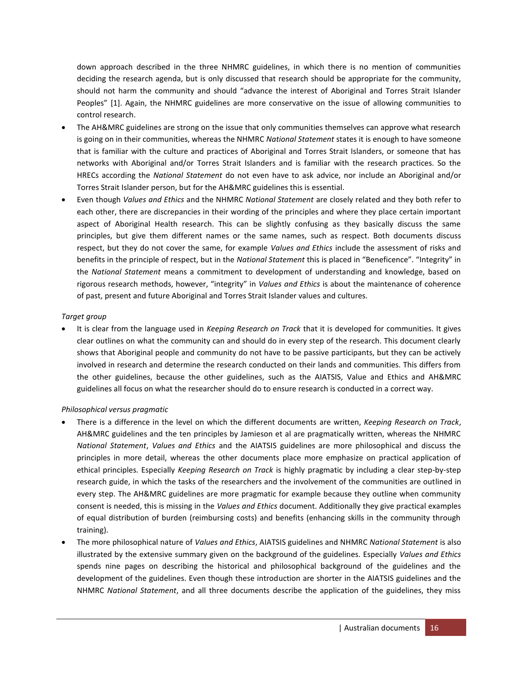down approach described in the three NHMRC guidelines, in which there is no mention of communities deciding the research agenda, but is only discussed that research should be appropriate for the community, should not harm the community and should "advance the interest of Aboriginal and Torres Strait Islander Peoples" [\[1\]](#page-53-1). Again, the NHMRC guidelines are more conservative on the issue of allowing communities to control research.

- The AH&MRC guidelines are strong on the issue that only communities themselves can approve what research is going on in their communities, whereas the NHMRC *National Statement* states it is enough to have someone that is familiar with the culture and practices of Aboriginal and Torres Strait Islanders, or someone that has networks with Aboriginal and/or Torres Strait Islanders and is familiar with the research practices. So the HRECs according the *National Statement* do not even have to ask advice, nor include an Aboriginal and/or Torres Strait Islander person, but for the AH&MRC guidelines this is essential.
- Even though *Values and Ethics* and the NHMRC *National Statement* are closely related and they both refer to each other, there are discrepancies in their wording of the principles and where they place certain important aspect of Aboriginal Health research. This can be slightly confusing as they basically discuss the same principles, but give them different names or the same names, such as respect. Both documents discuss respect, but they do not cover the same, for example *Values and Ethics* include the assessment of risks and benefits in the principle of respect, but in the *National Statement* this is placed in "Beneficence". "Integrity" in the *National Statement* means a commitment to development of understanding and knowledge, based on rigorous research methods, however, "integrity" in *Values and Ethics* is about the maintenance of coherence of past, present and future Aboriginal and Torres Strait Islander values and cultures.

#### *Target group*

 It is clear from the language used in *Keeping Research on Track* that it is developed for communities. It gives clear outlines on what the community can and should do in every step of the research. This document clearly shows that Aboriginal people and community do not have to be passive participants, but they can be actively involved in research and determine the research conducted on their lands and communities. This differs from the other guidelines, because the other guidelines, such as the AIATSIS, Value and Ethics and AH&MRC guidelines all focus on what the researcher should do to ensure research is conducted in a correct way.

## *Philosophical versus pragmatic*

- There is a difference in the level on which the different documents are written, *Keeping Research on Track*, AH&MRC guidelines and the ten principles by Jamieson et al are pragmatically written, whereas the NHMRC *National Statement*, *Values and Ethics* and the AIATSIS guidelines are more philosophical and discuss the principles in more detail, whereas the other documents place more emphasize on practical application of ethical principles. Especially *Keeping Research on Track* is highly pragmatic by including a clear step-by-step research guide, in which the tasks of the researchers and the involvement of the communities are outlined in every step. The AH&MRC guidelines are more pragmatic for example because they outline when community consent is needed, this is missing in the *Values and Ethics* document. Additionally they give practical examples of equal distribution of burden (reimbursing costs) and benefits (enhancing skills in the community through training).
- The more philosophical nature of *Values and Ethics*, AIATSIS guidelines and NHMRC *National Statement* is also illustrated by the extensive summary given on the background of the guidelines. Especially *Values and Ethics* spends nine pages on describing the historical and philosophical background of the guidelines and the development of the guidelines. Even though these introduction are shorter in the AIATSIS guidelines and the NHMRC *National Statement*, and all three documents describe the application of the guidelines, they miss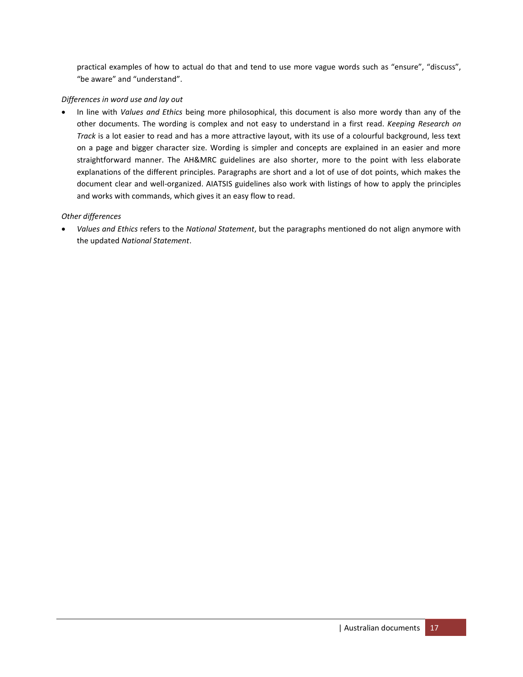practical examples of how to actual do that and tend to use more vague words such as "ensure", "discuss", "be aware" and "understand".

#### *Differences in word use and lay out*

 In line with *Values and Ethics* being more philosophical, this document is also more wordy than any of the other documents. The wording is complex and not easy to understand in a first read. *Keeping Research on Track* is a lot easier to read and has a more attractive layout, with its use of a colourful background, less text on a page and bigger character size. Wording is simpler and concepts are explained in an easier and more straightforward manner. The AH&MRC guidelines are also shorter, more to the point with less elaborate explanations of the different principles. Paragraphs are short and a lot of use of dot points, which makes the document clear and well-organized. AIATSIS guidelines also work with listings of how to apply the principles and works with commands, which gives it an easy flow to read.

#### *Other differences*

 *Values and Ethics* refers to the *National Statement*, but the paragraphs mentioned do not align anymore with the updated *National Statement*.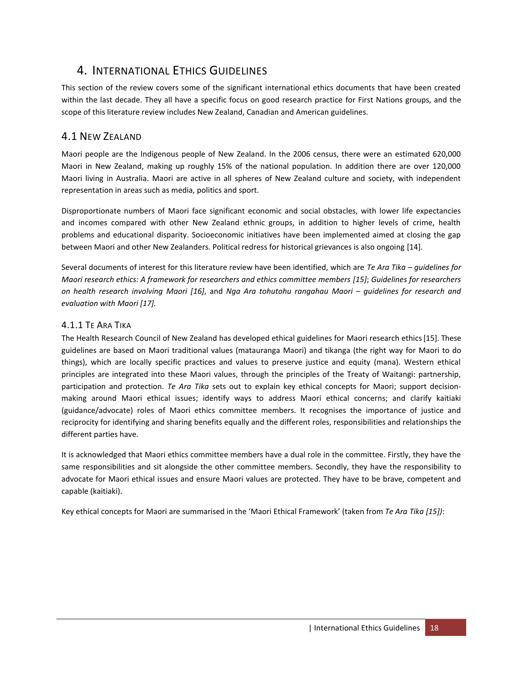# <span id="page-17-0"></span>4. INTERNATIONAL ETHICS GUIDELINES

This section of the review covers some of the significant international ethics documents that have been created within the last decade. They all have a specific focus on good research practice for First Nations groups, and the scope of this literature review includes New Zealand, Canadian and American guidelines.

# <span id="page-17-1"></span>4.1 NEW ZEALAND

Maori people are the Indigenous people of New Zealand. In the 2006 census, there were an estimated 620,000 Maori in New Zealand, making up roughly 15% of the national population. In addition there are over 120,000 Maori living in Australia. Maori are active in all spheres of New Zealand culture and society, with independent representation in areas such as media, politics and sport.

Disproportionate numbers of Maori face significant economic and social obstacles, with lower life expectancies and incomes compared with other New Zealand ethnic groups, in addition to higher levels of crime, health problems and educational disparity. Socioeconomic initiatives have been implemented aimed at closing the gap between Maori and other New Zealanders. Political redress for historical grievances is also ongoing [\[14\]](#page-53-14).

Several documents of interest for this literature review have been identified, which are *Te Ara Tika – guidelines for Maori research ethics: A framework for researchers and ethics committee members [\[15\]](#page-53-15)*; *Guidelines for researchers on health research involving Maori [\[16\]](#page-53-16)*, and *Nga Ara tohutohu rangahau Maori – guidelines for research and evaluation with Maori [\[17\]](#page-53-17).*

# <span id="page-17-2"></span>4.1.1 TE ARA TIKA

The Health Research Council of New Zealand has developed ethical guidelines for Maori research ethics[\[15\]](#page-53-15). These guidelines are based on Maori traditional values (matauranga Maori) and tikanga (the right way for Maori to do things), which are locally specific practices and values to preserve justice and equity (mana). Western ethical principles are integrated into these Maori values, through the principles of the Treaty of Waitangi: partnership, participation and protection. *Te Ara Tika* sets out to explain key ethical concepts for Maori; support decisionmaking around Maori ethical issues; identify ways to address Maori ethical concerns; and clarify kaitiaki (guidance/advocate) roles of Maori ethics committee members. It recognises the importance of justice and reciprocity for identifying and sharing benefits equally and the different roles, responsibilities and relationships the different parties have.

It is acknowledged that Maori ethics committee members have a dual role in the committee. Firstly, they have the same responsibilities and sit alongside the other committee members. Secondly, they have the responsibility to advocate for Maori ethical issues and ensure Maori values are protected. They have to be brave, competent and capable (kaitiaki).

Key ethical concepts for Maori are summarised in the 'Maori Ethical Framework' (taken from *Te Ara Tika [\[15\]](#page-53-15))*: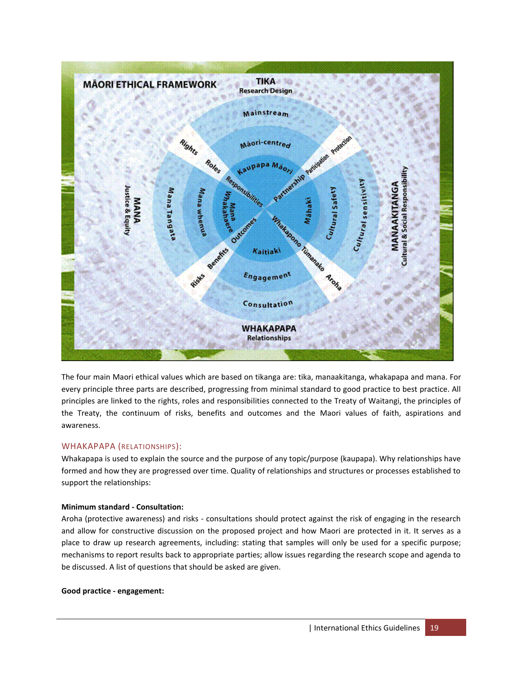

The four main Maori ethical values which are based on tikanga are: tika, manaakitanga, whakapapa and mana. For every principle three parts are described, progressing from minimal standard to good practice to best practice. All principles are linked to the rights, roles and responsibilities connected to the Treaty of Waitangi, the principles of the Treaty, the continuum of risks, benefits and outcomes and the Maori values of faith, aspirations and awareness.

#### WHAKAPAPA (RELATIONSHIPS):

Whakapapa is used to explain the source and the purpose of any topic/purpose (kaupapa). Why relationships have formed and how they are progressed over time. Quality of relationships and structures or processes established to support the relationships:

#### **Minimum standard - Consultation:**

Aroha (protective awareness) and risks - consultations should protect against the risk of engaging in the research and allow for constructive discussion on the proposed project and how Maori are protected in it. It serves as a place to draw up research agreements, including: stating that samples will only be used for a specific purpose; mechanisms to report results back to appropriate parties; allow issues regarding the research scope and agenda to be discussed. A list of questions that should be asked are given.

#### **Good practice - engagement:**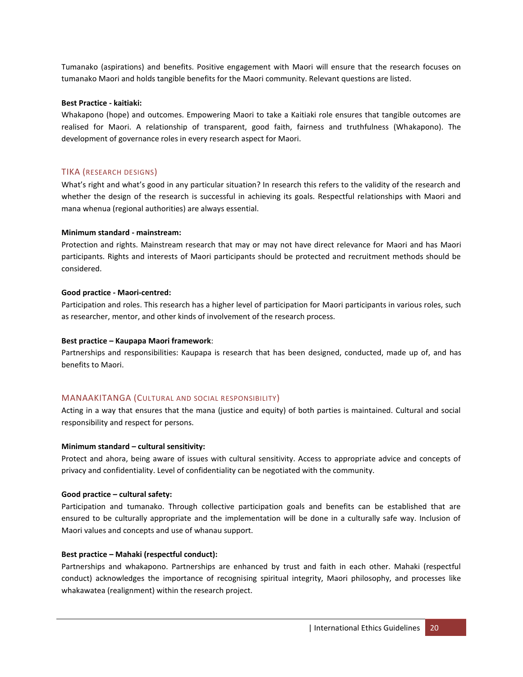Tumanako (aspirations) and benefits. Positive engagement with Maori will ensure that the research focuses on tumanako Maori and holds tangible benefits for the Maori community. Relevant questions are listed.

#### **Best Practice - kaitiaki:**

Whakapono (hope) and outcomes. Empowering Maori to take a Kaitiaki role ensures that tangible outcomes are realised for Maori. A relationship of transparent, good faith, fairness and truthfulness (Whakapono). The development of governance roles in every research aspect for Maori.

#### TIKA (RESEARCH DESIGNS)

What's right and what's good in any particular situation? In research this refers to the validity of the research and whether the design of the research is successful in achieving its goals. Respectful relationships with Maori and mana whenua (regional authorities) are always essential.

#### **Minimum standard - mainstream:**

Protection and rights. Mainstream research that may or may not have direct relevance for Maori and has Maori participants. Rights and interests of Maori participants should be protected and recruitment methods should be considered.

#### **Good practice - Maori-centred:**

Participation and roles. This research has a higher level of participation for Maori participants in various roles, such as researcher, mentor, and other kinds of involvement of the research process.

#### **Best practice – Kaupapa Maori framework**:

Partnerships and responsibilities: Kaupapa is research that has been designed, conducted, made up of, and has benefits to Maori.

#### MANAAKITANGA (CULTURAL AND SOCIAL RESPONSIBILITY)

Acting in a way that ensures that the mana (justice and equity) of both parties is maintained. Cultural and social responsibility and respect for persons.

#### **Minimum standard – cultural sensitivity:**

Protect and ahora, being aware of issues with cultural sensitivity. Access to appropriate advice and concepts of privacy and confidentiality. Level of confidentiality can be negotiated with the community.

#### **Good practice – cultural safety:**

Participation and tumanako. Through collective participation goals and benefits can be established that are ensured to be culturally appropriate and the implementation will be done in a culturally safe way. Inclusion of Maori values and concepts and use of whanau support.

#### **Best practice – Mahaki (respectful conduct):**

Partnerships and whakapono. Partnerships are enhanced by trust and faith in each other. Mahaki (respectful conduct) acknowledges the importance of recognising spiritual integrity, Maori philosophy, and processes like whakawatea (realignment) within the research project.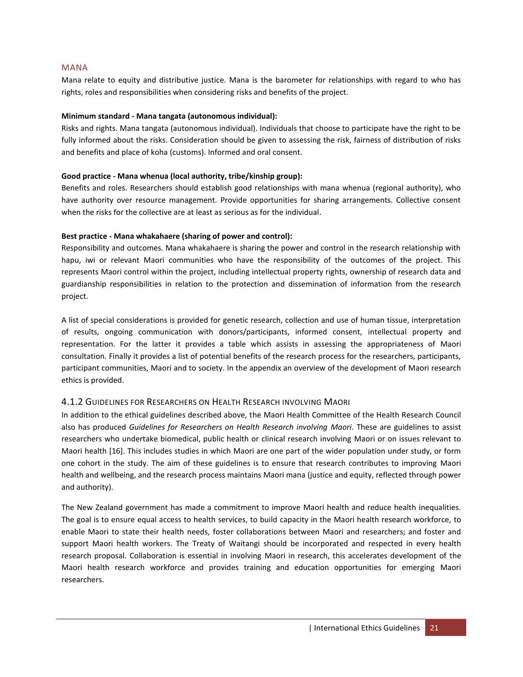#### MANA

Mana relate to equity and distributive justice. Mana is the barometer for relationships with regard to who has rights, roles and responsibilities when considering risks and benefits of the project.

#### **Minimum standard - Mana tangata (autonomous individual):**

Risks and rights. Mana tangata (autonomous individual). Individuals that choose to participate have the right to be fully informed about the risks. Consideration should be given to assessing the risk, fairness of distribution of risks and benefits and place of koha (customs). Informed and oral consent.

#### **Good practice - Mana whenua (local authority, tribe/kinship group):**

Benefits and roles. Researchers should establish good relationships with mana whenua (regional authority), who have authority over resource management. Provide opportunities for sharing arrangements. Collective consent when the risks for the collective are at least as serious as for the individual.

#### **Best practice - Mana whakahaere (sharing of power and control):**

Responsibility and outcomes. Mana whakahaere is sharing the power and control in the research relationship with hapu, iwi or relevant Maori communities who have the responsibility of the outcomes of the project. This represents Maori control within the project, including intellectual property rights, ownership of research data and guardianship responsibilities in relation to the protection and dissemination of information from the research project.

A list of special considerations is provided for genetic research, collection and use of human tissue, interpretation of results, ongoing communication with donors/participants, informed consent, intellectual property and representation. For the latter it provides a table which assists in assessing the appropriateness of Maori consultation. Finally it provides a list of potential benefits of the research process for the researchers, participants, participant communities, Maori and to society. In the appendix an overview of the development of Maori research ethics is provided.

## <span id="page-20-0"></span>4.1.2 GUIDELINES FOR RESEARCHERS ON HEALTH RESEARCH INVOLVING MAORI

In addition to the ethical guidelines described above, the Maori Health Committee of the Health Research Council also has produced *Guidelines for Researchers on Health Research involving Maori*. These are guidelines to assist researchers who undertake biomedical, public health or clinical research involving Maori or on issues relevant to Maori health [\[16\]](#page-53-16). This includes studies in which Maori are one part of the wider population under study, or form one cohort in the study. The aim of these guidelines is to ensure that research contributes to improving Maori health and wellbeing, and the research process maintains Maori mana (justice and equity, reflected through power and authority).

The New Zealand government has made a commitment to improve Maori health and reduce health inequalities. The goal is to ensure equal access to health services, to build capacity in the Maori health research workforce, to enable Maori to state their health needs, foster collaborations between Maori and researchers; and foster and support Maori health workers. The Treaty of Waitangi should be incorporated and respected in every health research proposal. Collaboration is essential in involving Maori in research, this accelerates development of the Maori health research workforce and provides training and education opportunities for emerging Maori researchers.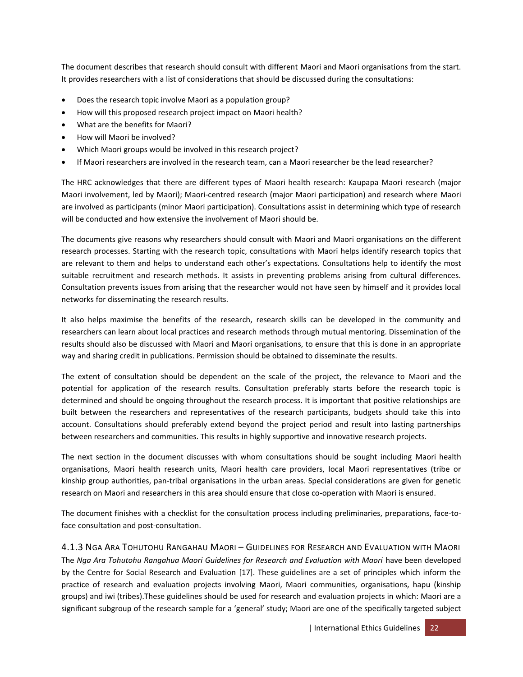The document describes that research should consult with different Maori and Maori organisations from the start. It provides researchers with a list of considerations that should be discussed during the consultations:

- Does the research topic involve Maori as a population group?
- How will this proposed research project impact on Maori health?
- What are the benefits for Maori?
- How will Maori be involved?
- Which Maori groups would be involved in this research project?
- If Maori researchers are involved in the research team, can a Maori researcher be the lead researcher?

The HRC acknowledges that there are different types of Maori health research: Kaupapa Maori research (major Maori involvement, led by Maori); Maori-centred research (major Maori participation) and research where Maori are involved as participants (minor Maori participation). Consultations assist in determining which type of research will be conducted and how extensive the involvement of Maori should be.

The documents give reasons why researchers should consult with Maori and Maori organisations on the different research processes. Starting with the research topic, consultations with Maori helps identify research topics that are relevant to them and helps to understand each other's expectations. Consultations help to identify the most suitable recruitment and research methods. It assists in preventing problems arising from cultural differences. Consultation prevents issues from arising that the researcher would not have seen by himself and it provides local networks for disseminating the research results.

It also helps maximise the benefits of the research, research skills can be developed in the community and researchers can learn about local practices and research methods through mutual mentoring. Dissemination of the results should also be discussed with Maori and Maori organisations, to ensure that this is done in an appropriate way and sharing credit in publications. Permission should be obtained to disseminate the results.

The extent of consultation should be dependent on the scale of the project, the relevance to Maori and the potential for application of the research results. Consultation preferably starts before the research topic is determined and should be ongoing throughout the research process. It is important that positive relationships are built between the researchers and representatives of the research participants, budgets should take this into account. Consultations should preferably extend beyond the project period and result into lasting partnerships between researchers and communities. This results in highly supportive and innovative research projects.

The next section in the document discusses with whom consultations should be sought including Maori health organisations, Maori health research units, Maori health care providers, local Maori representatives (tribe or kinship group authorities, pan-tribal organisations in the urban areas. Special considerations are given for genetic research on Maori and researchers in this area should ensure that close co-operation with Maori is ensured.

The document finishes with a checklist for the consultation process including preliminaries, preparations, face-toface consultation and post-consultation.

<span id="page-21-0"></span>4.1.3 NGA ARA TOHUTOHU RANGAHAU MAORI – GUIDELINES FOR RESEARCH AND EVALUATION WITH MAORI The *Nga Ara Tohutohu Rangahua Maori Guidelines for Research and Evaluation with Maori* have been developed by the Centre for Social Research and Evaluation [\[17\]](#page-53-17). These guidelines are a set of principles which inform the practice of research and evaluation projects involving Maori, Maori communities, organisations, hapu (kinship groups) and iwi (tribes).These guidelines should be used for research and evaluation projects in which: Maori are a significant subgroup of the research sample for a 'general' study; Maori are one of the specifically targeted subject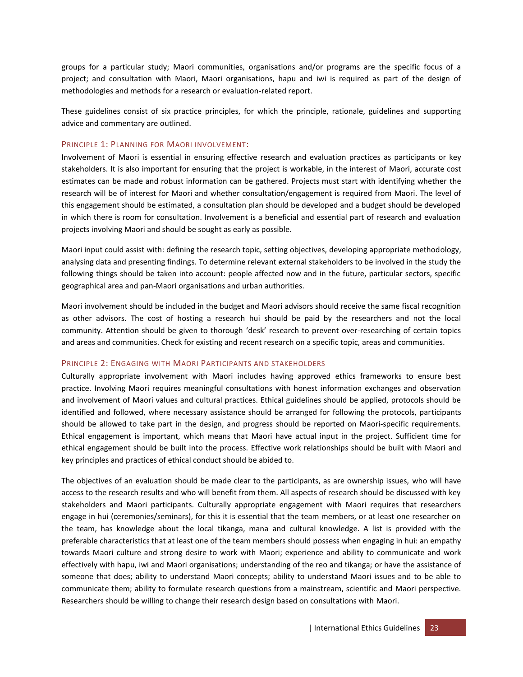groups for a particular study; Maori communities, organisations and/or programs are the specific focus of a project; and consultation with Maori, Maori organisations, hapu and iwi is required as part of the design of methodologies and methods for a research or evaluation-related report.

These guidelines consist of six practice principles, for which the principle, rationale, guidelines and supporting advice and commentary are outlined.

#### PRINCIPLE 1: PLANNING FOR MAORI INVOLVEMENT:

Involvement of Maori is essential in ensuring effective research and evaluation practices as participants or key stakeholders. It is also important for ensuring that the project is workable, in the interest of Maori, accurate cost estimates can be made and robust information can be gathered. Projects must start with identifying whether the research will be of interest for Maori and whether consultation/engagement is required from Maori. The level of this engagement should be estimated, a consultation plan should be developed and a budget should be developed in which there is room for consultation. Involvement is a beneficial and essential part of research and evaluation projects involving Maori and should be sought as early as possible.

Maori input could assist with: defining the research topic, setting objectives, developing appropriate methodology, analysing data and presenting findings. To determine relevant external stakeholders to be involved in the study the following things should be taken into account: people affected now and in the future, particular sectors, specific geographical area and pan-Maori organisations and urban authorities.

Maori involvement should be included in the budget and Maori advisors should receive the same fiscal recognition as other advisors. The cost of hosting a research hui should be paid by the researchers and not the local community. Attention should be given to thorough 'desk' research to prevent over-researching of certain topics and areas and communities. Check for existing and recent research on a specific topic, areas and communities.

#### PRINCIPLE 2: ENGAGING WITH MAORI PARTICIPANTS AND STAKEHOLDERS

Culturally appropriate involvement with Maori includes having approved ethics frameworks to ensure best practice. Involving Maori requires meaningful consultations with honest information exchanges and observation and involvement of Maori values and cultural practices. Ethical guidelines should be applied, protocols should be identified and followed, where necessary assistance should be arranged for following the protocols, participants should be allowed to take part in the design, and progress should be reported on Maori-specific requirements. Ethical engagement is important, which means that Maori have actual input in the project. Sufficient time for ethical engagement should be built into the process. Effective work relationships should be built with Maori and key principles and practices of ethical conduct should be abided to.

The objectives of an evaluation should be made clear to the participants, as are ownership issues, who will have access to the research results and who will benefit from them. All aspects of research should be discussed with key stakeholders and Maori participants. Culturally appropriate engagement with Maori requires that researchers engage in hui (ceremonies/seminars), for this it is essential that the team members, or at least one researcher on the team, has knowledge about the local tikanga, mana and cultural knowledge. A list is provided with the preferable characteristics that at least one of the team members should possess when engaging in hui: an empathy towards Maori culture and strong desire to work with Maori; experience and ability to communicate and work effectively with hapu, iwi and Maori organisations; understanding of the reo and tikanga; or have the assistance of someone that does; ability to understand Maori concepts; ability to understand Maori issues and to be able to communicate them; ability to formulate research questions from a mainstream, scientific and Maori perspective. Researchers should be willing to change their research design based on consultations with Maori.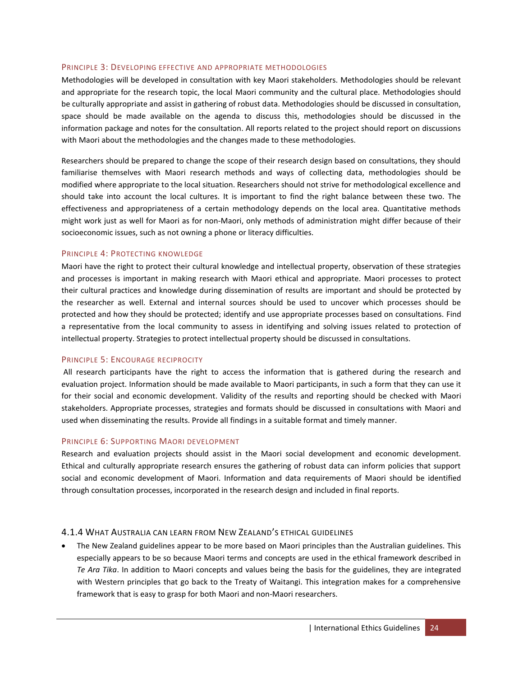#### PRINCIPLE 3: DEVELOPING EFFECTIVE AND APPROPRIATE METHODOLOGIES

Methodologies will be developed in consultation with key Maori stakeholders. Methodologies should be relevant and appropriate for the research topic, the local Maori community and the cultural place. Methodologies should be culturally appropriate and assist in gathering of robust data. Methodologies should be discussed in consultation, space should be made available on the agenda to discuss this, methodologies should be discussed in the information package and notes for the consultation. All reports related to the project should report on discussions with Maori about the methodologies and the changes made to these methodologies.

Researchers should be prepared to change the scope of their research design based on consultations, they should familiarise themselves with Maori research methods and ways of collecting data, methodologies should be modified where appropriate to the local situation. Researchers should not strive for methodological excellence and should take into account the local cultures. It is important to find the right balance between these two. The effectiveness and appropriateness of a certain methodology depends on the local area. Quantitative methods might work just as well for Maori as for non-Maori, only methods of administration might differ because of their socioeconomic issues, such as not owning a phone or literacy difficulties.

#### PRINCIPLE 4: PROTECTING KNOWLEDGE

Maori have the right to protect their cultural knowledge and intellectual property, observation of these strategies and processes is important in making research with Maori ethical and appropriate. Maori processes to protect their cultural practices and knowledge during dissemination of results are important and should be protected by the researcher as well. External and internal sources should be used to uncover which processes should be protected and how they should be protected; identify and use appropriate processes based on consultations. Find a representative from the local community to assess in identifying and solving issues related to protection of intellectual property. Strategies to protect intellectual property should be discussed in consultations.

#### PRINCIPLE 5: ENCOURAGE RECIPROCITY

All research participants have the right to access the information that is gathered during the research and evaluation project. Information should be made available to Maori participants, in such a form that they can use it for their social and economic development. Validity of the results and reporting should be checked with Maori stakeholders. Appropriate processes, strategies and formats should be discussed in consultations with Maori and used when disseminating the results. Provide all findings in a suitable format and timely manner.

#### PRINCIPLE 6: SUPPORTING MAORI DEVELOPMENT

Research and evaluation projects should assist in the Maori social development and economic development. Ethical and culturally appropriate research ensures the gathering of robust data can inform policies that support social and economic development of Maori. Information and data requirements of Maori should be identified through consultation processes, incorporated in the research design and included in final reports.

#### <span id="page-23-0"></span>4.1.4 WHAT AUSTRALIA CAN LEARN FROM NEW ZEALAND'S ETHICAL GUIDELINES

 The New Zealand guidelines appear to be more based on Maori principles than the Australian guidelines. This especially appears to be so because Maori terms and concepts are used in the ethical framework described in *Te Ara Tika*. In addition to Maori concepts and values being the basis for the guidelines, they are integrated with Western principles that go back to the Treaty of Waitangi. This integration makes for a comprehensive framework that is easy to grasp for both Maori and non-Maori researchers.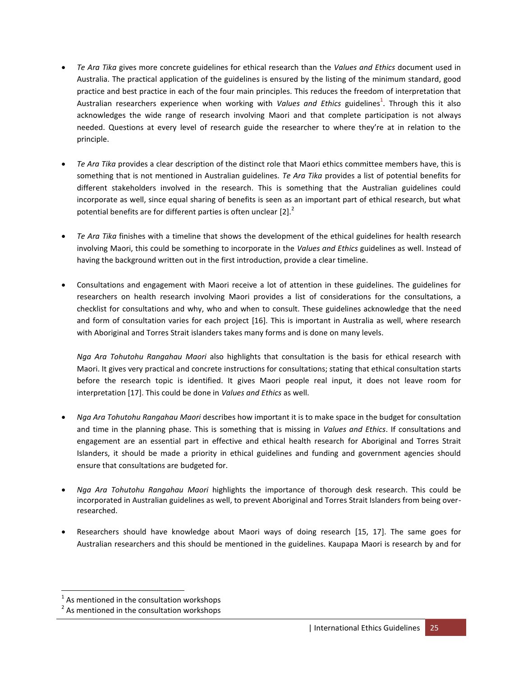- *Te Ara Tika* gives more concrete guidelines for ethical research than the *Values and Ethics* document used in Australia. The practical application of the guidelines is ensured by the listing of the minimum standard, good practice and best practice in each of the four main principles. This reduces the freedom of interpretation that Australian researchers experience when working with *Values and Ethics* guidelines<sup>1</sup>. Through this it also acknowledges the wide range of research involving Maori and that complete participation is not always needed. Questions at every level of research guide the researcher to where they're at in relation to the principle.
- *Te Ara Tika* provides a clear description of the distinct role that Maori ethics committee members have, this is something that is not mentioned in Australian guidelines. *Te Ara Tika* provides a list of potential benefits for different stakeholders involved in the research. This is something that the Australian guidelines could incorporate as well, since equal sharing of benefits is seen as an important part of ethical research, but what potential benefits are for different parties is often unclear  $[2].^2$  $[2].^2$
- *Te Ara Tika* finishes with a timeline that shows the development of the ethical guidelines for health research involving Maori, this could be something to incorporate in the *Values and Ethics* guidelines as well. Instead of having the background written out in the first introduction, provide a clear timeline.
- Consultations and engagement with Maori receive a lot of attention in these guidelines. The guidelines for researchers on health research involving Maori provides a list of considerations for the consultations, a checklist for consultations and why, who and when to consult. These guidelines acknowledge that the need and form of consultation varies for each project [\[16\]](#page-53-16). This is important in Australia as well, where research with Aboriginal and Torres Strait islanders takes many forms and is done on many levels.

*Nga Ara Tohutohu Rangahau Maori* also highlights that consultation is the basis for ethical research with Maori. It gives very practical and concrete instructions for consultations; stating that ethical consultation starts before the research topic is identified. It gives Maori people real input, it does not leave room for interpretation [\[17\]](#page-53-17). This could be done in *Values and Ethics* as well.

- *Nga Ara Tohutohu Rangahau Maori* describes how important it is to make space in the budget for consultation and time in the planning phase. This is something that is missing in *Values and Ethics*. If consultations and engagement are an essential part in effective and ethical health research for Aboriginal and Torres Strait Islanders, it should be made a priority in ethical guidelines and funding and government agencies should ensure that consultations are budgeted for.
- *Nga Ara Tohutohu Rangahau Maori* highlights the importance of thorough desk research. This could be incorporated in Australian guidelines as well, to prevent Aboriginal and Torres Strait Islanders from being overresearched.
- Researchers should have knowledge about Maori ways of doing research [\[15,](#page-53-15) [17\]](#page-53-17). The same goes for Australian researchers and this should be mentioned in the guidelines. Kaupapa Maori is research by and for

 $\overline{a}$ 

 $<sup>1</sup>$  As mentioned in the consultation workshops</sup>

 $2$  As mentioned in the consultation workshops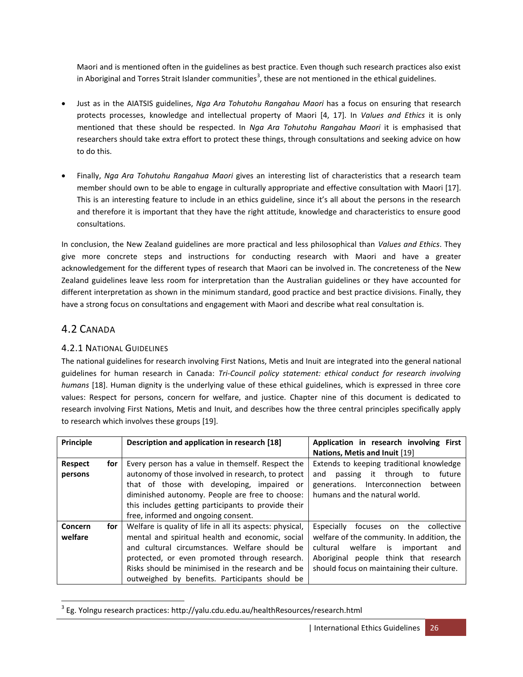Maori and is mentioned often in the guidelines as best practice. Even though such research practices also exist in Aboriginal and Torres Strait Islander communities<sup>3</sup>, these are not mentioned in the ethical guidelines.

- Just as in the AIATSIS guidelines, *Nga Ara Tohutohu Rangahau Maori* has a focus on ensuring that research protects processes, knowledge and intellectual property of Maori [\[4,](#page-53-4) [17\]](#page-53-17). In *Values and Ethics* it is only mentioned that these should be respected. In *Nga Ara Tohutohu Rangahau Maori* it is emphasised that researchers should take extra effort to protect these things, through consultations and seeking advice on how to do this.
- Finally, *Nga Ara Tohutohu Rangahua Maori* gives an interesting list of characteristics that a research team member should own to be able to engage in culturally appropriate and effective consultation with Maori [\[17\]](#page-53-17). This is an interesting feature to include in an ethics guideline, since it's all about the persons in the research and therefore it is important that they have the right attitude, knowledge and characteristics to ensure good consultations.

In conclusion, the New Zealand guidelines are more practical and less philosophical than *Values and Ethics*. They give more concrete steps and instructions for conducting research with Maori and have a greater acknowledgement for the different types of research that Maori can be involved in. The concreteness of the New Zealand guidelines leave less room for interpretation than the Australian guidelines or they have accounted for different interpretation as shown in the minimum standard, good practice and best practice divisions. Finally, they have a strong focus on consultations and engagement with Maori and describe what real consultation is.

# <span id="page-25-0"></span>4.2 CANADA

# <span id="page-25-1"></span>4.2.1 NATIONAL GUIDELINES

The national guidelines for research involving First Nations, Metis and Inuit are integrated into the general national guidelines for human research in Canada: *Tri-Council policy statement: ethical conduct for research involving humans* [\[18\]](#page-53-18). Human dignity is the underlying value of these ethical guidelines, which is expressed in three core values: Respect for persons, concern for welfare, and justice. Chapter nine of this document is dedicated to research involving First Nations, Metis and Inuit, and describes how the three central principles specifically apply to research which involves these groups [\[19\]](#page-53-19).

| Principle                 |                                                                                                                                                                                                                                                                                                                                                                                                                                                                                                                                                                                                                                              | Description and application in research [18] | Application in research involving First<br>Nations, Metis and Inuit [19]                                                                                                                                                         |
|---------------------------|----------------------------------------------------------------------------------------------------------------------------------------------------------------------------------------------------------------------------------------------------------------------------------------------------------------------------------------------------------------------------------------------------------------------------------------------------------------------------------------------------------------------------------------------------------------------------------------------------------------------------------------------|----------------------------------------------|----------------------------------------------------------------------------------------------------------------------------------------------------------------------------------------------------------------------------------|
| <b>Respect</b><br>persons | Every person has a value in themself. Respect the<br>for<br>autonomy of those involved in research, to protect<br>that of those with developing, impaired or<br>diminished autonomy. People are free to choose:<br>this includes getting participants to provide their<br>free, informed and ongoing consent.<br>Welfare is quality of life in all its aspects: physical,<br>for<br>mental and spiritual health and economic, social<br>and cultural circumstances. Welfare should be<br>protected, or even promoted through research.<br>Risks should be minimised in the research and be<br>outweighed by benefits. Participants should be |                                              | Extends to keeping traditional knowledge<br>passing it through<br>future<br>and<br>to<br>generations. Interconnection<br>between<br>humans and the natural world.                                                                |
| Concern<br>welfare        |                                                                                                                                                                                                                                                                                                                                                                                                                                                                                                                                                                                                                                              |                                              | Especially<br>focuses on<br>the collective<br>welfare of the community. In addition, the<br>welfare<br>is<br>cultural<br>important<br>and<br>Aboriginal people think that research<br>should focus on maintaining their culture. |

 $\overline{a}$  $^3$  Eg. Yolngu research practices: http://yalu.cdu.edu.au/healthResources/research.html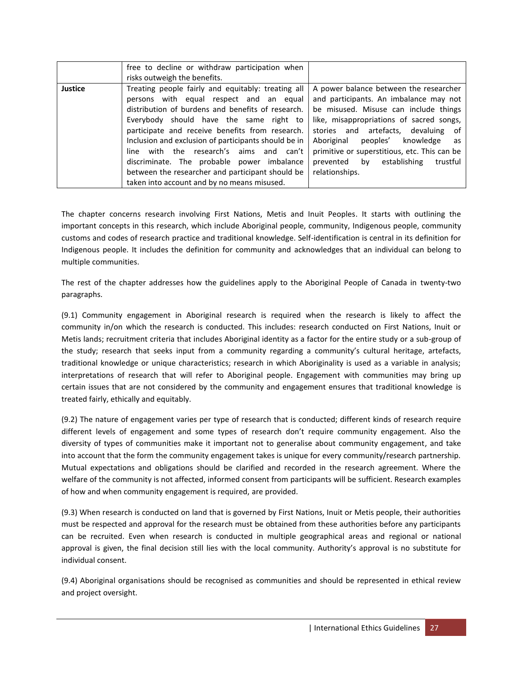|                | free to decline or withdraw participation when<br>risks outweigh the benefits.                                                                                                                                                                                                                                                                                                                                                                                                                       |                                                                                                                                                                                                                                                                                                                                                                            |
|----------------|------------------------------------------------------------------------------------------------------------------------------------------------------------------------------------------------------------------------------------------------------------------------------------------------------------------------------------------------------------------------------------------------------------------------------------------------------------------------------------------------------|----------------------------------------------------------------------------------------------------------------------------------------------------------------------------------------------------------------------------------------------------------------------------------------------------------------------------------------------------------------------------|
| <b>Justice</b> | Treating people fairly and equitably: treating all<br>persons with equal respect and an equal<br>distribution of burdens and benefits of research.<br>Everybody should have the same right to<br>participate and receive benefits from research.<br>Inclusion and exclusion of participants should be in<br>line with the research's aims and can't<br>discriminate. The probable power imbalance<br>between the researcher and participant should be<br>taken into account and by no means misused. | A power balance between the researcher<br>and participants. An imbalance may not<br>be misused. Misuse can include things<br>like, misappropriations of sacred songs,<br>stories and artefacts, devaluing of<br>Aboriginal<br>peoples'<br>knowledge<br>as<br>primitive or superstitious, etc. This can be<br>establishing<br>by<br>trustful<br>prevented<br>relationships. |

The chapter concerns research involving First Nations, Metis and Inuit Peoples. It starts with outlining the important concepts in this research, which include Aboriginal people, community, Indigenous people, community customs and codes of research practice and traditional knowledge. Self-identification is central in its definition for Indigenous people. It includes the definition for community and acknowledges that an individual can belong to multiple communities.

The rest of the chapter addresses how the guidelines apply to the Aboriginal People of Canada in twenty-two paragraphs.

(9.1) Community engagement in Aboriginal research is required when the research is likely to affect the community in/on which the research is conducted. This includes: research conducted on First Nations, Inuit or Metis lands; recruitment criteria that includes Aboriginal identity as a factor for the entire study or a sub-group of the study; research that seeks input from a community regarding a community's cultural heritage, artefacts, traditional knowledge or unique characteristics; research in which Aboriginality is used as a variable in analysis; interpretations of research that will refer to Aboriginal people. Engagement with communities may bring up certain issues that are not considered by the community and engagement ensures that traditional knowledge is treated fairly, ethically and equitably.

(9.2) The nature of engagement varies per type of research that is conducted; different kinds of research require different levels of engagement and some types of research don't require community engagement. Also the diversity of types of communities make it important not to generalise about community engagement, and take into account that the form the community engagement takes is unique for every community/research partnership. Mutual expectations and obligations should be clarified and recorded in the research agreement. Where the welfare of the community is not affected, informed consent from participants will be sufficient. Research examples of how and when community engagement is required, are provided.

(9.3) When research is conducted on land that is governed by First Nations, Inuit or Metis people, their authorities must be respected and approval for the research must be obtained from these authorities before any participants can be recruited. Even when research is conducted in multiple geographical areas and regional or national approval is given, the final decision still lies with the local community. Authority's approval is no substitute for individual consent.

(9.4) Aboriginal organisations should be recognised as communities and should be represented in ethical review and project oversight.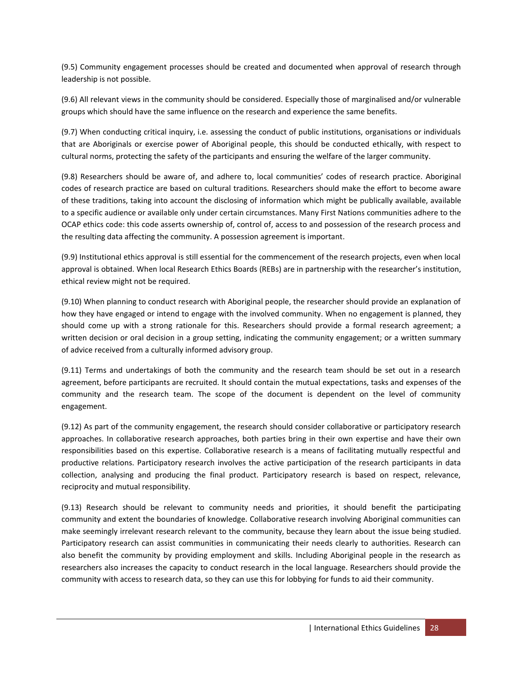(9.5) Community engagement processes should be created and documented when approval of research through leadership is not possible.

(9.6) All relevant views in the community should be considered. Especially those of marginalised and/or vulnerable groups which should have the same influence on the research and experience the same benefits.

(9.7) When conducting critical inquiry, i.e. assessing the conduct of public institutions, organisations or individuals that are Aboriginals or exercise power of Aboriginal people, this should be conducted ethically, with respect to cultural norms, protecting the safety of the participants and ensuring the welfare of the larger community.

(9.8) Researchers should be aware of, and adhere to, local communities' codes of research practice. Aboriginal codes of research practice are based on cultural traditions. Researchers should make the effort to become aware of these traditions, taking into account the disclosing of information which might be publically available, available to a specific audience or available only under certain circumstances. Many First Nations communities adhere to the OCAP ethics code: this code asserts ownership of, control of, access to and possession of the research process and the resulting data affecting the community. A possession agreement is important.

(9.9) Institutional ethics approval is still essential for the commencement of the research projects, even when local approval is obtained. When local Research Ethics Boards (REBs) are in partnership with the researcher's institution, ethical review might not be required.

(9.10) When planning to conduct research with Aboriginal people, the researcher should provide an explanation of how they have engaged or intend to engage with the involved community. When no engagement is planned, they should come up with a strong rationale for this. Researchers should provide a formal research agreement; a written decision or oral decision in a group setting, indicating the community engagement; or a written summary of advice received from a culturally informed advisory group.

(9.11) Terms and undertakings of both the community and the research team should be set out in a research agreement, before participants are recruited. It should contain the mutual expectations, tasks and expenses of the community and the research team. The scope of the document is dependent on the level of community engagement.

(9.12) As part of the community engagement, the research should consider collaborative or participatory research approaches. In collaborative research approaches, both parties bring in their own expertise and have their own responsibilities based on this expertise. Collaborative research is a means of facilitating mutually respectful and productive relations. Participatory research involves the active participation of the research participants in data collection, analysing and producing the final product. Participatory research is based on respect, relevance, reciprocity and mutual responsibility.

(9.13) Research should be relevant to community needs and priorities, it should benefit the participating community and extent the boundaries of knowledge. Collaborative research involving Aboriginal communities can make seemingly irrelevant research relevant to the community, because they learn about the issue being studied. Participatory research can assist communities in communicating their needs clearly to authorities. Research can also benefit the community by providing employment and skills. Including Aboriginal people in the research as researchers also increases the capacity to conduct research in the local language. Researchers should provide the community with access to research data, so they can use this for lobbying for funds to aid their community.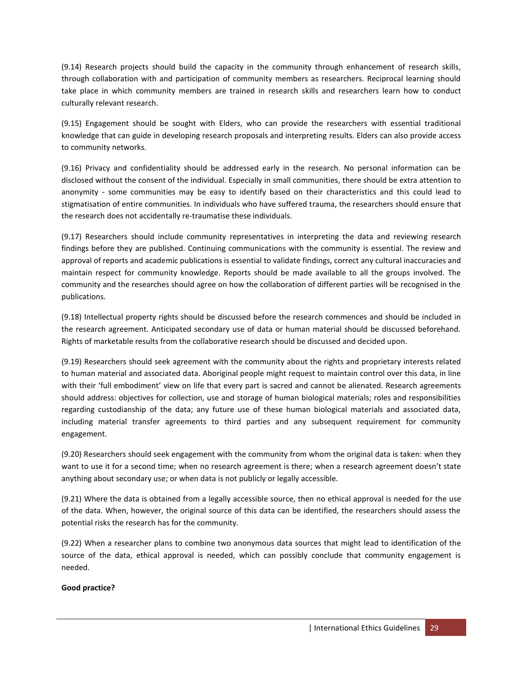(9.14) Research projects should build the capacity in the community through enhancement of research skills, through collaboration with and participation of community members as researchers. Reciprocal learning should take place in which community members are trained in research skills and researchers learn how to conduct culturally relevant research.

(9.15) Engagement should be sought with Elders, who can provide the researchers with essential traditional knowledge that can guide in developing research proposals and interpreting results. Elders can also provide access to community networks.

(9.16) Privacy and confidentiality should be addressed early in the research. No personal information can be disclosed without the consent of the individual. Especially in small communities, there should be extra attention to anonymity - some communities may be easy to identify based on their characteristics and this could lead to stigmatisation of entire communities. In individuals who have suffered trauma, the researchers should ensure that the research does not accidentally re-traumatise these individuals.

(9.17) Researchers should include community representatives in interpreting the data and reviewing research findings before they are published. Continuing communications with the community is essential. The review and approval of reports and academic publications is essential to validate findings, correct any cultural inaccuracies and maintain respect for community knowledge. Reports should be made available to all the groups involved. The community and the researches should agree on how the collaboration of different parties will be recognised in the publications.

(9.18) Intellectual property rights should be discussed before the research commences and should be included in the research agreement. Anticipated secondary use of data or human material should be discussed beforehand. Rights of marketable results from the collaborative research should be discussed and decided upon.

(9.19) Researchers should seek agreement with the community about the rights and proprietary interests related to human material and associated data. Aboriginal people might request to maintain control over this data, in line with their 'full embodiment' view on life that every part is sacred and cannot be alienated. Research agreements should address: objectives for collection, use and storage of human biological materials; roles and responsibilities regarding custodianship of the data; any future use of these human biological materials and associated data, including material transfer agreements to third parties and any subsequent requirement for community engagement.

(9.20) Researchers should seek engagement with the community from whom the original data is taken: when they want to use it for a second time; when no research agreement is there; when a research agreement doesn't state anything about secondary use; or when data is not publicly or legally accessible.

(9.21) Where the data is obtained from a legally accessible source, then no ethical approval is needed for the use of the data. When, however, the original source of this data can be identified, the researchers should assess the potential risks the research has for the community.

(9.22) When a researcher plans to combine two anonymous data sources that might lead to identification of the source of the data, ethical approval is needed, which can possibly conclude that community engagement is needed.

## **Good practice?**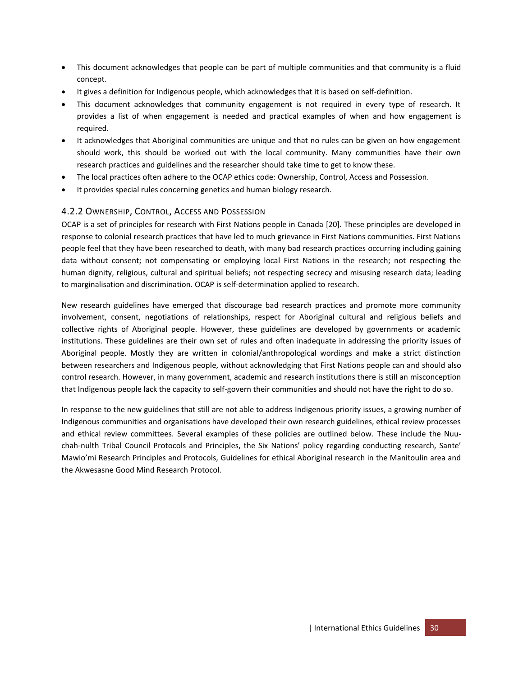- This document acknowledges that people can be part of multiple communities and that community is a fluid concept.
- It gives a definition for Indigenous people, which acknowledges that it is based on self-definition.
- This document acknowledges that community engagement is not required in every type of research. It provides a list of when engagement is needed and practical examples of when and how engagement is required.
- It acknowledges that Aboriginal communities are unique and that no rules can be given on how engagement should work, this should be worked out with the local community. Many communities have their own research practices and guidelines and the researcher should take time to get to know these.
- The local practices often adhere to the OCAP ethics code: Ownership, Control, Access and Possession.
- It provides special rules concerning genetics and human biology research.

## <span id="page-29-0"></span>4.2.2 OWNERSHIP, CONTROL, ACCESS AND POSSESSION

OCAP is a set of principles for research with First Nations people in Canada [\[20\]](#page-53-20). These principles are developed in response to colonial research practices that have led to much grievance in First Nations communities. First Nations people feel that they have been researched to death, with many bad research practices occurring including gaining data without consent; not compensating or employing local First Nations in the research; not respecting the human dignity, religious, cultural and spiritual beliefs; not respecting secrecy and misusing research data; leading to marginalisation and discrimination. OCAP is self-determination applied to research.

New research guidelines have emerged that discourage bad research practices and promote more community involvement, consent, negotiations of relationships, respect for Aboriginal cultural and religious beliefs and collective rights of Aboriginal people. However, these guidelines are developed by governments or academic institutions. These guidelines are their own set of rules and often inadequate in addressing the priority issues of Aboriginal people. Mostly they are written in colonial/anthropological wordings and make a strict distinction between researchers and Indigenous people, without acknowledging that First Nations people can and should also control research. However, in many government, academic and research institutions there is still an misconception that Indigenous people lack the capacity to self-govern their communities and should not have the right to do so.

In response to the new guidelines that still are not able to address Indigenous priority issues, a growing number of Indigenous communities and organisations have developed their own research guidelines, ethical review processes and ethical review committees. Several examples of these policies are outlined below. These include the Nuuchah-nulth Tribal Council Protocols and Principles, the Six Nations' policy regarding conducting research, Sante' Mawio'mi Research Principles and Protocols, Guidelines for ethical Aboriginal research in the Manitoulin area and the Akwesasne Good Mind Research Protocol.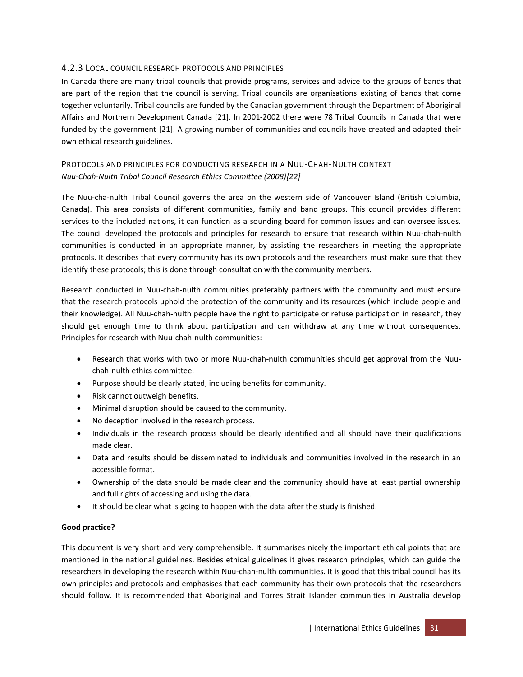## <span id="page-30-0"></span>4.2.3 LOCAL COUNCIL RESEARCH PROTOCOLS AND PRINCIPLES

In Canada there are many tribal councils that provide programs, services and advice to the groups of bands that are part of the region that the council is serving. Tribal councils are organisations existing of bands that come together voluntarily. Tribal councils are funded by the Canadian government through the Department of Aboriginal Affairs and Northern Development Canada [\[21\]](#page-54-0). In 2001-2002 there were 78 Tribal Councils in Canada that were funded by the government [\[21\]](#page-54-0). A growing number of communities and councils have created and adapted their own ethical research guidelines.

## PROTOCOLS AND PRINCIPLES FOR CONDUCTING RESEARCH IN A NUU-CHAH-NULTH CONTEXT *Nuu-Chah-Nulth Tribal Council Research Ethics Committee (2008)[\[22\]](#page-54-1)*

The Nuu-cha-nulth Tribal Council governs the area on the western side of Vancouver Island (British Columbia, Canada). This area consists of different communities, family and band groups. This council provides different services to the included nations, it can function as a sounding board for common issues and can oversee issues. The council developed the protocols and principles for research to ensure that research within Nuu-chah-nulth communities is conducted in an appropriate manner, by assisting the researchers in meeting the appropriate protocols. It describes that every community has its own protocols and the researchers must make sure that they identify these protocols; this is done through consultation with the community members.

Research conducted in Nuu-chah-nulth communities preferably partners with the community and must ensure that the research protocols uphold the protection of the community and its resources (which include people and their knowledge). All Nuu-chah-nulth people have the right to participate or refuse participation in research, they should get enough time to think about participation and can withdraw at any time without consequences. Principles for research with Nuu-chah-nulth communities:

- Research that works with two or more Nuu-chah-nulth communities should get approval from the Nuuchah-nulth ethics committee.
- Purpose should be clearly stated, including benefits for community.
- Risk cannot outweigh benefits.
- Minimal disruption should be caused to the community.
- No deception involved in the research process.
- Individuals in the research process should be clearly identified and all should have their qualifications made clear.
- Data and results should be disseminated to individuals and communities involved in the research in an accessible format.
- Ownership of the data should be made clear and the community should have at least partial ownership and full rights of accessing and using the data.
- It should be clear what is going to happen with the data after the study is finished.

## **Good practice?**

This document is very short and very comprehensible. It summarises nicely the important ethical points that are mentioned in the national guidelines. Besides ethical guidelines it gives research principles, which can guide the researchers in developing the research within Nuu-chah-nulth communities. It is good that this tribal council has its own principles and protocols and emphasises that each community has their own protocols that the researchers should follow. It is recommended that Aboriginal and Torres Strait Islander communities in Australia develop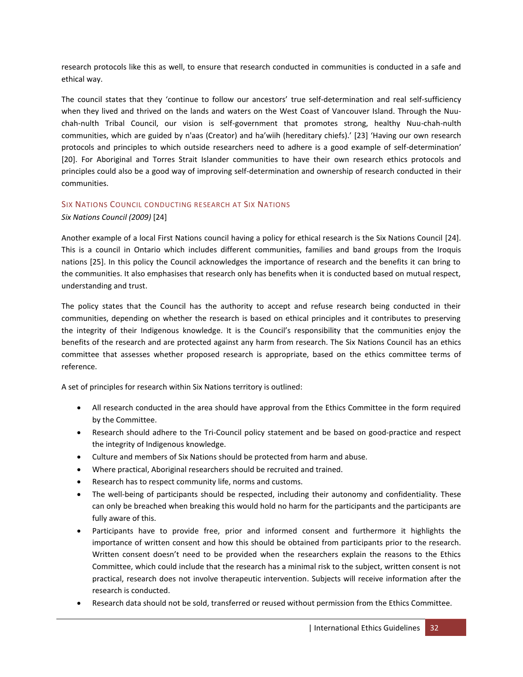research protocols like this as well, to ensure that research conducted in communities is conducted in a safe and ethical way.

The council states that they 'continue to follow our ancestors' true self-determination and real self-sufficiency when they lived and thrived on the lands and waters on the West Coast of Vancouver Island. Through the Nuuchah-nulth Tribal Council, our vision is self-government that promotes strong, healthy Nuu-chah-nulth communities, which are guided by n'aas (Creator) and ha'wiih (hereditary chiefs).' [\[23\]](#page-54-2) 'Having our own research protocols and principles to which outside researchers need to adhere is a good example of self-determination' [\[20\]](#page-53-20). For Aboriginal and Torres Strait Islander communities to have their own research ethics protocols and principles could also be a good way of improving self-determination and ownership of research conducted in their communities.

#### SIX NATIONS COUNCIL CONDUCTING RESEARCH AT SIX NATIONS

*Six Nations Council (2009)* [\[24\]](#page-54-3)

Another example of a local First Nations council having a policy for ethical research is the Six Nations Council [\[24\]](#page-54-3). This is a council in Ontario which includes different communities, families and band groups from the Iroquis nations [\[25\]](#page-54-4). In this policy the Council acknowledges the importance of research and the benefits it can bring to the communities. It also emphasises that research only has benefits when it is conducted based on mutual respect, understanding and trust.

The policy states that the Council has the authority to accept and refuse research being conducted in their communities, depending on whether the research is based on ethical principles and it contributes to preserving the integrity of their Indigenous knowledge. It is the Council's responsibility that the communities enjoy the benefits of the research and are protected against any harm from research. The Six Nations Council has an ethics committee that assesses whether proposed research is appropriate, based on the ethics committee terms of reference.

A set of principles for research within Six Nations territory is outlined:

- All research conducted in the area should have approval from the Ethics Committee in the form required by the Committee.
- Research should adhere to the Tri-Council policy statement and be based on good-practice and respect the integrity of Indigenous knowledge.
- Culture and members of Six Nations should be protected from harm and abuse.
- Where practical, Aboriginal researchers should be recruited and trained.
- Research has to respect community life, norms and customs.
- The well-being of participants should be respected, including their autonomy and confidentiality. These can only be breached when breaking this would hold no harm for the participants and the participants are fully aware of this.
- Participants have to provide free, prior and informed consent and furthermore it highlights the importance of written consent and how this should be obtained from participants prior to the research. Written consent doesn't need to be provided when the researchers explain the reasons to the Ethics Committee, which could include that the research has a minimal risk to the subject, written consent is not practical, research does not involve therapeutic intervention. Subjects will receive information after the research is conducted.
- Research data should not be sold, transferred or reused without permission from the Ethics Committee.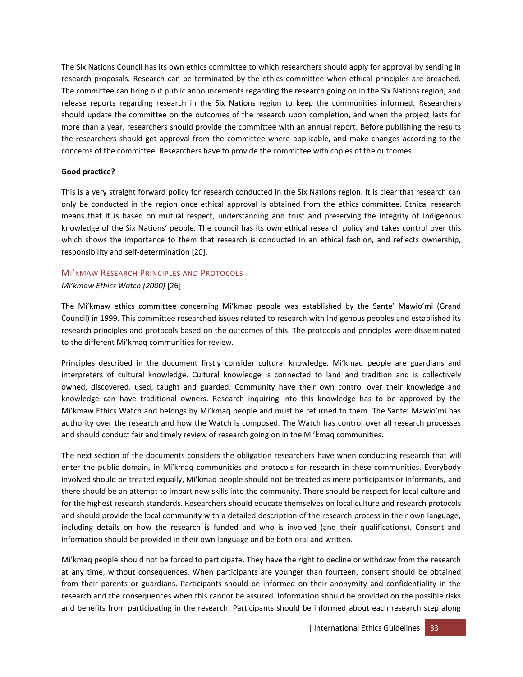The Six Nations Council has its own ethics committee to which researchers should apply for approval by sending in research proposals. Research can be terminated by the ethics committee when ethical principles are breached. The committee can bring out public announcements regarding the research going on in the Six Nations region, and release reports regarding research in the Six Nations region to keep the communities informed. Researchers should update the committee on the outcomes of the research upon completion, and when the project lasts for more than a year, researchers should provide the committee with an annual report. Before publishing the results the researchers should get approval from the committee where applicable, and make changes according to the concerns of the committee. Researchers have to provide the committee with copies of the outcomes.

#### **Good practice?**

This is a very straight forward policy for research conducted in the Six Nations region. It is clear that research can only be conducted in the region once ethical approval is obtained from the ethics committee. Ethical research means that it is based on mutual respect, understanding and trust and preserving the integrity of Indigenous knowledge of the Six Nations' people. The council has its own ethical research policy and takes control over this which shows the importance to them that research is conducted in an ethical fashion, and reflects ownership, responsibility and self-determination [\[20\]](#page-53-20).

## MI'KMAW RESEARCH PRINCIPLES AND PROTOCOLS

#### *Mi'kmaw Ethics Watch (2000)* [\[26\]](#page-54-5)

The Mi'kmaw ethics committee concerning Mi'kmaq people was established by the Sante' Mawio'mi (Grand Council) in 1999. This committee researched issues related to research with Indigenous peoples and established its research principles and protocols based on the outcomes of this. The protocols and principles were disseminated to the different Mi'kmaq communities for review.

Principles described in the document firstly consider cultural knowledge. Mi'kmaq people are guardians and interpreters of cultural knowledge. Cultural knowledge is connected to land and tradition and is collectively owned, discovered, used, taught and guarded. Community have their own control over their knowledge and knowledge can have traditional owners. Research inquiring into this knowledge has to be approved by the Mi'kmaw Ethics Watch and belongs by Mi'kmaq people and must be returned to them. The Sante' Mawio'mi has authority over the research and how the Watch is composed. The Watch has control over all research processes and should conduct fair and timely review of research going on in the Mi'kmaq communities.

The next section of the documents considers the obligation researchers have when conducting research that will enter the public domain, in Mi'kmaq communities and protocols for research in these communities. Everybody involved should be treated equally, Mi'kmaq people should not be treated as mere participants or informants, and there should be an attempt to impart new skills into the community. There should be respect for local culture and for the highest research standards. Researchers should educate themselves on local culture and research protocols and should provide the local community with a detailed description of the research process in their own language, including details on how the research is funded and who is involved (and their qualifications). Consent and information should be provided in their own language and be both oral and written.

Mi'kmaq people should not be forced to participate. They have the right to decline or withdraw from the research at any time, without consequences. When participants are younger than fourteen, consent should be obtained from their parents or guardians. Participants should be informed on their anonymity and confidentiality in the research and the consequences when this cannot be assured. Information should be provided on the possible risks and benefits from participating in the research. Participants should be informed about each research step along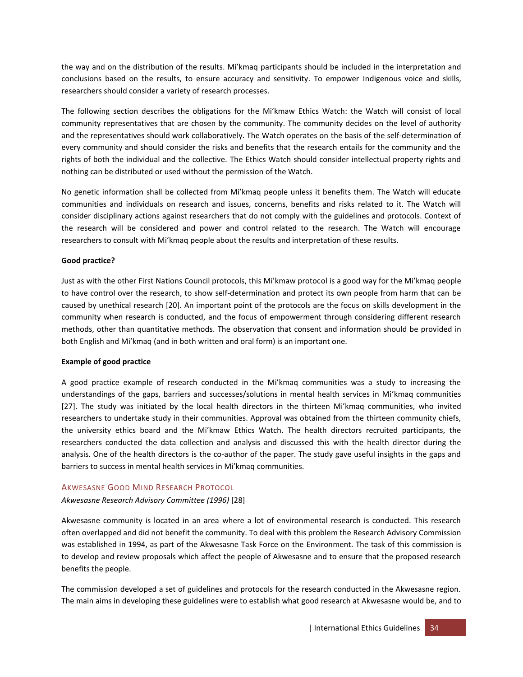the way and on the distribution of the results. Mi'kmaq participants should be included in the interpretation and conclusions based on the results, to ensure accuracy and sensitivity. To empower Indigenous voice and skills, researchers should consider a variety of research processes.

The following section describes the obligations for the Mi'kmaw Ethics Watch: the Watch will consist of local community representatives that are chosen by the community. The community decides on the level of authority and the representatives should work collaboratively. The Watch operates on the basis of the self-determination of every community and should consider the risks and benefits that the research entails for the community and the rights of both the individual and the collective. The Ethics Watch should consider intellectual property rights and nothing can be distributed or used without the permission of the Watch.

No genetic information shall be collected from Mi'kmaq people unless it benefits them. The Watch will educate communities and individuals on research and issues, concerns, benefits and risks related to it. The Watch will consider disciplinary actions against researchers that do not comply with the guidelines and protocols. Context of the research will be considered and power and control related to the research. The Watch will encourage researchers to consult with Mi'kmaq people about the results and interpretation of these results.

#### **Good practice?**

Just as with the other First Nations Council protocols, this Mi'kmaw protocol is a good way for the Mi'kmaq people to have control over the research, to show self-determination and protect its own people from harm that can be caused by unethical research [\[20\]](#page-53-20). An important point of the protocols are the focus on skills development in the community when research is conducted, and the focus of empowerment through considering different research methods, other than quantitative methods. The observation that consent and information should be provided in both English and Mi'kmaq (and in both written and oral form) is an important one.

#### **Example of good practice**

A good practice example of research conducted in the Mi'kmaq communities was a study to increasing the understandings of the gaps, barriers and successes/solutions in mental health services in Mi'kmaq communities [\[27\]](#page-54-6). The study was initiated by the local health directors in the thirteen Mi'kmaq communities, who invited researchers to undertake study in their communities. Approval was obtained from the thirteen community chiefs, the university ethics board and the Mi'kmaw Ethics Watch. The health directors recruited participants, the researchers conducted the data collection and analysis and discussed this with the health director during the analysis. One of the health directors is the co-author of the paper. The study gave useful insights in the gaps and barriers to success in mental health services in Mi'kmaq communities.

#### AKWESASNE GOOD MIND RESEARCH PROTOCOL

## *Akwesasne Research Advisory Committee (1996)* [\[28\]](#page-54-7)

Akwesasne community is located in an area where a lot of environmental research is conducted. This research often overlapped and did not benefit the community. To deal with this problem the Research Advisory Commission was established in 1994, as part of the Akwesasne Task Force on the Environment. The task of this commission is to develop and review proposals which affect the people of Akwesasne and to ensure that the proposed research benefits the people.

The commission developed a set of guidelines and protocols for the research conducted in the Akwesasne region. The main aims in developing these guidelines were to establish what good research at Akwesasne would be, and to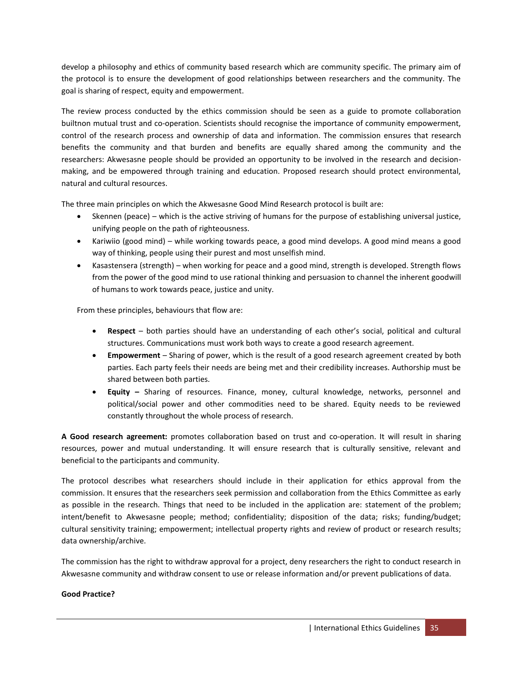develop a philosophy and ethics of community based research which are community specific. The primary aim of the protocol is to ensure the development of good relationships between researchers and the community. The goal is sharing of respect, equity and empowerment.

The review process conducted by the ethics commission should be seen as a guide to promote collaboration builtnon mutual trust and co-operation. Scientists should recognise the importance of community empowerment, control of the research process and ownership of data and information. The commission ensures that research benefits the community and that burden and benefits are equally shared among the community and the researchers: Akwesasne people should be provided an opportunity to be involved in the research and decisionmaking, and be empowered through training and education. Proposed research should protect environmental, natural and cultural resources.

The three main principles on which the Akwesasne Good Mind Research protocol is built are:

- Skennen (peace) which is the active striving of humans for the purpose of establishing universal justice, unifying people on the path of righteousness.
- Kariwiio (good mind) while working towards peace, a good mind develops. A good mind means a good way of thinking, people using their purest and most unselfish mind.
- Kasastensera (strength) when working for peace and a good mind, strength is developed. Strength flows from the power of the good mind to use rational thinking and persuasion to channel the inherent goodwill of humans to work towards peace, justice and unity.

From these principles, behaviours that flow are:

- **Respect** both parties should have an understanding of each other's social, political and cultural structures. Communications must work both ways to create a good research agreement.
- **Empowerment**  Sharing of power, which is the result of a good research agreement created by both parties. Each party feels their needs are being met and their credibility increases. Authorship must be shared between both parties.
- **Equity –** Sharing of resources. Finance, money, cultural knowledge, networks, personnel and political/social power and other commodities need to be shared. Equity needs to be reviewed constantly throughout the whole process of research.

**A Good research agreement:** promotes collaboration based on trust and co-operation. It will result in sharing resources, power and mutual understanding. It will ensure research that is culturally sensitive, relevant and beneficial to the participants and community.

The protocol describes what researchers should include in their application for ethics approval from the commission. It ensures that the researchers seek permission and collaboration from the Ethics Committee as early as possible in the research. Things that need to be included in the application are: statement of the problem; intent/benefit to Akwesasne people; method; confidentiality; disposition of the data; risks; funding/budget; cultural sensitivity training; empowerment; intellectual property rights and review of product or research results; data ownership/archive.

The commission has the right to withdraw approval for a project, deny researchers the right to conduct research in Akwesasne community and withdraw consent to use or release information and/or prevent publications of data.

#### **Good Practice?**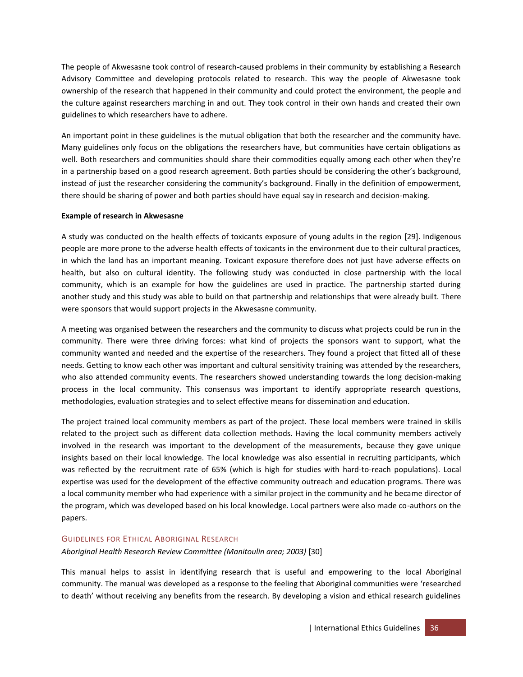The people of Akwesasne took control of research-caused problems in their community by establishing a Research Advisory Committee and developing protocols related to research. This way the people of Akwesasne took ownership of the research that happened in their community and could protect the environment, the people and the culture against researchers marching in and out. They took control in their own hands and created their own guidelines to which researchers have to adhere.

An important point in these guidelines is the mutual obligation that both the researcher and the community have. Many guidelines only focus on the obligations the researchers have, but communities have certain obligations as well. Both researchers and communities should share their commodities equally among each other when they're in a partnership based on a good research agreement. Both parties should be considering the other's background, instead of just the researcher considering the community's background. Finally in the definition of empowerment, there should be sharing of power and both parties should have equal say in research and decision-making.

#### **Example of research in Akwesasne**

A study was conducted on the health effects of toxicants exposure of young adults in the region [\[29\]](#page-54-8). Indigenous people are more prone to the adverse health effects of toxicants in the environment due to their cultural practices, in which the land has an important meaning. Toxicant exposure therefore does not just have adverse effects on health, but also on cultural identity. The following study was conducted in close partnership with the local community, which is an example for how the guidelines are used in practice. The partnership started during another study and this study was able to build on that partnership and relationships that were already built. There were sponsors that would support projects in the Akwesasne community.

A meeting was organised between the researchers and the community to discuss what projects could be run in the community. There were three driving forces: what kind of projects the sponsors want to support, what the community wanted and needed and the expertise of the researchers. They found a project that fitted all of these needs. Getting to know each other was important and cultural sensitivity training was attended by the researchers, who also attended community events. The researchers showed understanding towards the long decision-making process in the local community. This consensus was important to identify appropriate research questions, methodologies, evaluation strategies and to select effective means for dissemination and education.

The project trained local community members as part of the project. These local members were trained in skills related to the project such as different data collection methods. Having the local community members actively involved in the research was important to the development of the measurements, because they gave unique insights based on their local knowledge. The local knowledge was also essential in recruiting participants, which was reflected by the recruitment rate of 65% (which is high for studies with hard-to-reach populations). Local expertise was used for the development of the effective community outreach and education programs. There was a local community member who had experience with a similar project in the community and he became director of the program, which was developed based on his local knowledge. Local partners were also made co-authors on the papers.

## GUIDELINES FOR ETHICAL ABORIGINAL RESEARCH

## *Aboriginal Health Research Review Committee (Manitoulin area; 2003)* [\[30\]](#page-54-9)

This manual helps to assist in identifying research that is useful and empowering to the local Aboriginal community. The manual was developed as a response to the feeling that Aboriginal communities were 'researched to death' without receiving any benefits from the research. By developing a vision and ethical research guidelines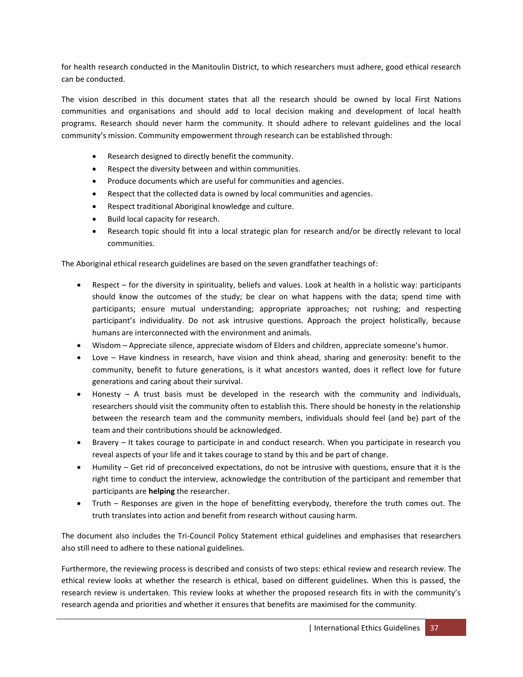for health research conducted in the Manitoulin District, to which researchers must adhere, good ethical research can be conducted.

The vision described in this document states that all the research should be owned by local First Nations communities and organisations and should add to local decision making and development of local health programs. Research should never harm the community. It should adhere to relevant guidelines and the local community's mission. Community empowerment through research can be established through:

- Research designed to directly benefit the community.
- Respect the diversity between and within communities.
- Produce documents which are useful for communities and agencies.
- Respect that the collected data is owned by local communities and agencies.
- Respect traditional Aboriginal knowledge and culture.
- Build local capacity for research.
- Research topic should fit into a local strategic plan for research and/or be directly relevant to local communities.

The Aboriginal ethical research guidelines are based on the seven grandfather teachings of:

- Respect for the diversity in spirituality, beliefs and values. Look at health in a holistic way: participants should know the outcomes of the study; be clear on what happens with the data; spend time with participants; ensure mutual understanding; appropriate approaches; not rushing; and respecting participant's individuality. Do not ask intrusive questions. Approach the project holistically, because humans are interconnected with the environment and animals.
- Wisdom Appreciate silence, appreciate wisdom of Elders and children, appreciate someone's humor.
- Love Have kindness in research, have vision and think ahead, sharing and generosity: benefit to the community, benefit to future generations, is it what ancestors wanted, does it reflect love for future generations and caring about their survival.
- Honesty A trust basis must be developed in the research with the community and individuals, researchers should visit the community often to establish this. There should be honesty in the relationship between the research team and the community members, individuals should feel (and be) part of the team and their contributions should be acknowledged.
- Bravery It takes courage to participate in and conduct research. When you participate in research you reveal aspects of your life and it takes courage to stand by this and be part of change.
- Humility Get rid of preconceived expectations, do not be intrusive with questions, ensure that it is the right time to conduct the interview, acknowledge the contribution of the participant and remember that participants are **helping** the researcher.
- Truth Responses are given in the hope of benefitting everybody, therefore the truth comes out. The truth translates into action and benefit from research without causing harm.

The document also includes the Tri-Council Policy Statement ethical guidelines and emphasises that researchers also still need to adhere to these national guidelines.

Furthermore, the reviewing process is described and consists of two steps: ethical review and research review. The ethical review looks at whether the research is ethical, based on different guidelines. When this is passed, the research review is undertaken. This review looks at whether the proposed research fits in with the community's research agenda and priorities and whether it ensures that benefits are maximised for the community.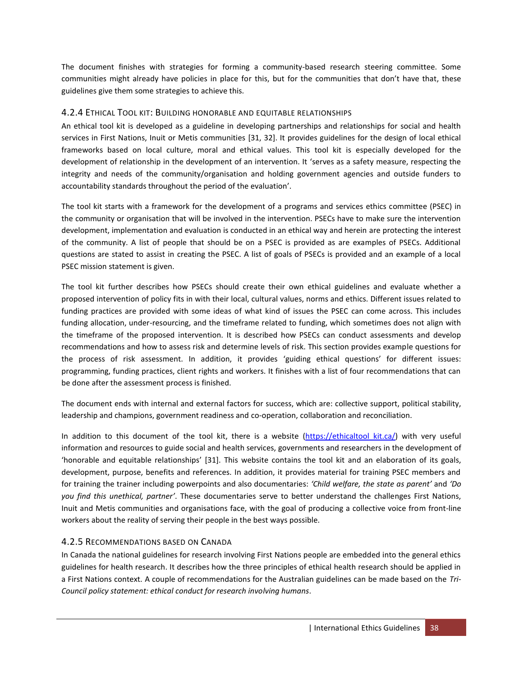The document finishes with strategies for forming a community-based research steering committee. Some communities might already have policies in place for this, but for the communities that don't have that, these guidelines give them some strategies to achieve this.

## <span id="page-37-0"></span>4.2.4 ETHICAL TOOL KIT: BUILDING HONORABLE AND EQUITABLE RELATIONSHIPS

An ethical tool kit is developed as a guideline in developing partnerships and relationships for social and health services in First Nations, Inuit or Metis communities [\[31,](#page-54-10) [32\]](#page-54-11). It provides guidelines for the design of local ethical frameworks based on local culture, moral and ethical values. This tool kit is especially developed for the development of relationship in the development of an intervention. It 'serves as a safety measure, respecting the integrity and needs of the community/organisation and holding government agencies and outside funders to accountability standards throughout the period of the evaluation'.

The tool kit starts with a framework for the development of a programs and services ethics committee (PSEC) in the community or organisation that will be involved in the intervention. PSECs have to make sure the intervention development, implementation and evaluation is conducted in an ethical way and herein are protecting the interest of the community. A list of people that should be on a PSEC is provided as are examples of PSECs. Additional questions are stated to assist in creating the PSEC. A list of goals of PSECs is provided and an example of a local PSEC mission statement is given.

The tool kit further describes how PSECs should create their own ethical guidelines and evaluate whether a proposed intervention of policy fits in with their local, cultural values, norms and ethics. Different issues related to funding practices are provided with some ideas of what kind of issues the PSEC can come across. This includes funding allocation, under-resourcing, and the timeframe related to funding, which sometimes does not align with the timeframe of the proposed intervention. It is described how PSECs can conduct assessments and develop recommendations and how to assess risk and determine levels of risk. This section provides example questions for the process of risk assessment. In addition, it provides 'guiding ethical questions' for different issues: programming, funding practices, client rights and workers. It finishes with a list of four recommendations that can be done after the assessment process is finished.

The document ends with internal and external factors for success, which are: collective support, political stability, leadership and champions, government readiness and co-operation, collaboration and reconciliation.

In addition to this document of the tool kit, there is a website [\(https://ethicaltool kit.ca/\)](https://ethicaltoolkit.ca/) with very useful information and resources to guide social and health services, governments and researchers in the development of 'honorable and equitable relationships' [\[31\]](#page-54-10). This website contains the tool kit and an elaboration of its goals, development, purpose, benefits and references. In addition, it provides material for training PSEC members and for training the trainer including powerpoints and also documentaries: *'Child welfare, the state as parent'* and *'Do you find this unethical, partner'*. These documentaries serve to better understand the challenges First Nations, Inuit and Metis communities and organisations face, with the goal of producing a collective voice from front-line workers about the reality of serving their people in the best ways possible.

## <span id="page-37-1"></span>4.2.5 RECOMMENDATIONS BASED ON CANADA

In Canada the national guidelines for research involving First Nations people are embedded into the general ethics guidelines for health research. It describes how the three principles of ethical health research should be applied in a First Nations context. A couple of recommendations for the Australian guidelines can be made based on the *Tri-Council policy statement: ethical conduct for research involving humans*.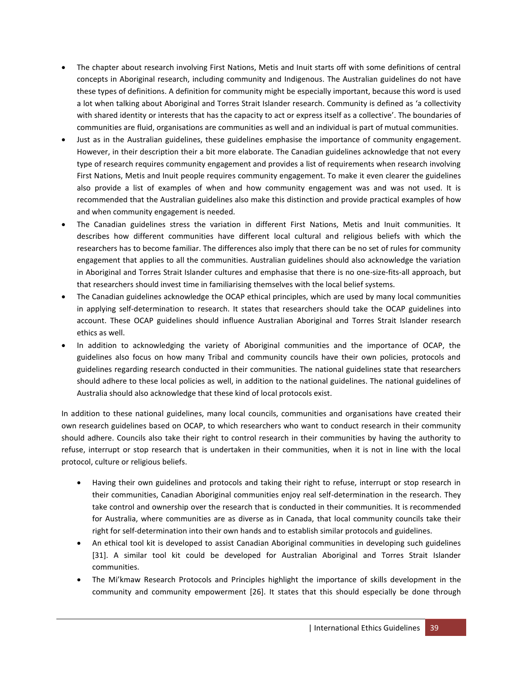- The chapter about research involving First Nations, Metis and Inuit starts off with some definitions of central concepts in Aboriginal research, including community and Indigenous. The Australian guidelines do not have these types of definitions. A definition for community might be especially important, because this word is used a lot when talking about Aboriginal and Torres Strait Islander research. Community is defined as 'a collectivity with shared identity or interests that has the capacity to act or express itself as a collective'. The boundaries of communities are fluid, organisations are communities as well and an individual is part of mutual communities.
- Just as in the Australian guidelines, these guidelines emphasise the importance of community engagement. However, in their description their a bit more elaborate. The Canadian guidelines acknowledge that not every type of research requires community engagement and provides a list of requirements when research involving First Nations, Metis and Inuit people requires community engagement. To make it even clearer the guidelines also provide a list of examples of when and how community engagement was and was not used. It is recommended that the Australian guidelines also make this distinction and provide practical examples of how and when community engagement is needed.
- The Canadian guidelines stress the variation in different First Nations, Metis and Inuit communities. It describes how different communities have different local cultural and religious beliefs with which the researchers has to become familiar. The differences also imply that there can be no set of rules for community engagement that applies to all the communities. Australian guidelines should also acknowledge the variation in Aboriginal and Torres Strait Islander cultures and emphasise that there is no one-size-fits-all approach, but that researchers should invest time in familiarising themselves with the local belief systems.
- The Canadian guidelines acknowledge the OCAP ethical principles, which are used by many local communities in applying self-determination to research. It states that researchers should take the OCAP guidelines into account. These OCAP guidelines should influence Australian Aboriginal and Torres Strait Islander research ethics as well.
- In addition to acknowledging the variety of Aboriginal communities and the importance of OCAP, the guidelines also focus on how many Tribal and community councils have their own policies, protocols and guidelines regarding research conducted in their communities. The national guidelines state that researchers should adhere to these local policies as well, in addition to the national guidelines. The national guidelines of Australia should also acknowledge that these kind of local protocols exist.

In addition to these national guidelines, many local councils, communities and organisations have created their own research guidelines based on OCAP, to which researchers who want to conduct research in their community should adhere. Councils also take their right to control research in their communities by having the authority to refuse, interrupt or stop research that is undertaken in their communities, when it is not in line with the local protocol, culture or religious beliefs.

- Having their own guidelines and protocols and taking their right to refuse, interrupt or stop research in their communities, Canadian Aboriginal communities enjoy real self-determination in the research. They take control and ownership over the research that is conducted in their communities. It is recommended for Australia, where communities are as diverse as in Canada, that local community councils take their right for self-determination into their own hands and to establish similar protocols and guidelines.
- An ethical tool kit is developed to assist Canadian Aboriginal communities in developing such guidelines [\[31\]](#page-54-10). A similar tool kit could be developed for Australian Aboriginal and Torres Strait Islander communities.
- The Mi'kmaw Research Protocols and Principles highlight the importance of skills development in the community and community empowerment [\[26\]](#page-54-5). It states that this should especially be done through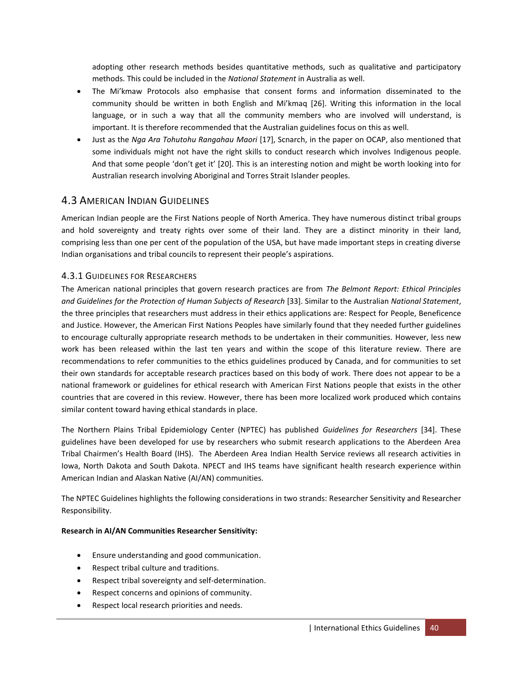adopting other research methods besides quantitative methods, such as qualitative and participatory methods. This could be included in the *National Statement* in Australia as well.

- The Mi'kmaw Protocols also emphasise that consent forms and information disseminated to the community should be written in both English and Mi'kmaq [\[26\]](#page-54-5). Writing this information in the local language, or in such a way that all the community members who are involved will understand, is important. It is therefore recommended that the Australian guidelines focus on this as well.
- Just as the *Nga Ara Tohutohu Rangahau Maori* [\[17\]](#page-53-17), Scnarch, in the paper on OCAP, also mentioned that some individuals might not have the right skills to conduct research which involves Indigenous people. And that some people 'don't get it' [\[20\]](#page-53-20). This is an interesting notion and might be worth looking into for Australian research involving Aboriginal and Torres Strait Islander peoples.

# <span id="page-39-0"></span>4.3 AMERICAN INDIAN GUIDELINES

American Indian people are the First Nations people of North America. They have numerous distinct tribal groups and hold sovereignty and treaty rights over some of their land. They are a distinct minority in their land, comprising less than one per cent of the population of the USA, but have made important steps in creating diverse Indian organisations and tribal councils to represent their people's aspirations.

## <span id="page-39-1"></span>4.3.1 GUIDELINES FOR RESEARCHERS

The American national principles that govern research practices are from *The Belmont Report: Ethical Principles and Guidelines for the Protection of Human Subjects of Research* [\[33\]](#page-54-12). Similar to the Australian *National Statement*, the three principles that researchers must address in their ethics applications are: Respect for People, Beneficence and Justice. However, the American First Nations Peoples have similarly found that they needed further guidelines to encourage culturally appropriate research methods to be undertaken in their communities. However, less new work has been released within the last ten years and within the scope of this literature review. There are recommendations to refer communities to the ethics guidelines produced by Canada, and for communities to set their own standards for acceptable research practices based on this body of work. There does not appear to be a national framework or guidelines for ethical research with American First Nations people that exists in the other countries that are covered in this review. However, there has been more localized work produced which contains similar content toward having ethical standards in place.

The Northern Plains Tribal Epidemiology Center (NPTEC) has published *Guidelines for Researchers* [\[34\]](#page-54-13). These guidelines have been developed for use by researchers who submit research applications to the Aberdeen Area Tribal Chairmen's Health Board (IHS). The Aberdeen Area Indian Health Service reviews all research activities in Iowa, North Dakota and South Dakota. NPECT and IHS teams have significant health research experience within American Indian and Alaskan Native (AI/AN) communities.

The NPTEC Guidelines highlights the following considerations in two strands: Researcher Sensitivity and Researcher Responsibility.

#### **Research in AI/AN Communities Researcher Sensitivity:**

- Ensure understanding and good communication.
- Respect tribal culture and traditions.
- Respect tribal sovereignty and self-determination.
- Respect concerns and opinions of community.
- Respect local research priorities and needs.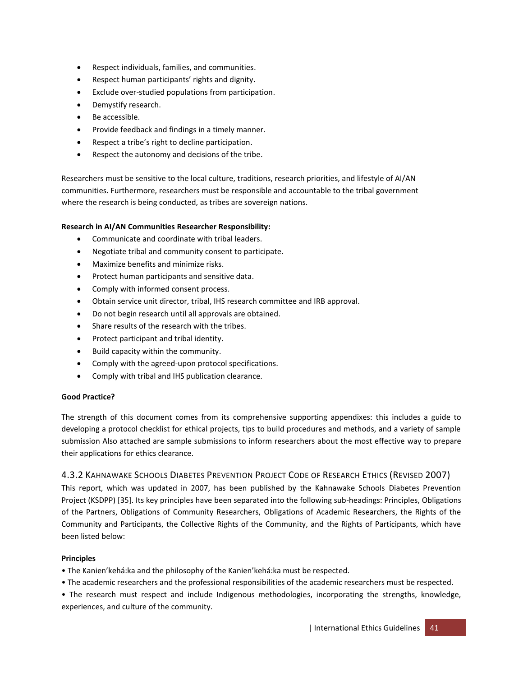- Respect individuals, families, and communities.
- Respect human participants' rights and dignity.
- Exclude over-studied populations from participation.
- Demystify research.
- Be accessible.
- Provide feedback and findings in a timely manner.
- Respect a tribe's right to decline participation.
- Respect the autonomy and decisions of the tribe.

Researchers must be sensitive to the local culture, traditions, research priorities, and lifestyle of AI/AN communities. Furthermore, researchers must be responsible and accountable to the tribal government where the research is being conducted, as tribes are sovereign nations.

#### **Research in AI/AN Communities Researcher Responsibility:**

- Communicate and coordinate with tribal leaders.
- Negotiate tribal and community consent to participate.
- Maximize benefits and minimize risks.
- Protect human participants and sensitive data.
- Comply with informed consent process.
- Obtain service unit director, tribal, IHS research committee and IRB approval.
- Do not begin research until all approvals are obtained.
- Share results of the research with the tribes.
- Protect participant and tribal identity.
- Build capacity within the community.
- Comply with the agreed-upon protocol specifications.
- Comply with tribal and IHS publication clearance.

#### **Good Practice?**

The strength of this document comes from its comprehensive supporting appendixes: this includes a guide to developing a protocol checklist for ethical projects, tips to build procedures and methods, and a variety of sample submission Also attached are sample submissions to inform researchers about the most effective way to prepare their applications for ethics clearance.

## <span id="page-40-0"></span>4.3.2 KAHNAWAKE SCHOOLS DIABETES PREVENTION PROJECT CODE OF RESEARCH ETHICS (REVISED 2007)

This report, which was updated in 2007, has been published by the Kahnawake Schools Diabetes Prevention Project (KSDPP) [\[35\]](#page-54-14). Its key principles have been separated into the following sub-headings: Principles, Obligations of the Partners, Obligations of Community Researchers, Obligations of Academic Researchers, the Rights of the Community and Participants, the Collective Rights of the Community, and the Rights of Participants, which have been listed below:

#### **Principles**

- The Kanien'kehá:ka and the philosophy of the Kanien'kehá:ka must be respected.
- The academic researchers and the professional responsibilities of the academic researchers must be respected.
- The research must respect and include Indigenous methodologies, incorporating the strengths, knowledge, experiences, and culture of the community.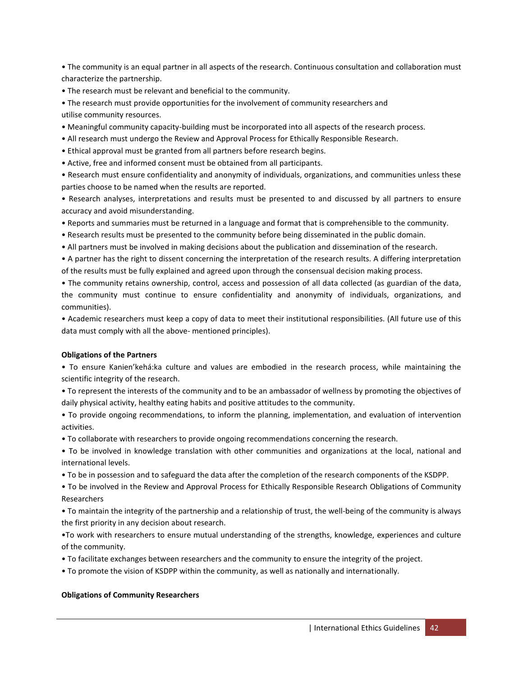• The community is an equal partner in all aspects of the research. Continuous consultation and collaboration must characterize the partnership.

• The research must be relevant and beneficial to the community.

• The research must provide opportunities for the involvement of community researchers and utilise community resources.

- Meaningful community capacity-building must be incorporated into all aspects of the research process.
- All research must undergo the Review and Approval Process for Ethically Responsible Research.
- Ethical approval must be granted from all partners before research begins.
- Active, free and informed consent must be obtained from all participants.

• Research must ensure confidentiality and anonymity of individuals, organizations, and communities unless these parties choose to be named when the results are reported.

• Research analyses, interpretations and results must be presented to and discussed by all partners to ensure accuracy and avoid misunderstanding.

- Reports and summaries must be returned in a language and format that is comprehensible to the community.
- Research results must be presented to the community before being disseminated in the public domain.
- All partners must be involved in making decisions about the publication and dissemination of the research.

• A partner has the right to dissent concerning the interpretation of the research results. A differing interpretation of the results must be fully explained and agreed upon through the consensual decision making process.

• The community retains ownership, control, access and possession of all data collected (as guardian of the data, the community must continue to ensure confidentiality and anonymity of individuals, organizations, and communities).

• Academic researchers must keep a copy of data to meet their institutional responsibilities. (All future use of this data must comply with all the above- mentioned principles).

#### **Obligations of the Partners**

• To ensure Kanien'kehá:ka culture and values are embodied in the research process, while maintaining the scientific integrity of the research.

• To represent the interests of the community and to be an ambassador of wellness by promoting the objectives of daily physical activity, healthy eating habits and positive attitudes to the community.

• To provide ongoing recommendations, to inform the planning, implementation, and evaluation of intervention activities.

• To collaborate with researchers to provide ongoing recommendations concerning the research.

• To be involved in knowledge translation with other communities and organizations at the local, national and international levels.

• To be in possession and to safeguard the data after the completion of the research components of the KSDPP.

• To be involved in the Review and Approval Process for Ethically Responsible Research Obligations of Community Researchers

• To maintain the integrity of the partnership and a relationship of trust, the well-being of the community is always the first priority in any decision about research.

•To work with researchers to ensure mutual understanding of the strengths, knowledge, experiences and culture of the community.

- To facilitate exchanges between researchers and the community to ensure the integrity of the project.
- To promote the vision of KSDPP within the community, as well as nationally and internationally.

#### **Obligations of Community Researchers**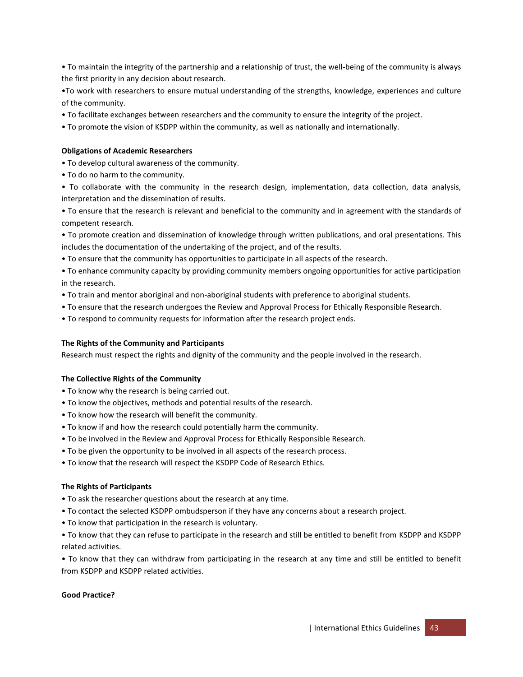• To maintain the integrity of the partnership and a relationship of trust, the well-being of the community is always the first priority in any decision about research.

•To work with researchers to ensure mutual understanding of the strengths, knowledge, experiences and culture of the community.

- To facilitate exchanges between researchers and the community to ensure the integrity of the project.
- To promote the vision of KSDPP within the community, as well as nationally and internationally.

#### **Obligations of Academic Researchers**

- To develop cultural awareness of the community.
- To do no harm to the community.

• To collaborate with the community in the research design, implementation, data collection, data analysis, interpretation and the dissemination of results.

• To ensure that the research is relevant and beneficial to the community and in agreement with the standards of competent research.

• To promote creation and dissemination of knowledge through written publications, and oral presentations. This includes the documentation of the undertaking of the project, and of the results.

• To ensure that the community has opportunities to participate in all aspects of the research.

• To enhance community capacity by providing community members ongoing opportunities for active participation in the research.

- To train and mentor aboriginal and non-aboriginal students with preference to aboriginal students.
- To ensure that the research undergoes the Review and Approval Process for Ethically Responsible Research.
- To respond to community requests for information after the research project ends.

#### **The Rights of the Community and Participants**

Research must respect the rights and dignity of the community and the people involved in the research.

#### **The Collective Rights of the Community**

- To know why the research is being carried out.
- To know the objectives, methods and potential results of the research.
- To know how the research will benefit the community.
- To know if and how the research could potentially harm the community.
- To be involved in the Review and Approval Process for Ethically Responsible Research.
- To be given the opportunity to be involved in all aspects of the research process.
- To know that the research will respect the KSDPP Code of Research Ethics.

#### **The Rights of Participants**

- To ask the researcher questions about the research at any time.
- To contact the selected KSDPP ombudsperson if they have any concerns about a research project.
- To know that participation in the research is voluntary.

• To know that they can refuse to participate in the research and still be entitled to benefit from KSDPP and KSDPP related activities.

• To know that they can withdraw from participating in the research at any time and still be entitled to benefit from KSDPP and KSDPP related activities.

#### **Good Practice?**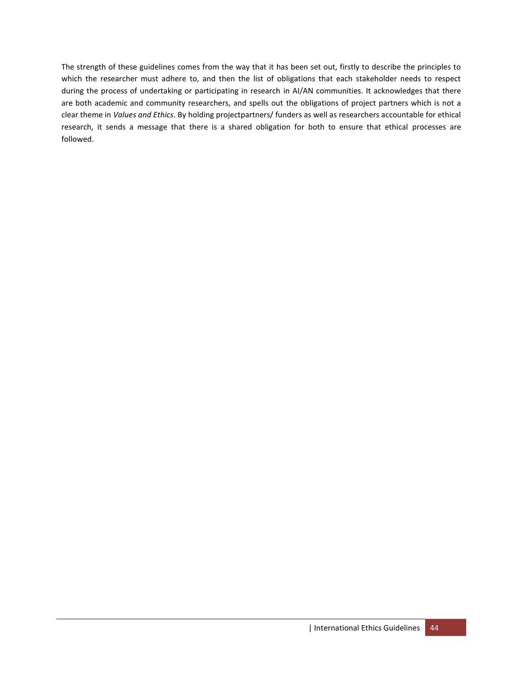The strength of these guidelines comes from the way that it has been set out, firstly to describe the principles to which the researcher must adhere to, and then the list of obligations that each stakeholder needs to respect during the process of undertaking or participating in research in AI/AN communities. It acknowledges that there are both academic and community researchers, and spells out the obligations of project partners which is not a clear theme in *Values and Ethics*. By holding projectpartners/ funders as well as researchers accountable for ethical research, it sends a message that there is a shared obligation for both to ensure that ethical processes are followed.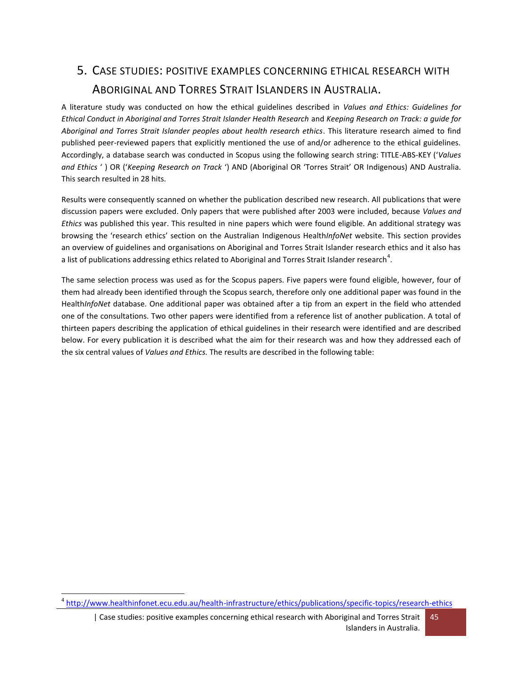# <span id="page-44-0"></span>5. CASE STUDIES: POSITIVE EXAMPLES CONCERNING ETHICAL RESEARCH WITH ABORIGINAL AND TORRES STRAIT ISLANDERS IN AUSTRALIA.

A literature study was conducted on how the ethical guidelines described in *Values and Ethics: Guidelines for Ethical Conduct in Aboriginal and Torres Strait Islander Health Research* and *Keeping Research on Track: a guide for Aboriginal and Torres Strait Islander peoples about health research ethics*. This literature research aimed to find published peer-reviewed papers that explicitly mentioned the use of and/or adherence to the ethical guidelines. Accordingly, a database search was conducted in Scopus using the following search string: TITLE-ABS-KEY ('*Values and Ethics* ' ) OR ('*Keeping Research on Track* ') AND (Aboriginal OR 'Torres Strait' OR Indigenous) AND Australia. This search resulted in 28 hits.

Results were consequently scanned on whether the publication described new research. All publications that were discussion papers were excluded. Only papers that were published after 2003 were included, because *Values and Ethics* was published this year. This resulted in nine papers which were found eligible. An additional strategy was browsing the 'research ethics' section on the Australian Indigenous Health*InfoNet* website. This section provides an overview of guidelines and organisations on Aboriginal and Torres Strait Islander research ethics and it also has a list of publications addressing ethics related to Aboriginal and Torres Strait Islander research $^4$ .

The same selection process was used as for the Scopus papers. Five papers were found eligible, however, four of them had already been identified through the Scopus search, therefore only one additional paper was found in the Health*InfoNet* database. One additional paper was obtained after a tip from an expert in the field who attended one of the consultations. Two other papers were identified from a reference list of another publication. A total of thirteen papers describing the application of ethical guidelines in their research were identified and are described below. For every publication it is described what the aim for their research was and how they addressed each of the six central values of *Values and Ethics.* The results are described in the following table:

 $\overline{a}$ 

<sup>4</sup> <http://www.healthinfonet.ecu.edu.au/health-infrastructure/ethics/publications/specific-topics/research-ethics>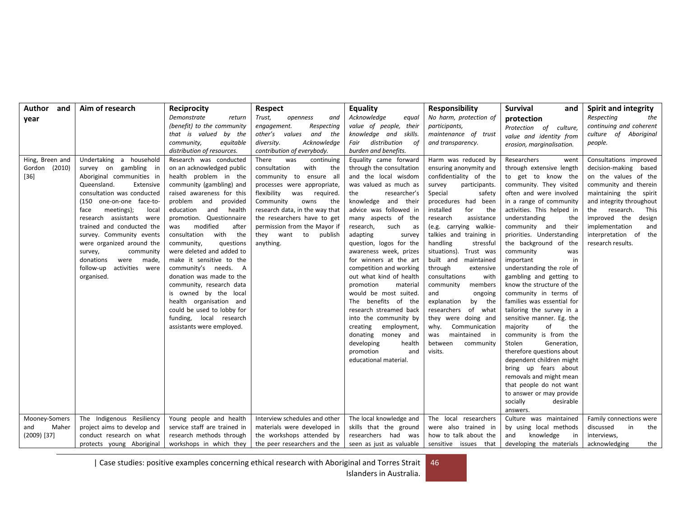| Author<br>and<br>vear                          | Aim of research                                                                                                                                                                                                                                                                                                                                                                                                          | Reciprocity<br>Demonstrate<br>return<br>(benefit) to the community<br>that is valued by the<br>community,<br>equitable                                                                                                                                                                                                                                                                                                                                                                                                                                                                                                         | <b>Respect</b><br>Trust,<br>openness<br>and<br>engagement.<br>Respecting<br>other's values<br>and the<br>diversity.<br>Acknowledge                                                                                                                                                                                                                           | <b>Equality</b><br>Acknowledge<br>equal<br>value of people, their<br>knowledge and skills.<br>Fair distribution<br>of                                                                                                                                                                                                                                                                                                                                                                                                                                                                                                                                             | <b>Responsibility</b><br>No harm, protection of<br>participants,<br>maintenance of trust<br>and transparency.                                                                                                                                                                                                                                                                                                                                                                                                                                                                                      | <b>Survival</b><br>and<br>protection<br>Protection of culture,<br>value and identity from<br>erosion, marginalisation.                                                                                                                                                                                                                                                                                                                                                                                                                                                                                                                                                                                                                                                                                           | <b>Spirit and integrity</b><br>Respecting<br>the<br>continuing and coherent<br>culture of Aboriginal<br>people.                                                                                                                                                                  |
|------------------------------------------------|--------------------------------------------------------------------------------------------------------------------------------------------------------------------------------------------------------------------------------------------------------------------------------------------------------------------------------------------------------------------------------------------------------------------------|--------------------------------------------------------------------------------------------------------------------------------------------------------------------------------------------------------------------------------------------------------------------------------------------------------------------------------------------------------------------------------------------------------------------------------------------------------------------------------------------------------------------------------------------------------------------------------------------------------------------------------|--------------------------------------------------------------------------------------------------------------------------------------------------------------------------------------------------------------------------------------------------------------------------------------------------------------------------------------------------------------|-------------------------------------------------------------------------------------------------------------------------------------------------------------------------------------------------------------------------------------------------------------------------------------------------------------------------------------------------------------------------------------------------------------------------------------------------------------------------------------------------------------------------------------------------------------------------------------------------------------------------------------------------------------------|----------------------------------------------------------------------------------------------------------------------------------------------------------------------------------------------------------------------------------------------------------------------------------------------------------------------------------------------------------------------------------------------------------------------------------------------------------------------------------------------------------------------------------------------------------------------------------------------------|------------------------------------------------------------------------------------------------------------------------------------------------------------------------------------------------------------------------------------------------------------------------------------------------------------------------------------------------------------------------------------------------------------------------------------------------------------------------------------------------------------------------------------------------------------------------------------------------------------------------------------------------------------------------------------------------------------------------------------------------------------------------------------------------------------------|----------------------------------------------------------------------------------------------------------------------------------------------------------------------------------------------------------------------------------------------------------------------------------|
| Hing, Breen and<br>Gordon (2010)<br>$[36]$     | Undertaking a household<br>survey on gambling in<br>Aboriginal communities in<br>Queensland.<br>Extensive<br>consultation was conducted<br>(150 one-on-one face-to-<br>meetings);<br>face<br>local<br>research assistants were<br>trained and conducted the<br>survey. Community events<br>were organized around the<br>survey,<br>community<br>donations<br>were<br>made,<br>follow-up<br>activities were<br>organised. | distribution of resources.<br>Research was conducted<br>on an acknowledged public<br>health problem in the<br>community (gambling) and<br>raised awareness for this<br>problem and provided<br>education<br>and<br>health<br>promotion. Questionnaire<br>modified<br>after<br>was<br>consultation<br>with<br>the<br>community,<br>questions<br>were deleted and added to<br>make it sensitive to the<br>community's needs. A<br>donation was made to the<br>community, research data<br>is owned by the local<br>health organisation and<br>could be used to lobby for<br>funding, local research<br>assistants were employed. | contribution of everybody.<br>There<br>was<br>continuing<br>consultation<br>with<br>the<br>community to ensure all<br>processes were appropriate,<br>flexibility<br>was<br>required.<br>Community<br>owns<br>the<br>research data, in the way that<br>the researchers have to get<br>permission from the Mayor if<br>they want<br>to<br>publish<br>anything. | burden and benefits.<br>Equality came forward<br>through the consultation<br>and the local wisdom<br>was valued as much as<br>the<br>researcher's<br>knowledge and their<br>advice was followed in<br>many aspects of the<br>research,<br>such<br>as<br>adapting<br>survey<br>question, logos for the<br>awareness week, prizes<br>for winners at the art<br>competition and working<br>out what kind of health<br>promotion<br>material<br>would be most suited.<br>The benefits of the<br>research streamed back<br>into the community by<br>employment,<br>creating<br>donating money and<br>developing<br>health<br>promotion<br>and<br>educational material. | Harm was reduced by<br>ensuring anonymity and<br>confidentiality of the<br>survey<br>participants.<br>Special<br>safety<br>procedures had been<br>installed<br>for<br>the<br>research<br>assistance<br>(e.g. carrying walkie-<br>talkies and training in<br>handling<br>stressful<br>situations).<br>Trust was<br>built and maintained<br>through<br>extensive<br>consultations<br>with<br>community<br>members<br>ongoing<br>and<br>by the<br>explanation<br>researchers<br>of what<br>they were doing and<br>Communication<br>why.<br>maintained<br>in<br>was<br>between<br>community<br>visits. | Researchers<br>went<br>through extensive length<br>to get to know the<br>community. They visited<br>often and were involved<br>in a range of community<br>activities. This helped in<br>understanding<br>the<br>community and<br>their<br>priorities. Understanding<br>the background of the<br>community<br>was<br>in<br>important<br>understanding the role of<br>gambling and getting to<br>know the structure of the<br>community in terms of<br>families was essential for<br>tailoring the survey in a<br>sensitive manner. Eg. the<br>majority<br>of<br>the<br>community is from the<br>Stolen<br>Generation,<br>therefore questions about<br>dependent children might<br>bring up fears about<br>removals and might mean<br>that people do not want<br>to answer or may provide<br>socially<br>desirable | Consultations improved<br>decision-making based<br>on the values of the<br>community and therein<br>maintaining the spirit<br>and integrity throughout<br>the research.<br>This<br>improved the<br>design<br>implementation<br>and<br>interpretation of the<br>research results. |
| Mooney-Somers<br>Maher<br>and<br>$(2009)$ [37] | The Indigenous Resiliency<br>project aims to develop and<br>conduct research on what<br>protects young Aboriginal                                                                                                                                                                                                                                                                                                        | Young people and health<br>service staff are trained in<br>research methods through<br>workshops in which they                                                                                                                                                                                                                                                                                                                                                                                                                                                                                                                 | Interview schedules and other<br>materials were developed in<br>the workshops attended by<br>the peer researchers and the                                                                                                                                                                                                                                    | The local knowledge and<br>skills that the ground<br>researchers had was<br>seen as just as valuable                                                                                                                                                                                                                                                                                                                                                                                                                                                                                                                                                              | The local researchers<br>were also trained in<br>how to talk about the<br>sensitive issues that                                                                                                                                                                                                                                                                                                                                                                                                                                                                                                    | answers.<br>Culture was maintained<br>by using local methods<br>knowledge<br>and<br>in<br>developing the materials                                                                                                                                                                                                                                                                                                                                                                                                                                                                                                                                                                                                                                                                                               | Family connections were<br>discussed<br>in<br>the<br>interviews,<br>acknowledging<br>the                                                                                                                                                                                         |

| Case studies: positive examples concerning ethical research with Aboriginal and Torres Strait 46

Islanders in Australia.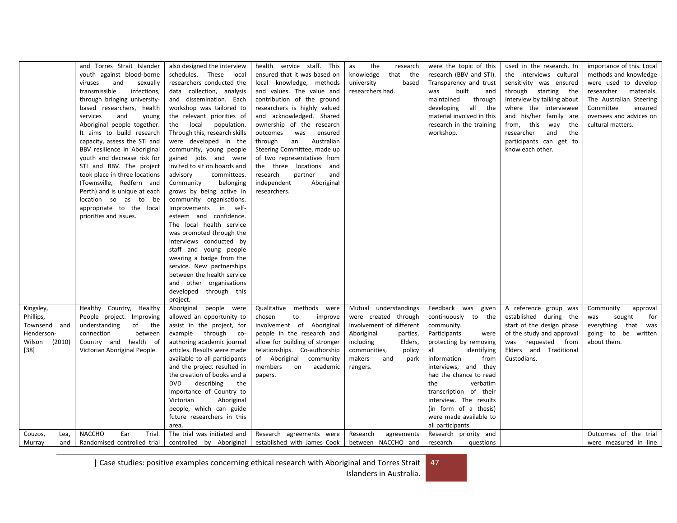|                  | and Torres Strait Islander     | also designed the interview     | health service staff. This     | the<br>research<br>as    | were the topic of this    | used in the research. In   | importance of this. Local |
|------------------|--------------------------------|---------------------------------|--------------------------------|--------------------------|---------------------------|----------------------------|---------------------------|
|                  | youth against blood-borne      | schedules. These local          | ensured that it was based on   | knowledge<br>that the    | research (BBV and STI).   | the interviews cultural    | methods and knowledge     |
|                  | viruses<br>and<br>sexually     | researchers conducted the       | local knowledge, methods       | university<br>based      | Transparency and trust    | sensitivity was ensured    | were used to develop      |
|                  | transmissible<br>infections,   | data collection, analysis       | and values. The value and      | researchers had.         | was<br>built<br>and       | through starting the       | materials.<br>researcher  |
|                  | through bringing university-   | and dissemination. Each         | contribution of the ground     |                          | maintained<br>through     | interview by talking about | The Australian Steering   |
|                  | based researchers, health      | workshop was tailored to        | researchers is highly valued   |                          | developing<br>all the     | where the interviewee      | Committee<br>ensured      |
|                  | services<br>and<br>young       | the relevant priorities of      | and acknowledged. Shared       |                          | material involved in this | and his/her family are     | oversees and advices on   |
|                  | Aboriginal people together.    | the local population.           | ownership of the research      |                          | research in the training  | from, this<br>way<br>the   | cultural matters.         |
|                  | It aims to build research      | Through this, research skills   | was<br>ensured<br>outcomes     |                          | workshop.                 | researcher<br>and<br>the   |                           |
|                  | capacity, assess the STI and   | were developed in the           | Australian<br>through<br>an    |                          |                           | participants can get to    |                           |
|                  | BBV resilience in Aboriginal   | community, young people         | Steering Committee, made up    |                          |                           | know each other.           |                           |
|                  | youth and decrease risk for    | gained jobs and were            | of two representatives from    |                          |                           |                            |                           |
|                  | STI and BBV. The project       | invited to sit on boards and    | the three locations and        |                          |                           |                            |                           |
|                  | took place in three locations  | advisory<br>committees.         | partner<br>research<br>and     |                          |                           |                            |                           |
|                  | (Townsville, Redfern and       | Community<br>belonging          | Aboriginal<br>independent      |                          |                           |                            |                           |
|                  | Perth) and is unique at each   | grows by being active in        | researchers.                   |                          |                           |                            |                           |
|                  | location so as to be           | community organisations.        |                                |                          |                           |                            |                           |
|                  | appropriate to the local       | Improvements in self-           |                                |                          |                           |                            |                           |
|                  | priorities and issues.         | esteem and confidence.          |                                |                          |                           |                            |                           |
|                  |                                | The local health service        |                                |                          |                           |                            |                           |
|                  |                                | was promoted through the        |                                |                          |                           |                            |                           |
|                  |                                | interviews conducted by         |                                |                          |                           |                            |                           |
|                  |                                |                                 |                                |                          |                           |                            |                           |
|                  |                                | staff and young people          |                                |                          |                           |                            |                           |
|                  |                                | wearing a badge from the        |                                |                          |                           |                            |                           |
|                  |                                | service. New partnerships       |                                |                          |                           |                            |                           |
|                  |                                | between the health service      |                                |                          |                           |                            |                           |
|                  |                                | and other organisations         |                                |                          |                           |                            |                           |
|                  |                                | developed through this          |                                |                          |                           |                            |                           |
|                  |                                | project.                        |                                |                          |                           |                            |                           |
| Kingsley,        | Healthy Country, Healthy       | Aboriginal people were          | Qualitative methods were       | Mutual understandings    | Feedback was given        | A reference group was      | approval<br>Community     |
| Phillips,        | People project. Improving      | allowed an opportunity to       | to<br>improve<br>chosen        | were created through     | continuously to the       | established during the     | sought<br>for<br>was      |
| Townsend and     | understanding<br>of the        | assist in the project, for      | involvement of Aboriginal      | involvement of different | community.                | start of the design phase  | everything<br>that was    |
| Henderson-       | connection<br>between          | example through co-             | people in the research and     | Aboriginal<br>parties,   | Participants<br>were      | of the study and approval  | going to be written       |
| Wilson<br>(2010) | Country and health of          | authoring academic journal      | allow for building of stronger | Elders,<br>including     | protecting by removing    | was requested from         | about them.               |
| [38]             | Victorian Aboriginal People.   | articles. Results were made     | relationships. Co-authorship   | communities,<br>policy   | identifying<br>all        | Elders and Traditional     |                           |
|                  |                                | available to all participants   | of Aboriginal community        | makers<br>and<br>park    | information<br>from       | Custodians.                |                           |
|                  |                                | and the project resulted in     | members<br>on<br>academic      | rangers.                 | interviews, and they      |                            |                           |
|                  |                                | the creation of books and a     | papers.                        |                          | had the chance to read    |                            |                           |
|                  |                                | describing<br><b>DVD</b><br>the |                                |                          | the<br>verbatim           |                            |                           |
|                  |                                | importance of Country to        |                                |                          | transcription of their    |                            |                           |
|                  |                                | Victorian<br>Aboriginal         |                                |                          | interview. The results    |                            |                           |
|                  |                                | people, which can guide         |                                |                          | (in form of a thesis)     |                            |                           |
|                  |                                | future researchers in this      |                                |                          | were made available to    |                            |                           |
|                  |                                | area.                           |                                |                          | all participants.         |                            |                           |
| Couzos,<br>Lea,  | <b>NACCHO</b><br>Ear<br>Trial. | The trial was initiated and     | Research agreements were       | Research<br>agreements   | Research priority and     |                            | Outcomes of the trial     |
| Murray<br>and    | Randomised controlled trial    | controlled by Aboriginal        | established with James Cook    | between NACCHO and       | research<br>questions     |                            | were measured in line     |
|                  |                                |                                 |                                |                          |                           |                            |                           |

| Case studies: positive examples concerning ethical research with Aboriginal and Torres Strait 47

Islanders in Australia.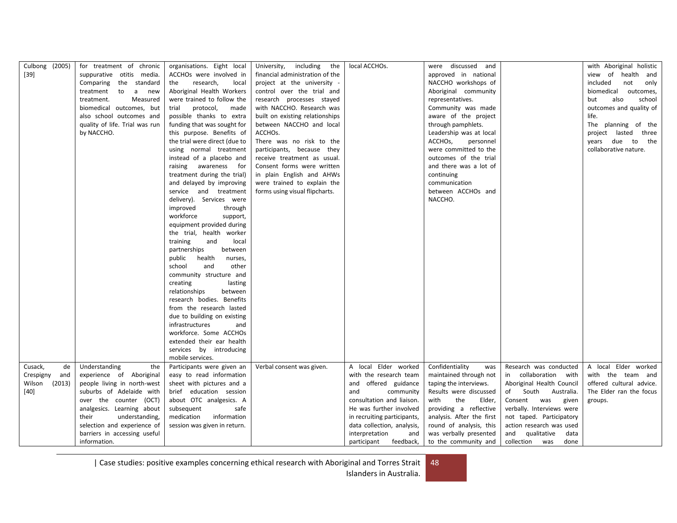| Culbong (2005)<br>$[39]$                                        | for treatment of chronic<br>suppurative otitis media.<br>Comparing the standard<br>treatment<br>to<br>a<br>new<br>treatment.<br>Measured<br>biomedical outcomes, but<br>also school outcomes and<br>quality of life. Trial was run<br>by NACCHO.                              | organisations. Eight local<br>ACCHOs were involved in<br>research,<br>the<br>local<br>Aboriginal Health Workers<br>were trained to follow the<br>protocol,<br>trial<br>made<br>possible thanks to extra<br>funding that was sought for<br>this purpose. Benefits of<br>the trial were direct (due to<br>using normal treatment | including<br>the<br>University,<br>financial administration of the<br>project at the university -<br>control over the trial and<br>research processes stayed<br>with NACCHO. Research was<br>built on existing relationships<br>between NACCHO and local<br>ACCHOS.<br>There was no risk to the<br>participants, because they | local ACCHOs.                                                                                                                                                                                                                                                           | were discussed and<br>approved in national<br>NACCHO workshops of<br>Aboriginal community<br>representatives.<br>Community was made<br>aware of the project<br>through pamphlets.<br>Leadership was at local<br>ACCHO <sub>s</sub> ,<br>personnel<br>were committed to the |                                                                                                                                                                                                                                                                             | with Aboriginal holistic<br>view of health and<br>included<br>not<br>only<br>biomedical<br>outcomes,<br>also<br>school<br>but<br>outcomes and quality of<br>life.<br>The planning of the<br>project lasted three<br>years due to the<br>collaborative nature. |
|-----------------------------------------------------------------|-------------------------------------------------------------------------------------------------------------------------------------------------------------------------------------------------------------------------------------------------------------------------------|--------------------------------------------------------------------------------------------------------------------------------------------------------------------------------------------------------------------------------------------------------------------------------------------------------------------------------|-------------------------------------------------------------------------------------------------------------------------------------------------------------------------------------------------------------------------------------------------------------------------------------------------------------------------------|-------------------------------------------------------------------------------------------------------------------------------------------------------------------------------------------------------------------------------------------------------------------------|----------------------------------------------------------------------------------------------------------------------------------------------------------------------------------------------------------------------------------------------------------------------------|-----------------------------------------------------------------------------------------------------------------------------------------------------------------------------------------------------------------------------------------------------------------------------|---------------------------------------------------------------------------------------------------------------------------------------------------------------------------------------------------------------------------------------------------------------|
|                                                                 |                                                                                                                                                                                                                                                                               | instead of a placebo and<br>raising awareness for<br>treatment during the trial)<br>and delayed by improving<br>service and treatment<br>delivery). Services were<br>improved<br>through<br>workforce<br>support,<br>equipment provided during                                                                                 | receive treatment as usual.<br>Consent forms were written<br>in plain English and AHWs<br>were trained to explain the<br>forms using visual flipcharts.                                                                                                                                                                       |                                                                                                                                                                                                                                                                         | outcomes of the trial<br>and there was a lot of<br>continuing<br>communication<br>between ACCHOs and<br>NACCHO.                                                                                                                                                            |                                                                                                                                                                                                                                                                             |                                                                                                                                                                                                                                                               |
|                                                                 |                                                                                                                                                                                                                                                                               | the trial, health worker<br>training<br>and<br>local<br>partnerships<br>between<br>health<br>public<br>nurses,<br>and<br>other<br>school<br>community structure and<br>lasting<br>creating<br>relationships<br>between                                                                                                         |                                                                                                                                                                                                                                                                                                                               |                                                                                                                                                                                                                                                                         |                                                                                                                                                                                                                                                                            |                                                                                                                                                                                                                                                                             |                                                                                                                                                                                                                                                               |
|                                                                 |                                                                                                                                                                                                                                                                               | research bodies. Benefits<br>from the research lasted<br>due to building on existing<br>infrastructures<br>and<br>workforce. Some ACCHOs<br>extended their ear health<br>services by introducing<br>mobile services.                                                                                                           |                                                                                                                                                                                                                                                                                                                               |                                                                                                                                                                                                                                                                         |                                                                                                                                                                                                                                                                            |                                                                                                                                                                                                                                                                             |                                                                                                                                                                                                                                                               |
| Cusack,<br>de<br>Crespigny<br>and<br>Wilson<br>(2013)<br>$[40]$ | Understanding<br>the<br>experience of Aboriginal<br>people living in north-west<br>suburbs of Adelaide with<br>over the counter (OCT)<br>analgesics. Learning about<br>their<br>understanding,<br>selection and experience of<br>barriers in accessing useful<br>information. | Participants were given an<br>easy to read information<br>sheet with pictures and a<br>brief education session<br>about OTC analgesics. A<br>safe<br>subsequent<br>medication<br>information<br>session was given in return.                                                                                                   | Verbal consent was given.                                                                                                                                                                                                                                                                                                     | A local Elder worked<br>with the research team<br>offered guidance<br>and<br>community<br>and<br>consultation and liaison.<br>He was further involved<br>in recruiting participants,<br>data collection, analysis,<br>interpretation<br>and<br>feedback,<br>participant | Confidentiality<br>was<br>maintained through not<br>taping the interviews.<br>Results were discussed<br>with<br>the<br>Elder,<br>providing a reflective<br>analysis. After the first<br>round of analysis, this<br>was verbally presented<br>to the community and          | Research was conducted<br>in collaboration with<br>Aboriginal Health Council<br>of South<br>Australia.<br>Consent was<br>given<br>verbally. Interviews were<br>not taped. Participatory<br>action research was used<br>qualitative<br>and<br>data<br>collection was<br>done | A local Elder worked<br>with the team and<br>offered cultural advice.<br>The Elder ran the focus<br>groups.                                                                                                                                                   |

| Case studies: positive examples concerning ethical research with Aboriginal and Torres Strait 48 Islanders in Australia.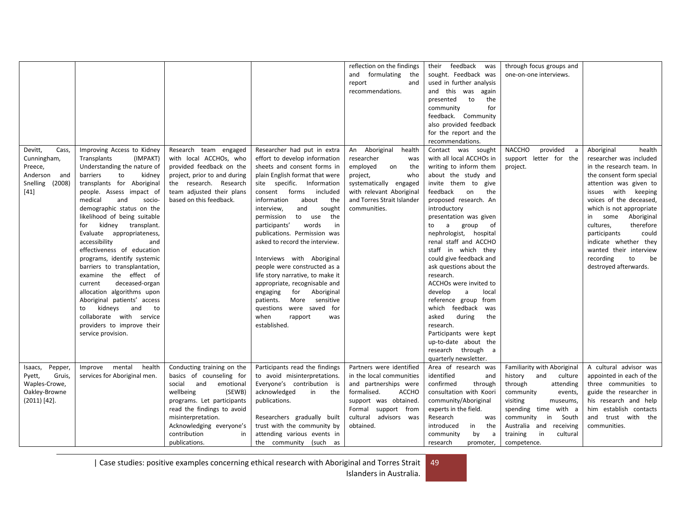|                                                                                            |                                                                                                                                                                                                                                                                                                                                                                                                                                                                                                                                                                                                                                                                                  |                                                                                                                                                                                               |                                                                                                                                                                                                                                                                                                                                                                                                                                                                                                                                                                                                                                                                  | reflection on the findings<br>and formulating<br>the<br>report<br>and<br>recommendations.                                                                                                    | feedback<br>their<br>was<br>sought. Feedback was<br>used in further analysis<br>and this was<br>again<br>to<br>the<br>presented<br>community<br>for<br>feedback. Community<br>also provided feedback<br>for the report and the<br>recommendations.                                                                                                                                                                                                                                                                                                                                                                              | through focus groups and<br>one-on-one interviews.                   |                                                                                                                                                                                                                                                                                                                                                                                                     |
|--------------------------------------------------------------------------------------------|----------------------------------------------------------------------------------------------------------------------------------------------------------------------------------------------------------------------------------------------------------------------------------------------------------------------------------------------------------------------------------------------------------------------------------------------------------------------------------------------------------------------------------------------------------------------------------------------------------------------------------------------------------------------------------|-----------------------------------------------------------------------------------------------------------------------------------------------------------------------------------------------|------------------------------------------------------------------------------------------------------------------------------------------------------------------------------------------------------------------------------------------------------------------------------------------------------------------------------------------------------------------------------------------------------------------------------------------------------------------------------------------------------------------------------------------------------------------------------------------------------------------------------------------------------------------|----------------------------------------------------------------------------------------------------------------------------------------------------------------------------------------------|---------------------------------------------------------------------------------------------------------------------------------------------------------------------------------------------------------------------------------------------------------------------------------------------------------------------------------------------------------------------------------------------------------------------------------------------------------------------------------------------------------------------------------------------------------------------------------------------------------------------------------|----------------------------------------------------------------------|-----------------------------------------------------------------------------------------------------------------------------------------------------------------------------------------------------------------------------------------------------------------------------------------------------------------------------------------------------------------------------------------------------|
| Devitt,<br>Cass,<br>Cunningham,<br>Preece,<br>Anderson and<br>Snelling<br>(2008)<br>$[41]$ | Improving Access to Kidney<br>Transplants<br>(IMPAKT)<br>Understanding the nature of<br>barriers<br>to<br>kidney<br>transplants for Aboriginal<br>people. Assess impact of<br>medical<br>socio-<br>and<br>demographic status on the<br>likelihood of being suitable<br>kidney transplant.<br>for<br>Evaluate appropriateness,<br>accessibility<br>and<br>effectiveness of education<br>programs, identify systemic<br>barriers to transplantation,<br>examine the effect of<br>deceased-organ<br>current<br>allocation algorithms upon<br>Aboriginal patients' access<br>kidneys and<br>to<br>to<br>collaborate with service<br>providers to improve their<br>service provision. | Research team engaged<br>with local ACCHOs, who<br>provided feedback on the<br>project, prior to and during<br>the research. Research<br>team adjusted their plans<br>based on this feedback. | Researcher had put in extra<br>effort to develop information<br>sheets and consent forms in<br>plain English format that were<br>site specific. Information<br>forms<br>consent<br>included<br>information<br>about<br>the<br>interview,<br>sought<br>and<br>permission<br>to use<br>the<br>participants'<br>words<br>in<br>publications. Permission was<br>asked to record the interview.<br>Interviews with Aboriginal<br>people were constructed as a<br>life story narrative, to make it<br>appropriate, recognisable and<br>for Aboriginal<br>engaging<br>More sensitive<br>patients.<br>questions were saved for<br>when<br>rapport<br>was<br>established. | An Aboriginal<br>health<br>researcher<br>was<br>employed<br>on<br>the<br>project,<br>who<br>systematically engaged<br>with relevant Aboriginal<br>and Torres Strait Islander<br>communities. | Contact was sought<br>with all local ACCHOs in<br>writing to inform them<br>about the study and<br>invite them to give<br>feedback<br>the<br>on<br>proposed research. An<br>introductory<br>presentation was given<br>a group of<br>to<br>nephrologist, hospital<br>renal staff and ACCHO<br>staff in which they<br>could give feedback and<br>ask questions about the<br>research.<br>ACCHOs were invited to<br>develop<br>a<br>local<br>reference group from<br>which feedback<br>was<br>asked<br>during<br>the<br>research.<br>Participants were kept<br>up-to-date about the<br>research through a<br>quarterly newsletter. | <b>NACCHO</b><br>provided<br>a<br>support letter for the<br>project. | Aboriginal<br>health<br>researcher was included<br>in the research team. In<br>the consent form special<br>attention was given to<br>issues with keeping<br>voices of the deceased,<br>which is not appropriate<br>Aboriginal<br>some<br>in<br>cultures,<br>therefore<br>participants<br>could<br>indicate whether they<br>wanted their interview<br>recording<br>to<br>be<br>destroyed afterwards. |
| Isaacs, Pepper,<br>Pyett,<br>Gruis,                                                        | mental<br>health<br>Improve<br>services for Aboriginal men.                                                                                                                                                                                                                                                                                                                                                                                                                                                                                                                                                                                                                      | Conducting training on the<br>basics of counseling for                                                                                                                                        | Participants read the findings<br>to avoid misinterpretations.                                                                                                                                                                                                                                                                                                                                                                                                                                                                                                                                                                                                   | Partners were identified<br>in the local communities                                                                                                                                         | Area of research was<br>identified<br>and                                                                                                                                                                                                                                                                                                                                                                                                                                                                                                                                                                                       | Familiarity with Aboriginal<br>history<br>and<br>culture             | A cultural advisor was<br>appointed in each of the                                                                                                                                                                                                                                                                                                                                                  |
| Waples-Crowe,                                                                              |                                                                                                                                                                                                                                                                                                                                                                                                                                                                                                                                                                                                                                                                                  | social and<br>emotional                                                                                                                                                                       | Everyone's contribution is                                                                                                                                                                                                                                                                                                                                                                                                                                                                                                                                                                                                                                       | and partnerships were                                                                                                                                                                        | confirmed<br>through                                                                                                                                                                                                                                                                                                                                                                                                                                                                                                                                                                                                            | through<br>attending                                                 | three communities to                                                                                                                                                                                                                                                                                                                                                                                |
| Oakley-Browne                                                                              |                                                                                                                                                                                                                                                                                                                                                                                                                                                                                                                                                                                                                                                                                  | wellbeing<br>(SEWB)                                                                                                                                                                           | acknowledged<br>in<br>the                                                                                                                                                                                                                                                                                                                                                                                                                                                                                                                                                                                                                                        | formalised.<br>ACCHO                                                                                                                                                                         | consultation with Koori                                                                                                                                                                                                                                                                                                                                                                                                                                                                                                                                                                                                         | community<br>events,                                                 | guide the researcher in                                                                                                                                                                                                                                                                                                                                                                             |
| $(2011)$ [42].                                                                             |                                                                                                                                                                                                                                                                                                                                                                                                                                                                                                                                                                                                                                                                                  | programs. Let participants<br>read the findings to avoid                                                                                                                                      | publications.                                                                                                                                                                                                                                                                                                                                                                                                                                                                                                                                                                                                                                                    | support was obtained.<br>Formal support from                                                                                                                                                 | community/Aboriginal<br>experts in the field.                                                                                                                                                                                                                                                                                                                                                                                                                                                                                                                                                                                   | visiting<br>museums,<br>spending time with a                         | his research and help<br>him establish contacts                                                                                                                                                                                                                                                                                                                                                     |
|                                                                                            |                                                                                                                                                                                                                                                                                                                                                                                                                                                                                                                                                                                                                                                                                  | misinterpretation.                                                                                                                                                                            | Researchers gradually built                                                                                                                                                                                                                                                                                                                                                                                                                                                                                                                                                                                                                                      | cultural advisors was                                                                                                                                                                        | Research<br>was                                                                                                                                                                                                                                                                                                                                                                                                                                                                                                                                                                                                                 | community<br>in<br>South                                             | and trust with the                                                                                                                                                                                                                                                                                                                                                                                  |
|                                                                                            |                                                                                                                                                                                                                                                                                                                                                                                                                                                                                                                                                                                                                                                                                  | Acknowledging everyone's                                                                                                                                                                      | trust with the community by                                                                                                                                                                                                                                                                                                                                                                                                                                                                                                                                                                                                                                      | obtained.                                                                                                                                                                                    | introduced<br>the<br>in                                                                                                                                                                                                                                                                                                                                                                                                                                                                                                                                                                                                         | Australia and receiving                                              | communities.                                                                                                                                                                                                                                                                                                                                                                                        |
|                                                                                            |                                                                                                                                                                                                                                                                                                                                                                                                                                                                                                                                                                                                                                                                                  | contribution<br>in<br>publications.                                                                                                                                                           | attending various events in<br>the community (such as                                                                                                                                                                                                                                                                                                                                                                                                                                                                                                                                                                                                            |                                                                                                                                                                                              | by<br>community<br>a<br>research<br>promoter,                                                                                                                                                                                                                                                                                                                                                                                                                                                                                                                                                                                   | training<br>in<br>cultural<br>competence.                            |                                                                                                                                                                                                                                                                                                                                                                                                     |
|                                                                                            |                                                                                                                                                                                                                                                                                                                                                                                                                                                                                                                                                                                                                                                                                  |                                                                                                                                                                                               |                                                                                                                                                                                                                                                                                                                                                                                                                                                                                                                                                                                                                                                                  |                                                                                                                                                                                              |                                                                                                                                                                                                                                                                                                                                                                                                                                                                                                                                                                                                                                 |                                                                      |                                                                                                                                                                                                                                                                                                                                                                                                     |

| Case studies: positive examples concerning ethical research with Aboriginal and Torres Strait Islanders in Australia. 49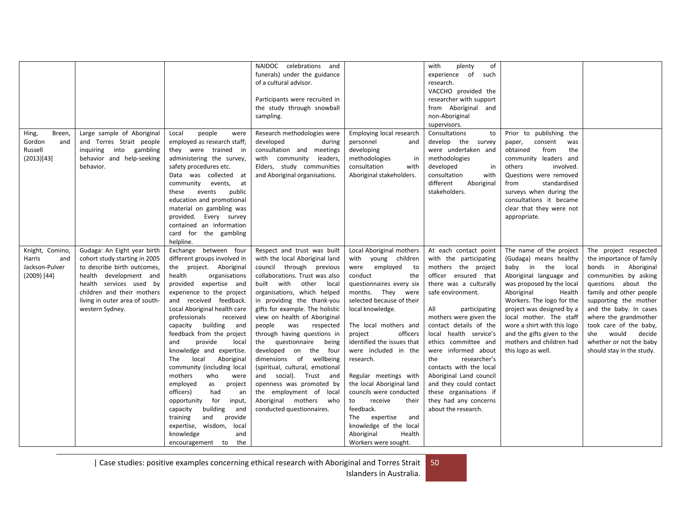|                                                                   |                                                                                                                                                                                                                                     |                                                                                                                                                                                                                                                                                                                                                                                                                                                                                                                                                                                                                                                                                                   | celebrations and<br>NAIDOC<br>funerals) under the guidance<br>of a cultural advisor.<br>Participants were recruited in<br>the study through snowball<br>sampling.                                                                                                                                                                                                                                                                                                                                                                                                                                                           |                                                                                                                                                                                                                                                                                                                                                                                                                                                                                                                                            | of<br>with<br>plenty<br>experience<br>of<br>such<br>research.<br>VACCHO provided the<br>researcher with support<br>from Aboriginal and<br>non-Aboriginal<br>supervisors.                                                                                                                                                                                                                                                                                                            |                                                                                                                                                                                                                                                                                                                                                               |                                                                                                                                                                                                                                                                                                                                             |
|-------------------------------------------------------------------|-------------------------------------------------------------------------------------------------------------------------------------------------------------------------------------------------------------------------------------|---------------------------------------------------------------------------------------------------------------------------------------------------------------------------------------------------------------------------------------------------------------------------------------------------------------------------------------------------------------------------------------------------------------------------------------------------------------------------------------------------------------------------------------------------------------------------------------------------------------------------------------------------------------------------------------------------|-----------------------------------------------------------------------------------------------------------------------------------------------------------------------------------------------------------------------------------------------------------------------------------------------------------------------------------------------------------------------------------------------------------------------------------------------------------------------------------------------------------------------------------------------------------------------------------------------------------------------------|--------------------------------------------------------------------------------------------------------------------------------------------------------------------------------------------------------------------------------------------------------------------------------------------------------------------------------------------------------------------------------------------------------------------------------------------------------------------------------------------------------------------------------------------|-------------------------------------------------------------------------------------------------------------------------------------------------------------------------------------------------------------------------------------------------------------------------------------------------------------------------------------------------------------------------------------------------------------------------------------------------------------------------------------|---------------------------------------------------------------------------------------------------------------------------------------------------------------------------------------------------------------------------------------------------------------------------------------------------------------------------------------------------------------|---------------------------------------------------------------------------------------------------------------------------------------------------------------------------------------------------------------------------------------------------------------------------------------------------------------------------------------------|
| Hing,<br>Breen,<br>Gordon<br>and<br>Russell<br>(2013)[43]         | Large sample of Aboriginal<br>and Torres Strait people<br>into gambling<br>inquiring<br>behavior and help-seeking<br>behavior.                                                                                                      | people<br>Local<br>were<br>employed as research staff;<br>they were trained in<br>administering the survey,<br>safety procedures etc.<br>Data was collected at<br>community<br>events,<br>at<br>events<br>public<br>these<br>education and promotional<br>material on gambling was<br>provided. Every survey<br>contained an information<br>card for the gambling<br>helpline.                                                                                                                                                                                                                                                                                                                    | Research methodologies were<br>developed<br>during<br>consultation and meetings<br>with community<br>leaders,<br>Elders, study communities<br>and Aboriginal organisations.                                                                                                                                                                                                                                                                                                                                                                                                                                                 | Employing local research<br>personnel<br>and<br>developing<br>methodologies<br>in<br>consultation<br>with<br>Aboriginal stakeholders.                                                                                                                                                                                                                                                                                                                                                                                                      | Consultations<br>to<br>develop the survey<br>were undertaken and<br>methodologies<br>developed<br>in<br>consultation<br>with<br>different<br>Aboriginal<br>stakeholders.                                                                                                                                                                                                                                                                                                            | Prior to publishing the<br>paper,<br>consent<br>was<br>from<br>obtained<br>the<br>community leaders and<br>others<br>involved.<br>Questions were removed<br>standardised<br>from<br>surveys when during the<br>consultations it became<br>clear that they were not<br>appropriate.                                                                            |                                                                                                                                                                                                                                                                                                                                             |
| Knight, Comino,<br>Harris<br>and<br>Jackson-Pulver<br>(2009) [44] | Gudaga: An Eight year birth<br>cohort study starting in 2005<br>to describe birth outcomes,<br>health development and<br>health services used by<br>children and their mothers<br>living in outer area of south-<br>western Sydney. | Exchange between four<br>different groups involved in<br>the project. Aboriginal<br>health<br>organisations<br>provided expertise and<br>experience to the project<br>and received feedback.<br>Local Aboriginal health care<br>professionals<br>received<br>capacity building<br>and<br>feedback from the project<br>provide<br>local<br>and<br>knowledge and expertise.<br>The<br>local<br>Aboriginal<br>community (including local<br>mothers<br>who<br>were<br>employed<br>as<br>project<br>officers)<br>had<br>an<br>for<br>opportunity<br>input,<br>capacity<br>building<br>and<br>provide<br>training<br>and<br>expertise, wisdom,<br>local<br>knowledge<br>and<br>encouragement to<br>the | Respect and trust was built<br>with the local Aboriginal land<br>council through previous<br>collaborations. Trust was also<br>built with<br>other<br>local<br>organisations, which helped<br>in providing the thank-you<br>gifts for example. The holistic<br>view on health of Aboriginal<br>was<br>people<br>respected<br>through having questions in<br>questionnaire<br>being<br>the<br>developed on the four<br>dimensions of<br>wellbeing<br>(spiritual, cultural, emotional<br>and social). Trust and<br>openness was promoted by<br>the employment of local<br>Aboriginal mothers who<br>conducted questionnaires. | Local Aboriginal mothers<br>with<br>young children<br>were employed<br>to<br>conduct<br>the<br>questionnaires every six<br>months. They were<br>selected because of their<br>local knowledge.<br>The local mothers and<br>officers<br>project<br>identified the issues that<br>were included in the<br>research.<br>Regular meetings with<br>the local Aboriginal land<br>councils were conducted<br>receive<br>to<br>their<br>feedback.<br>The expertise<br>and<br>knowledge of the local<br>Aboriginal<br>Health<br>Workers were sought. | At each contact point<br>with the participating<br>mothers the project<br>officer ensured that<br>there was a culturally<br>safe environment.<br>All<br>participating<br>mothers were given the<br>contact details of the<br>local health service's<br>ethics committee and<br>were informed about<br>researcher's<br>the<br>contacts with the local<br>Aboriginal Land council<br>and they could contact<br>these organisations if<br>they had any concerns<br>about the research. | The name of the project<br>(Gudaga) means healthy<br>baby in the<br>local<br>Aboriginal language and<br>was proposed by the local<br>Aboriginal<br>Health<br>Workers. The logo for the<br>project was designed by a<br>local mother. The staff<br>wore a shirt with this logo<br>and the gifts given to the<br>mothers and children had<br>this logo as well. | The project respected<br>the importance of family<br>bonds in Aboriginal<br>communities by asking<br>questions about the<br>family and other people<br>supporting the mother<br>and the baby. In cases<br>where the grandmother<br>took care of the baby,<br>would<br>decide<br>she<br>whether or not the baby<br>should stay in the study. |

| Case studies: positive examples concerning ethical research with Aboriginal and Torres Strait 50 Islanders in Australia.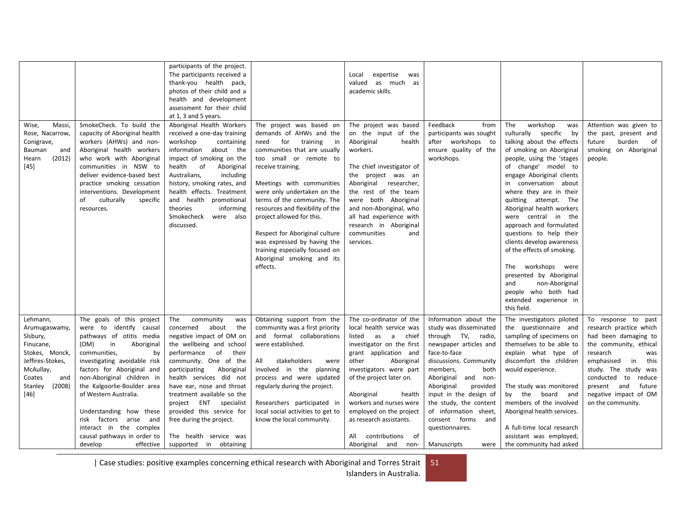| Massi,<br>Wise,<br>Rose, Nacarrow,<br>Conigrave,<br>Bauman<br>and<br>(2012)<br>Hearn<br>$[45]$                                                        | SmokeCheck. To build the<br>capacity of Aboriginal health<br>workers (AHWs) and non-<br>Aboriginal health workers<br>who work with Aboriginal<br>communities in NSW to<br>deliver evidence-based best<br>practice smoking cessation<br>interventions. Development<br>culturally<br>of<br>specific<br>resources.                                                                                                                     | participants of the project.<br>The participants received a<br>thank-you health pack,<br>photos of their child and a<br>health and development<br>assessment for their child<br>at 1, 3 and 5 years.<br>Aboriginal Health Workers<br>received a one-day training<br>workshop<br>containing<br>information about the<br>impact of smoking on the<br>health<br>of<br>Aboriginal<br>Australians,<br>including<br>history, smoking rates, and<br>health effects. Treatment<br>and health promotional<br>theories<br>informing<br>Smokecheck<br>were also<br>discussed. | The project was based on<br>demands of AHWs and the<br>for<br>training<br>need<br>in<br>communities that are usually<br>too small or remote to<br>receive training.<br>Meetings with communities<br>were only undertaken on the<br>terms of the community. The<br>resources and flexibility of the<br>project allowed for this.<br>Respect for Aboriginal culture<br>was expressed by having the<br>training especially focused on<br>Aboriginal smoking and its<br>effects. | Local<br>expertise<br>was<br>valued<br>as much as<br>academic skills.<br>The project was based<br>on the input of the<br>Aboriginal<br>health<br>workers.<br>The chief investigator of<br>the project was an<br>Aboriginal researcher,<br>the rest of the team<br>were both Aboriginal<br>and non-Aboriginal, who<br>all had experience with<br>research in Aboriginal<br>communities<br>and<br>services. | Feedback<br>from<br>participants was sought<br>after workshops to<br>ensure quality of the<br>workshops.                                                                                                                                                                                                                                                         | workshop<br>The<br>was<br>culturally specific<br>by<br>talking about the effects<br>of smoking on Aboriginal<br>people, using the 'stages<br>of change' model to<br>engage Aboriginal clients<br>in conversation about<br>where they are in their<br>quitting attempt. The<br>Aboriginal health workers<br>were central in the<br>approach and formulated<br>questions to help their<br>clients develop awareness<br>of the effects of smoking.<br>workshops were<br>The<br>presented by Aboriginal<br>and<br>non-Aboriginal<br>people who both had<br>extended experience in | Attention was given to<br>the past, present and<br>burden<br>of<br>future<br>smoking on Aboriginal<br>people.                                                                                                                                                               |
|-------------------------------------------------------------------------------------------------------------------------------------------------------|-------------------------------------------------------------------------------------------------------------------------------------------------------------------------------------------------------------------------------------------------------------------------------------------------------------------------------------------------------------------------------------------------------------------------------------|--------------------------------------------------------------------------------------------------------------------------------------------------------------------------------------------------------------------------------------------------------------------------------------------------------------------------------------------------------------------------------------------------------------------------------------------------------------------------------------------------------------------------------------------------------------------|------------------------------------------------------------------------------------------------------------------------------------------------------------------------------------------------------------------------------------------------------------------------------------------------------------------------------------------------------------------------------------------------------------------------------------------------------------------------------|-----------------------------------------------------------------------------------------------------------------------------------------------------------------------------------------------------------------------------------------------------------------------------------------------------------------------------------------------------------------------------------------------------------|------------------------------------------------------------------------------------------------------------------------------------------------------------------------------------------------------------------------------------------------------------------------------------------------------------------------------------------------------------------|-------------------------------------------------------------------------------------------------------------------------------------------------------------------------------------------------------------------------------------------------------------------------------------------------------------------------------------------------------------------------------------------------------------------------------------------------------------------------------------------------------------------------------------------------------------------------------|-----------------------------------------------------------------------------------------------------------------------------------------------------------------------------------------------------------------------------------------------------------------------------|
| Lehmann,<br>Arumugaswamy,<br>Sisbury,<br>Finucane,<br>Stokes, Monck,<br>Jeffires-Stokes,<br>McAullay,<br>Coates<br>and<br>Stanley<br>(2008)<br>$[46]$ | The goals of this project<br>were to identify causal<br>pathways of otitis media<br>in<br>(OM)<br>Aboriginal<br>communities,<br>by<br>investigating avoidable risk<br>factors for Aboriginal and<br>non-Aboriginal children in<br>the Kalgoorlie-Boulder area<br>of Western Australia.<br>Understanding how these<br>factors arise<br>risk<br>and<br>interact in the complex<br>causal pathways in order to<br>develop<br>effective | The<br>community<br>was<br>concerned<br>about<br>the<br>negative impact of OM on<br>the wellbeing and school<br>performance of<br>their<br>community. One of the<br>participating<br>Aboriginal<br>health services did not<br>have ear, nose and throat<br>treatment available so the<br>project ENT specialist<br>provided this service for<br>free during the project.<br>The health service was<br>supported in obtaining                                                                                                                                       | Obtaining support from the<br>community was a first priority<br>and formal collaborations<br>were established.<br>stakeholders<br>All<br>were<br>involved in the planning<br>process and were updated<br>regularly during the project.<br>Researchers participated in<br>local social activities to get to<br>know the local community.                                                                                                                                      | The co-ordinator of the<br>local health service was<br>listed<br>as a<br>chief<br>investigator on the first<br>grant application and<br>Aboriginal<br>other<br>investigators were part<br>of the project later on.<br>Aboriginal<br>health<br>workers and nurses were<br>employed on the project<br>as research assistants.<br>contributions<br>of<br>All<br>Aboriginal and<br>non-                       | Information about the<br>study was disseminated<br>through TV, radio,<br>newspaper articles and<br>face-to-face<br>discussions. Community<br>members,<br>both<br>Aboriginal<br>and non-<br>Aboriginal<br>provided<br>input in the design of<br>the study, the content<br>of information sheet,<br>consent forms<br>and<br>questionnaires.<br>Manuscripts<br>were | this field.<br>The investigators piloted<br>the questionnaire and<br>sampling of specimens on<br>themselves to be able to<br>explain what type of<br>discomfort the children<br>would experience.<br>The study was monitored<br>by the board and<br>members of the involved<br>Aboriginal health services.<br>A full-time local research<br>assistant was employed,<br>the community had asked                                                                                                                                                                                | To response to<br>past<br>research practice which<br>had been damaging to<br>the community, ethical<br>research<br>was<br>emphasised<br>in<br>this<br>study. The study was<br>conducted to<br>reduce<br>present and<br>future<br>negative impact of OM<br>on the community. |

| Case studies: positive examples concerning ethical research with Aboriginal and Torres Strait 51 Islanders in Australia.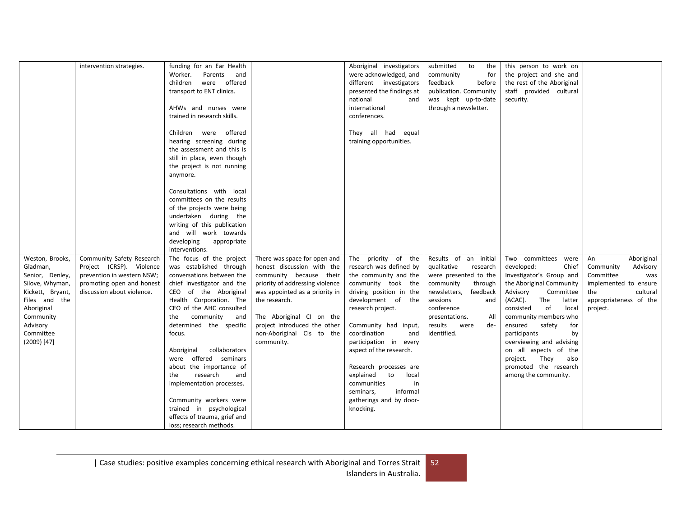|                  | intervention strategies.   | funding for an Ear Health    |                                 | Aboriginal investigators  | submitted<br>to<br>the   | this person to work on     |                        |
|------------------|----------------------------|------------------------------|---------------------------------|---------------------------|--------------------------|----------------------------|------------------------|
|                  |                            | Parents<br>Worker.<br>and    |                                 | were acknowledged, and    | community<br>for         | the project and she and    |                        |
|                  |                            | children were offered        |                                 | different investigators   | feedback<br>before       | the rest of the Aboriginal |                        |
|                  |                            | transport to ENT clinics.    |                                 | presented the findings at | publication. Community   | staff provided cultural    |                        |
|                  |                            |                              |                                 | national<br>and           | was kept up-to-date      | security.                  |                        |
|                  |                            | AHWs and nurses were         |                                 | international             | through a newsletter.    |                            |                        |
|                  |                            |                              |                                 |                           |                          |                            |                        |
|                  |                            | trained in research skills.  |                                 | conferences.              |                          |                            |                        |
|                  |                            |                              |                                 |                           |                          |                            |                        |
|                  |                            | Children were offered        |                                 | They all had equal        |                          |                            |                        |
|                  |                            | hearing screening during     |                                 | training opportunities.   |                          |                            |                        |
|                  |                            | the assessment and this is   |                                 |                           |                          |                            |                        |
|                  |                            | still in place, even though  |                                 |                           |                          |                            |                        |
|                  |                            | the project is not running   |                                 |                           |                          |                            |                        |
|                  |                            | anymore.                     |                                 |                           |                          |                            |                        |
|                  |                            |                              |                                 |                           |                          |                            |                        |
|                  |                            | Consultations with local     |                                 |                           |                          |                            |                        |
|                  |                            | committees on the results    |                                 |                           |                          |                            |                        |
|                  |                            | of the projects were being   |                                 |                           |                          |                            |                        |
|                  |                            |                              |                                 |                           |                          |                            |                        |
|                  |                            | undertaken during the        |                                 |                           |                          |                            |                        |
|                  |                            | writing of this publication  |                                 |                           |                          |                            |                        |
|                  |                            | and will work towards        |                                 |                           |                          |                            |                        |
|                  |                            | developing<br>appropriate    |                                 |                           |                          |                            |                        |
|                  |                            | interventions.               |                                 |                           |                          |                            |                        |
| Weston, Brooks,  | Community Safety Research  | The focus of the project     | There was space for open and    | The priority of the       | Results of an initial    | Two committees were        | Aboriginal<br>An       |
| Gladman,         | Project (CRSP). Violence   | was established through      | honest discussion with the      | research was defined by   | qualitative<br>research  | developed:<br>Chief        | Community<br>Advisory  |
| Senior, Denley,  | prevention in western NSW; | conversations between the    | community because their         | the community and the     | were presented to the    | Investigator's Group and   | Committee<br>was       |
| Silove, Whyman,  | promoting open and honest  | chief investigator and the   | priority of addressing violence | community took the        | community<br>through     | the Aboriginal Community   | implemented to ensure  |
| Kickett, Bryant, | discussion about violence. | CEO of the Aboriginal        | was appointed as a priority in  | driving position in the   | newsletters,<br>feedback | Advisory<br>Committee      | the<br>cultural        |
| Files and the    |                            | Health Corporation. The      | the research.                   | development of the        | sessions<br>and          | (ACAC).<br>The<br>latter   | appropriateness of the |
| Aboriginal       |                            | CEO of the AHC consulted     |                                 | research project.         | conference               | consisted<br>of<br>local   | project.               |
|                  |                            |                              |                                 |                           |                          |                            |                        |
| Community        |                            | the<br>community<br>and      | The Aboriginal CI on the        |                           | presentations.<br>All    | community members who      |                        |
| Advisory         |                            | determined the specific      | project introduced the other    | Community had input,      | results<br>were<br>de-   | ensured<br>safety<br>for   |                        |
| Committee        |                            | focus.                       | non-Aboriginal CIs to the       | coordination<br>and       | identified.              | participants<br>by         |                        |
| $(2009)$ [47]    |                            |                              | community.                      | participation in every    |                          | overviewing and advising   |                        |
|                  |                            | collaborators<br>Aboriginal  |                                 | aspect of the research.   |                          | on all aspects of the      |                        |
|                  |                            | offered seminars<br>were     |                                 |                           |                          | project.<br>They<br>also   |                        |
|                  |                            | about the importance of      |                                 | Research processes are    |                          | promoted the research      |                        |
|                  |                            | research<br>the<br>and       |                                 | explained<br>to<br>local  |                          | among the community.       |                        |
|                  |                            | implementation processes.    |                                 | communities<br>in         |                          |                            |                        |
|                  |                            |                              |                                 | informal<br>seminars,     |                          |                            |                        |
|                  |                            | Community workers were       |                                 | gatherings and by door-   |                          |                            |                        |
|                  |                            | trained in psychological     |                                 | knocking.                 |                          |                            |                        |
|                  |                            | effects of trauma, grief and |                                 |                           |                          |                            |                        |
|                  |                            |                              |                                 |                           |                          |                            |                        |
|                  |                            | loss; research methods.      |                                 |                           |                          |                            |                        |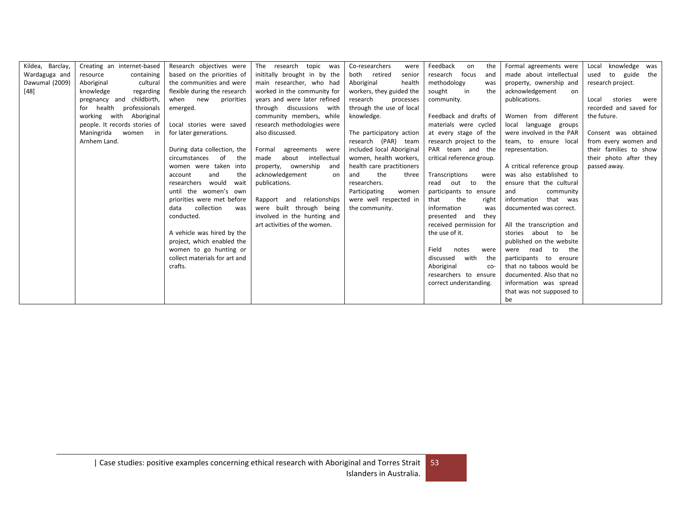| Kildea, Barclay, | Creating an internet-based     | Research objectives were      | topic<br>The research<br>was  | Co-researchers<br>were    | Feedback<br>the<br>on     | Formal agreements were           | knowledge<br>Local<br>was |
|------------------|--------------------------------|-------------------------------|-------------------------------|---------------------------|---------------------------|----------------------------------|---------------------------|
| Wardaguga and    | containing<br>resource         | based on the priorities of    | inititally brought in by the  | both retired<br>senior    | focus<br>research<br>and  | made about intellectual          | used<br>to guide<br>the   |
| Dawumal (2009)   | Aboriginal<br>cultural         | the communities and were      | main researcher, who had      | Aboriginal<br>health      | methodology<br>was        | property, ownership and          | research project.         |
| $[48]$           | knowledge<br>regarding         | flexible during the research  | worked in the community for   | workers, they guided the  | in<br>the<br>sought       | acknowledgement<br><sub>on</sub> |                           |
|                  | pregnancy and childbirth,      | new<br>priorities<br>when     | years and were later refined  | research<br>processes     | community.                | publications.                    | stories<br>Local<br>were  |
|                  | health<br>professionals<br>for | emerged.                      | discussions with<br>through   | through the use of local  |                           |                                  | recorded and saved for    |
|                  | working with Aboriginal        |                               | community members, while      | knowledge.                | Feedback and drafts of    | Women from different             | the future.               |
|                  | people. It records stories of  | Local stories were saved      | research methodologies were   |                           | materials were cycled     | local language groups            |                           |
|                  | Maningrida<br>women<br>in      | for later generations.        | also discussed.               | The participatory action  | at every stage of the     | were involved in the PAR         | Consent was obtained      |
|                  | Arnhem Land.                   |                               |                               | research (PAR) team       | research project to the   | team, to ensure local            | from every women and      |
|                  |                                | During data collection, the   | agreements were<br>Formal     | included local Aboriginal | PAR team and the          | representation.                  | their families to show    |
|                  |                                | circumstances<br>of<br>the    | intellectual<br>about<br>made | women, health workers,    | critical reference group. |                                  | their photo after they    |
|                  |                                | women were taken into         | property, ownership<br>and    | health care practitioners |                           | A critical reference group       | passed away.              |
|                  |                                | and<br>the<br>account         | acknowledgement<br>on         | the<br>and<br>three       | Transcriptions<br>were    | was also established to          |                           |
|                  |                                | would<br>researchers<br>wait  | publications.                 | researchers.              | the<br>read<br>out<br>to  | ensure that the cultural         |                           |
|                  |                                | until the women's own         |                               | Participating<br>women    | participants to ensure    | and<br>community                 |                           |
|                  |                                | priorities were met before    | Rapport and relationships     | were well respected in    | that<br>the<br>right      | information<br>that was          |                           |
|                  |                                | collection<br>data<br>was     | were built through being      | the community.            | information<br>was        | documented was correct.          |                           |
|                  |                                | conducted.                    | involved in the hunting and   |                           | presented and<br>they     |                                  |                           |
|                  |                                |                               | art activities of the women.  |                           | received permission for   | All the transcription and        |                           |
|                  |                                | A vehicle was hired by the    |                               |                           | the use of it.            | stories about<br>to<br>be        |                           |
|                  |                                | project, which enabled the    |                               |                           |                           | published on the website         |                           |
|                  |                                | women to go hunting or        |                               |                           | Field<br>notes<br>were    | the<br>read<br>to<br>were        |                           |
|                  |                                | collect materials for art and |                               |                           | with<br>the<br>discussed  | participants to ensure           |                           |
|                  |                                | crafts.                       |                               |                           | Aboriginal<br>$CO-$       | that no taboos would be          |                           |
|                  |                                |                               |                               |                           | researchers to ensure     | documented. Also that no         |                           |
|                  |                                |                               |                               |                           | correct understanding.    | information was spread           |                           |
|                  |                                |                               |                               |                           |                           | that was not supposed to         |                           |
|                  |                                |                               |                               |                           |                           | be                               |                           |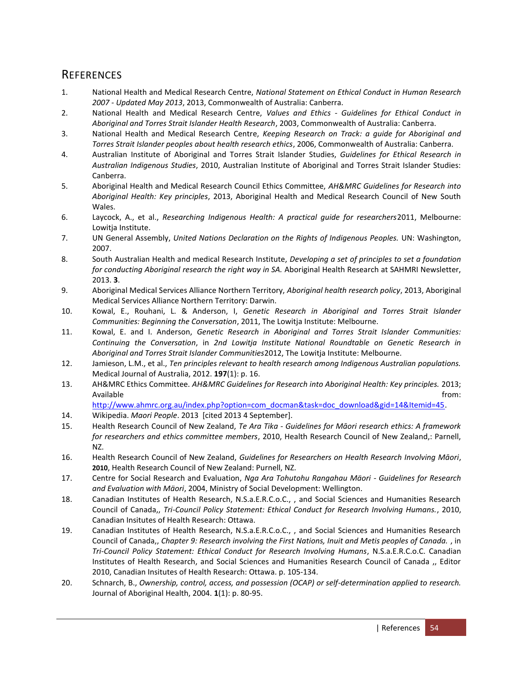# <span id="page-53-0"></span>**REFERENCES**

- <span id="page-53-1"></span>1. National Health and Medical Research Centre, *National Statement on Ethical Conduct in Human Research 2007 - Updated May 2013*, 2013, Commonwealth of Australia: Canberra.
- <span id="page-53-2"></span>2. National Health and Medical Research Centre, *Values and Ethics - Guidelines for Ethical Conduct in Aboriginal and Torres Strait Islander Health Research*, 2003, Commonwealth of Australia: Canberra.
- <span id="page-53-3"></span>3. National Health and Medical Research Centre, *Keeping Research on Track: a guide for Aboriginal and Torres Strait Islander peoples about health research ethics*, 2006, Commonwealth of Australia: Canberra.
- <span id="page-53-4"></span>4. Australian Institute of Aboriginal and Torres Strait Islander Studies, *Guidelines for Ethical Research in Australian Indigenous Studies*, 2010, Australian Institute of Aboriginal and Torres Strait Islander Studies: Canberra.
- <span id="page-53-5"></span>5. Aboriginal Health and Medical Research Council Ethics Committee, *AH&MRC Guidelines for Research into Aboriginal Health: Key principles*, 2013, Aboriginal Health and Medical Research Council of New South Wales.
- <span id="page-53-6"></span>6. Laycock, A., et al., *Researching Indigenous Health: A practical guide for researchers*2011, Melbourne: Lowitja Institute.
- <span id="page-53-7"></span>7. UN General Assembly, *United Nations Declaration on the Rights of Indigenous Peoples.* UN: Washington, 2007.
- <span id="page-53-8"></span>8. South Australian Health and medical Research Institute, *Developing a set of principles to set a foundation for conducting Aboriginal research the right way in SA.* Aboriginal Health Research at SAHMRI Newsletter, 2013. **3**.
- <span id="page-53-9"></span>9. Aboriginal Medical Services Alliance Northern Territory, *Aboriginal health research policy*, 2013, Aboriginal Medical Services Alliance Northern Territory: Darwin.
- <span id="page-53-10"></span>10. Kowal, E., Rouhani, L. & Anderson, I, *Genetic Research in Aboriginal and Torres Strait Islander Communities: Beginning the Conversation*, 2011, The Lowitja Institute: Melbourne.
- <span id="page-53-11"></span>11. Kowal, E. and I. Anderson, *Genetic Research in Aboriginal and Torres Strait Islander Communities: Continuing the Conversation*, in *2nd Lowitja Institute National Roundtable on Genetic Research in Aboriginal and Torres Strait Islander Communities*2012, The Lowitja Institute: Melbourne.
- <span id="page-53-12"></span>12. Jamieson, L.M., et al., *Ten principles relevant to health research among Indigenous Australian populations.* Medical Journal of Australia, 2012. **197**(1): p. 16.
- <span id="page-53-13"></span>13. AH&MRC Ethics Committee. *AH&MRC Guidelines for Research into Aboriginal Health: Key principles.* 2013; Available from:

[http://www.ahmrc.org.au/index.php?option=com\\_docman&task=doc\\_download&gid=14&Itemid=45.](http://www.ahmrc.org.au/index.php?option=com_docman&task=doc_download&gid=14&Itemid=45)

- <span id="page-53-14"></span>14. Wikipedia. *Maori People*. 2013 [cited 2013 4 September].
- <span id="page-53-15"></span>15. Health Research Council of New Zealand, *Te Ara Tika - Guidelines for Māori research ethics: A framework for researchers and ethics committee members*, 2010, Health Research Council of New Zealand,: Parnell, NZ.
- <span id="page-53-16"></span>16. Health Research Council of New Zealand, *Guidelines for Researchers on Health Research Involving Māori*, **2010**, Health Research Council of New Zealand: Purnell, NZ.
- <span id="page-53-17"></span>17. Centre for Social Research and Evaluation, *Nga Ara Tohutohu Rangahau Mäori - Guidelines for Research and Evaluation with Mäori*, 2004, Ministry of Social Development: Wellington.
- <span id="page-53-18"></span>18. Canadian Institutes of Health Research, N.S.a.E.R.C.o.C., , and Social Sciences and Humanities Research Council of Canada,, *Tri-Council Policy Statement: Ethical Conduct for Research Involving Humans.*, 2010, Canadian Insitutes of Health Research: Ottawa.
- <span id="page-53-19"></span>19. Canadian Institutes of Health Research, N.S.a.E.R.C.o.C., , and Social Sciences and Humanities Research Council of Canada,, *Chapter 9: Research involving the First Nations, Inuit and Metis peoples of Canada.* , in *Tri-Council Policy Statement: Ethical Conduct for Research Involving Humans*, N.S.a.E.R.C.o.C. Canadian Institutes of Health Research, and Social Sciences and Humanities Research Council of Canada ,, Editor 2010, Canadian Insitutes of Health Research: Ottawa. p. 105-134.
- <span id="page-53-20"></span>20. Schnarch, B., *Ownership, control, access, and possession (OCAP) or self-determination applied to research.* Journal of Aboriginal Health, 2004. **1**(1): p. 80-95.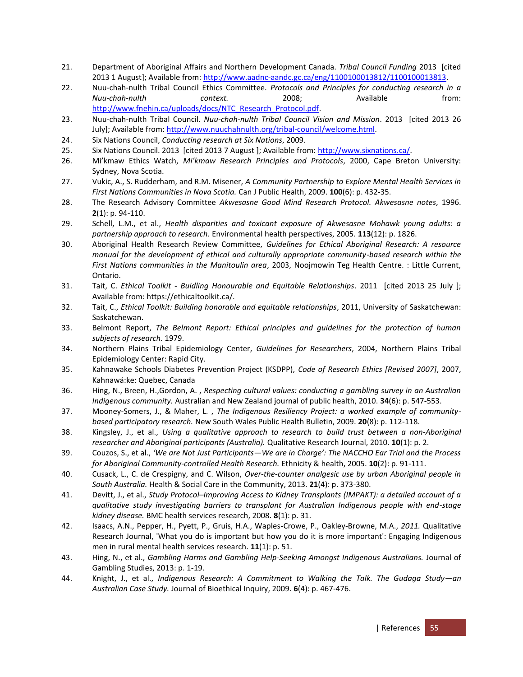- <span id="page-54-0"></span>21. Department of Aboriginal Affairs and Northern Development Canada. *Tribal Council Funding* 2013 [cited 2013 1 August]; Available from: [http://www.aadnc-aandc.gc.ca/eng/1100100013812/1100100013813.](http://www.aadnc-aandc.gc.ca/eng/1100100013812/1100100013813)
- <span id="page-54-1"></span>22. Nuu-chah-nulth Tribal Council Ethics Committee. *Protocols and Principles for conducting research in a Nuu-chah-nulth context.* 2008; Available from: [http://www.fnehin.ca/uploads/docs/NTC\\_Research\\_Protocol.pdf.](http://www.fnehin.ca/uploads/docs/NTC_Research_Protocol.pdf)
- <span id="page-54-2"></span>23. Nuu-chah-nulth Tribal Council. *Nuu-chah-nulth Tribal Council Vision and Mission*. 2013 [cited 2013 26 July]; Available from: [http://www.nuuchahnulth.org/tribal-council/welcome.html.](http://www.nuuchahnulth.org/tribal-council/welcome.html)
- <span id="page-54-3"></span>24. Six Nations Council, *Conducting research at Six Nations*, 2009.
- <span id="page-54-4"></span>25. Six Nations Council. 2013 [cited 2013 7 August ]; Available from: [http://www.sixnations.ca/.](http://www.sixnations.ca/)
- <span id="page-54-5"></span>26. Mi'kmaw Ethics Watch, *Mi'kmaw Research Principles and Protocols*, 2000, Cape Breton University: Sydney, Nova Scotia.
- <span id="page-54-6"></span>27. Vukic, A., S. Rudderham, and R.M. Misener, *A Community Partnership to Explore Mental Health Services in First Nations Communities in Nova Scotia.* Can J Public Health, 2009. **100**(6): p. 432-35.
- <span id="page-54-7"></span>28. The Research Advisory Committee *Akwesasne Good Mind Research Protocol. Akwesasne notes*, 1996. **2**(1): p. 94-110.
- <span id="page-54-8"></span>29. Schell, L.M., et al., *Health disparities and toxicant exposure of Akwesasne Mohawk young adults: a partnership approach to research.* Environmental health perspectives, 2005. **113**(12): p. 1826.
- <span id="page-54-16"></span><span id="page-54-15"></span><span id="page-54-9"></span>30. Aboriginal Health Research Review Committee, *Guidelines for Ethical Aboriginal Research: A resource manual for the development of ethical and culturally appropriate community-based research within the First Nations communities in the Manitoulin area*, 2003, Noojmowin Teg Health Centre. : Little Current, Ontario.
- <span id="page-54-17"></span><span id="page-54-10"></span>31. Tait, C. *Ethical Toolkit - Buidling Honourable and Equitable Relationships*. 2011 [cited 2013 25 July ]; Available from: https://ethicaltoolkit.ca/.
- <span id="page-54-18"></span><span id="page-54-11"></span>32. Tait, C., *Ethical Toolkit: Building honorable and equitable relationships*, 2011, University of Saskatchewan: Saskatchewan.
- <span id="page-54-19"></span><span id="page-54-12"></span>33. Belmont Report, *The Belmont Report: Ethical principles and guidelines for the protection of human subjects of research.* 1979.
- <span id="page-54-20"></span><span id="page-54-13"></span>34. Northern Plains Tribal Epidemiology Center, *Guidelines for Researchers*, 2004, Northern Plains Tribal Epidemiology Center: Rapid City.
- <span id="page-54-21"></span><span id="page-54-14"></span>35. Kahnawake Schools Diabetes Prevention Project (KSDPP), *Code of Research Ethics [Revised 2007]*, 2007, Kahnawá:ke: Quebec, Canada
- 36. Hing, N., Breen, H.,Gordon, A. , *Respecting cultural values: conducting a gambling survey in an Australian Indigenous community.* Australian and New Zealand journal of public health, 2010. **34**(6): p. 547-553.
- <span id="page-54-22"></span>37. Mooney-Somers, J., & Maher, L. , *The Indigenous Resiliency Project: a worked example of communitybased participatory research.* New South Wales Public Health Bulletin, 2009. **20**(8): p. 112-118.
- <span id="page-54-23"></span>38. Kingsley, J., et al., *Using a qualitative approach to research to build trust between a non-Aboriginal researcher and Aboriginal participants (Australia).* Qualitative Research Journal, 2010. **10**(1): p. 2.
- 39. Couzos, S., et al., *'We are Not Just Participants—We are in Charge': The NACCHO Ear Trial and the Process for Aboriginal Community-controlled Health Research.* Ethnicity & health, 2005. **10**(2): p. 91-111.
- 40. Cusack, L., C. de Crespigny, and C. Wilson, *Over-the-counter analgesic use by urban Aboriginal people in South Australia.* Health & Social Care in the Community, 2013. **21**(4): p. 373-380.
- 41. Devitt, J., et al., *Study Protocol–Improving Access to Kidney Transplants (IMPAKT): a detailed account of a qualitative study investigating barriers to transplant for Australian Indigenous people with end-stage kidney disease.* BMC health services research, 2008. **8**(1): p. 31.
- 42. Isaacs, A.N., Pepper, H., Pyett, P., Gruis, H.A., Waples-Crowe, P., Oakley-Browne, M.A., *2011.* Qualitative Research Journal, 'What you do is important but how you do it is more important': Engaging Indigenous men in rural mental health services research. **11**(1): p. 51.
- 43. Hing, N., et al., *Gambling Harms and Gambling Help-Seeking Amongst Indigenous Australians.* Journal of Gambling Studies, 2013: p. 1-19.
- 44. Knight, J., et al., *Indigenous Research: A Commitment to Walking the Talk. The Gudaga Study—an Australian Case Study.* Journal of Bioethical Inquiry, 2009. **6**(4): p. 467-476.